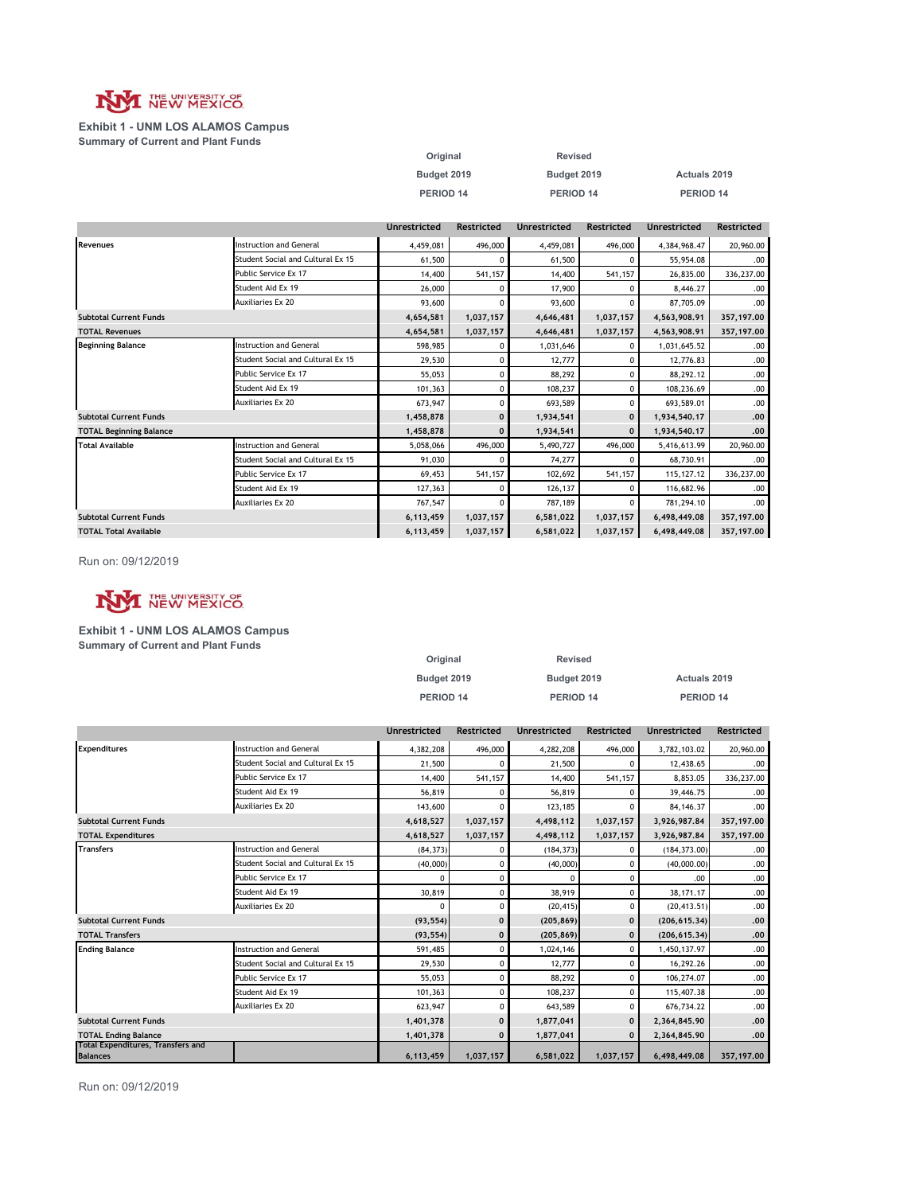

#### **Exhibit 1 - UNM LOS ALAMOS Campus Summary of Current and Plant Funds**

| Original    | <b>Revised</b> |              |
|-------------|----------------|--------------|
| Budget 2019 | Budget 2019    | Actuals 2019 |
| PERIOD 14   | PERIOD 14      | PERIOD 14    |

|                                |                                   | <b>Unrestricted</b> | <b>Restricted</b> | <b>Unrestricted</b> | <b>Restricted</b> | <b>Unrestricted</b> | <b>Restricted</b> |
|--------------------------------|-----------------------------------|---------------------|-------------------|---------------------|-------------------|---------------------|-------------------|
| Revenues                       | Instruction and General           | 4,459,081           | 496,000           | 4,459,081           | 496,000           | 4,384,968.47        | 20,960.00         |
|                                | Student Social and Cultural Ex 15 | 61,500              |                   | 61,500              | $\Omega$          | 55,954.08           | .00.              |
|                                | Public Service Ex 17              | 14,400              | 541,157           | 14,400              | 541,157           | 26,835.00           | 336,237.00        |
|                                | Student Aid Ex 19                 | 26,000              | 0                 | 17,900              | ۵                 | 8,446.27            | .00.              |
|                                | <b>Auxiliaries Ex 20</b>          | 93,600              | $\Omega$          | 93,600              | $\Omega$          | 87,705.09           | .00.              |
| <b>Subtotal Current Funds</b>  |                                   | 4,654,581           | 1,037,157         | 4,646,481           | 1,037,157         | 4,563,908.91        | 357,197.00        |
| <b>TOTAL Revenues</b>          |                                   | 4,654,581           | 1,037,157         | 4,646,481           | 1,037,157         | 4,563,908.91        | 357,197.00        |
| <b>Beginning Balance</b>       | <b>Instruction and General</b>    | 598.985             | 0                 | 1,031,646           | 0                 | 1,031,645.52        | .00.              |
|                                | Student Social and Cultural Ex 15 | 29,530              | $\Omega$          | 12,777              | $\Omega$          | 12,776.83           | .00.              |
|                                | Public Service Ex 17              | 55,053              | 0                 | 88,292              | $\Omega$          | 88,292.12           | .00.              |
|                                | Student Aid Ex 19                 | 101,363             | 0                 | 108,237             | 0                 | 108,236.69          | .00.              |
|                                | <b>Auxiliaries Ex 20</b>          | 673,947             | 0                 | 693,589             | $\Omega$          | 693.589.01          | .00.              |
| <b>Subtotal Current Funds</b>  |                                   | 1,458,878           | $\mathbf 0$       | 1,934,541           | $\mathbf 0$       | 1,934,540.17        | .00.              |
| <b>TOTAL Beginning Balance</b> |                                   | 1,458,878           | $\mathbf{0}$      | 1,934,541           | $\mathbf{0}$      | 1,934,540.17        | .00.              |
| <b>Total Available</b>         | <b>Instruction and General</b>    | 5,058,066           | 496,000           | 5,490,727           | 496,000           | 5,416,613.99        | 20,960.00         |
|                                | Student Social and Cultural Ex 15 | 91.030              | ŋ                 | 74,277              | C                 | 68.730.91           | .00.              |
|                                | Public Service Ex 17              | 69.453              | 541,157           | 102,692             | 541,157           | 115, 127. 12        | 336,237.00        |
|                                | Student Aid Ex 19                 | 127,363             | $\Omega$          | 126,137             | O                 | 116,682.96          | .00.              |
|                                | <b>Auxiliaries Ex 20</b>          | 767,547             | $\Omega$          | 787,189             | $\Omega$          | 781,294.10          | .00.              |
| <b>Subtotal Current Funds</b>  |                                   | 6,113,459           | 1,037,157         | 6,581,022           | 1,037,157         | 6,498,449.08        | 357,197.00        |
| <b>TOTAL Total Available</b>   |                                   | 6,113,459           | 1,037,157         | 6,581,022           | 1,037,157         | 6,498,449.08        | 357,197.00        |

Run on: 09/12/2019



#### **Exhibit 1 - UNM LOS ALAMOS Campus**

**Summary of Current and Plant Funds**

| Original    | Revised     |              |
|-------------|-------------|--------------|
| Budget 2019 | Budget 2019 | Actuals 2019 |
| PERIOD 14   | PERIOD 14   | PERIOD 14    |

|                                                             |                                   | <b>Unrestricted</b> | <b>Restricted</b> | <b>Unrestricted</b> | <b>Restricted</b> | <b>Unrestricted</b> | <b>Restricted</b> |
|-------------------------------------------------------------|-----------------------------------|---------------------|-------------------|---------------------|-------------------|---------------------|-------------------|
| <b>Expenditures</b>                                         | <b>Instruction and General</b>    | 4,382,208           | 496,000           | 4,282,208           | 496,000           | 3,782,103.02        | 20,960.00         |
|                                                             | Student Social and Cultural Ex 15 | 21,500              | 0                 | 21,500              | $\Omega$          | 12,438.65           | .00.              |
|                                                             | Public Service Ex 17              | 14,400              | 541,157           | 14,400              | 541,157           | 8.853.05            | 336,237.00        |
|                                                             | Student Aid Ex 19                 | 56,819              | 0                 | 56,819              | 0                 | 39,446.75           | .00.              |
|                                                             | <b>Auxiliaries Ex 20</b>          | 143,600             | $\Omega$          | 123,185             | 0                 | 84, 146, 37         | .00.              |
| <b>Subtotal Current Funds</b>                               |                                   | 4,618,527           | 1,037,157         | 4,498,112           | 1,037,157         | 3,926,987.84        | 357,197.00        |
| <b>TOTAL Expenditures</b>                                   |                                   | 4,618,527           | 1,037,157         | 4,498,112           | 1,037,157         | 3,926,987.84        | 357,197.00        |
| <b>Transfers</b>                                            | <b>Instruction and General</b>    | (84, 373)           |                   | (184, 373)          | 0                 | (184, 373.00)       | .00.              |
|                                                             | Student Social and Cultural Ex 15 | (40,000)            |                   | (40,000)            | 0                 | (40,000.00)         | .00               |
|                                                             | Public Service Ex 17              | $\Omega$            | 0                 | $\Omega$            | 0                 | .00.                | .00.              |
|                                                             | Student Aid Ex 19                 | 30,819              | 0                 | 38,919              | $\Omega$          | 38,171.17           | .00.              |
|                                                             | <b>Auxiliaries Ex 20</b>          | $\Omega$            | 0                 | (20, 415)           | 0                 | (20, 413.51)        | .00               |
| <b>Subtotal Current Funds</b>                               |                                   | (93, 554)           | $\Omega$          | (205, 869)          | $\mathbf 0$       | (206, 615, 34)      | .00               |
| <b>TOTAL Transfers</b>                                      |                                   | (93, 554)           | $\mathbf 0$       | (205, 869)          | $\mathbf 0$       | (206, 615, 34)      | .00               |
| <b>Ending Balance</b>                                       | <b>Instruction and General</b>    | 591.485             | 0                 | 1,024,146           | 0                 | 1,450,137.97        | .00               |
|                                                             | Student Social and Cultural Ex 15 | 29,530              | 0                 | 12,777              | $\Omega$          | 16,292.26           | .00               |
|                                                             | Public Service Ex 17              | 55.053              | 0                 | 88.292              | $\Omega$          | 106,274.07          | .00.              |
|                                                             | Student Aid Ex 19                 | 101.363             | 0                 | 108,237             | 0                 | 115,407.38          | .00               |
|                                                             | <b>Auxiliaries Ex 20</b>          | 623,947             | 0                 | 643,589             | 0                 | 676,734.22          | .00               |
| <b>Subtotal Current Funds</b>                               |                                   | 1,401,378           | $\mathbf 0$       | 1,877,041           | $\mathbf{0}$      | 2,364,845.90        | .00.              |
| <b>TOTAL Ending Balance</b>                                 |                                   | 1,401,378           | $\Omega$          | 1,877,041           | $\mathbf{0}$      | 2,364,845.90        | .00.              |
| <b>Total Expenditures, Transfers and</b><br><b>Balances</b> |                                   | 6,113,459           | 1,037,157         | 6,581,022           | 1,037,157         | 6,498,449.08        | 357,197.00        |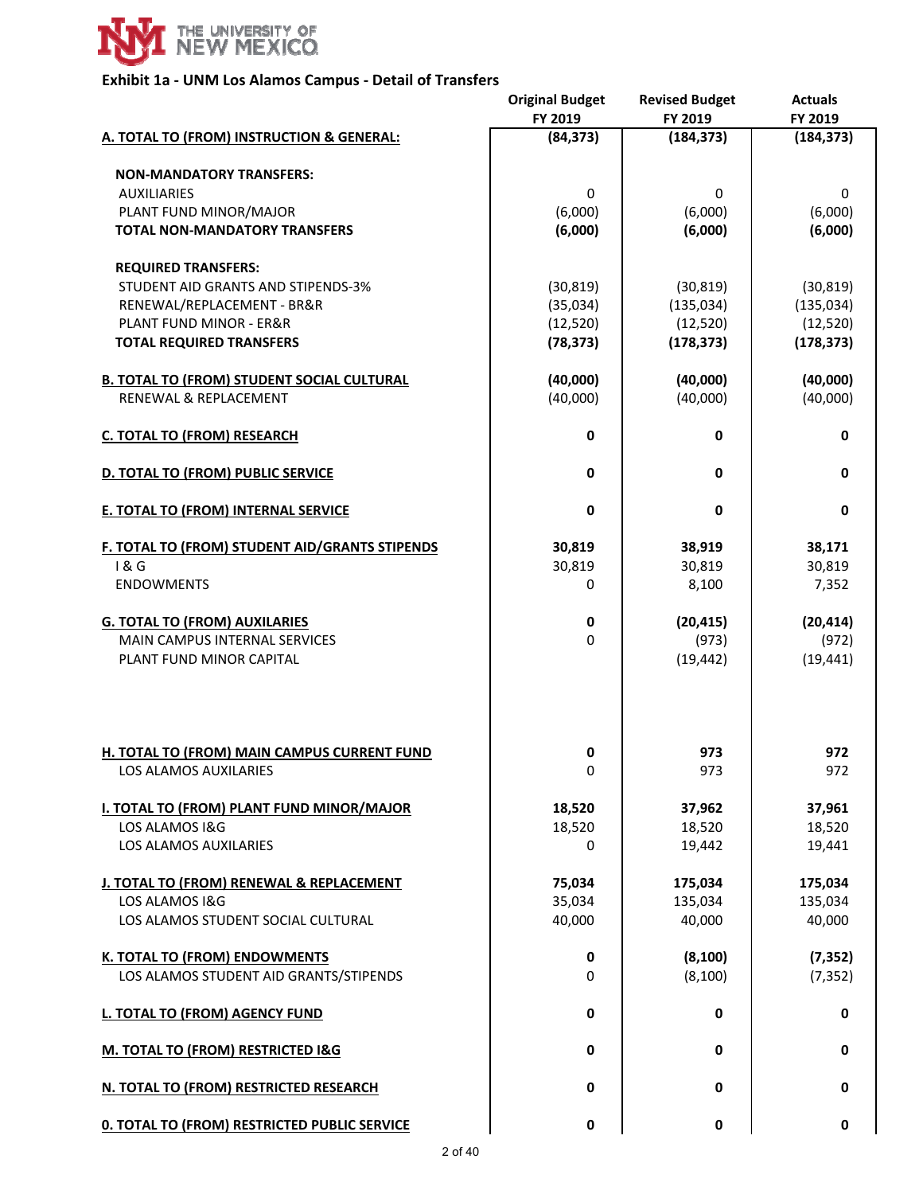

## **Exhibit 1a ‐ UNM Los Alamos Campus ‐ Detail of Transfers**

|                                                     | <b>Original Budget</b><br>FY 2019 | <b>Revised Budget</b><br>FY 2019 | <b>Actuals</b><br>FY 2019 |
|-----------------------------------------------------|-----------------------------------|----------------------------------|---------------------------|
| A. TOTAL TO (FROM) INSTRUCTION & GENERAL:           | (84, 373)                         | (184, 373)                       | (184, 373)                |
| <b>NON-MANDATORY TRANSFERS:</b>                     |                                   |                                  |                           |
| <b>AUXILIARIES</b>                                  | 0                                 | 0                                | 0                         |
| PLANT FUND MINOR/MAJOR                              | (6,000)                           | (6,000)                          | (6,000)                   |
| <b>TOTAL NON-MANDATORY TRANSFERS</b>                | (6,000)                           | (6,000)                          | (6,000)                   |
| <b>REQUIRED TRANSFERS:</b>                          |                                   |                                  |                           |
| STUDENT AID GRANTS AND STIPENDS-3%                  | (30, 819)                         | (30, 819)                        | (30, 819)                 |
| RENEWAL/REPLACEMENT - BR&R                          | (35,034)                          | (135, 034)                       | (135, 034)                |
| <b>PLANT FUND MINOR - ER&amp;R</b>                  | (12, 520)                         | (12, 520)                        | (12, 520)                 |
| <b>TOTAL REQUIRED TRANSFERS</b>                     | (78, 373)                         | (178, 373)                       | (178, 373)                |
| <b>B. TOTAL TO (FROM) STUDENT SOCIAL CULTURAL</b>   | (40,000)                          | (40,000)                         | (40,000)                  |
| <b>RENEWAL &amp; REPLACEMENT</b>                    | (40,000)                          | (40,000)                         | (40,000)                  |
| <b>C. TOTAL TO (FROM) RESEARCH</b>                  | 0                                 | 0                                | 0                         |
| <b>D. TOTAL TO (FROM) PUBLIC SERVICE</b>            | 0                                 | 0                                | 0                         |
| E. TOTAL TO (FROM) INTERNAL SERVICE                 | $\mathbf 0$                       | 0                                | 0                         |
| F. TOTAL TO (FROM) STUDENT AID/GRANTS STIPENDS      | 30,819                            | 38,919                           | 38,171                    |
| 1&6                                                 | 30,819                            | 30,819                           | 30,819                    |
| <b>ENDOWMENTS</b>                                   | 0                                 | 8,100                            | 7,352                     |
| <b>G. TOTAL TO (FROM) AUXILARIES</b>                | 0                                 | (20, 415)                        | (20, 414)                 |
| <b>MAIN CAMPUS INTERNAL SERVICES</b>                | 0                                 | (973)                            | (972)                     |
| PLANT FUND MINOR CAPITAL                            |                                   | (19, 442)                        | (19, 441)                 |
| <b>H. TOTAL TO (FROM) MAIN CAMPUS CURRENT FUND</b>  | 0                                 | 973                              | 972                       |
| <b>LOS ALAMOS AUXILARIES</b>                        | $\mathbf 0$                       | 973                              | 972                       |
| I. TOTAL TO (FROM) PLANT FUND MINOR/MAJOR           | 18,520                            | 37,962                           | 37,961                    |
| LOS ALAMOS I&G                                      | 18,520                            | 18,520                           | 18,520                    |
| LOS ALAMOS AUXILARIES                               | 0                                 | 19,442                           | 19,441                    |
| J. TOTAL TO (FROM) RENEWAL & REPLACEMENT            | 75,034                            | 175,034                          | 175,034                   |
| LOS ALAMOS I&G                                      | 35,034                            | 135,034                          | 135,034                   |
| LOS ALAMOS STUDENT SOCIAL CULTURAL                  | 40,000                            | 40,000                           | 40,000                    |
| <b>K. TOTAL TO (FROM) ENDOWMENTS</b>                | 0                                 | (8, 100)                         | (7, 352)                  |
| LOS ALAMOS STUDENT AID GRANTS/STIPENDS              | 0                                 | (8, 100)                         | (7, 352)                  |
| L. TOTAL TO (FROM) AGENCY FUND                      | 0                                 | 0                                | 0                         |
| M. TOTAL TO (FROM) RESTRICTED I&G                   | 0                                 | $\mathbf 0$                      | $\mathbf 0$               |
| N. TOTAL TO (FROM) RESTRICTED RESEARCH              | 0                                 | $\mathbf 0$                      | $\mathbf 0$               |
| <b>0. TOTAL TO (FROM) RESTRICTED PUBLIC SERVICE</b> | 0                                 | $\mathbf 0$                      | $\mathbf 0$               |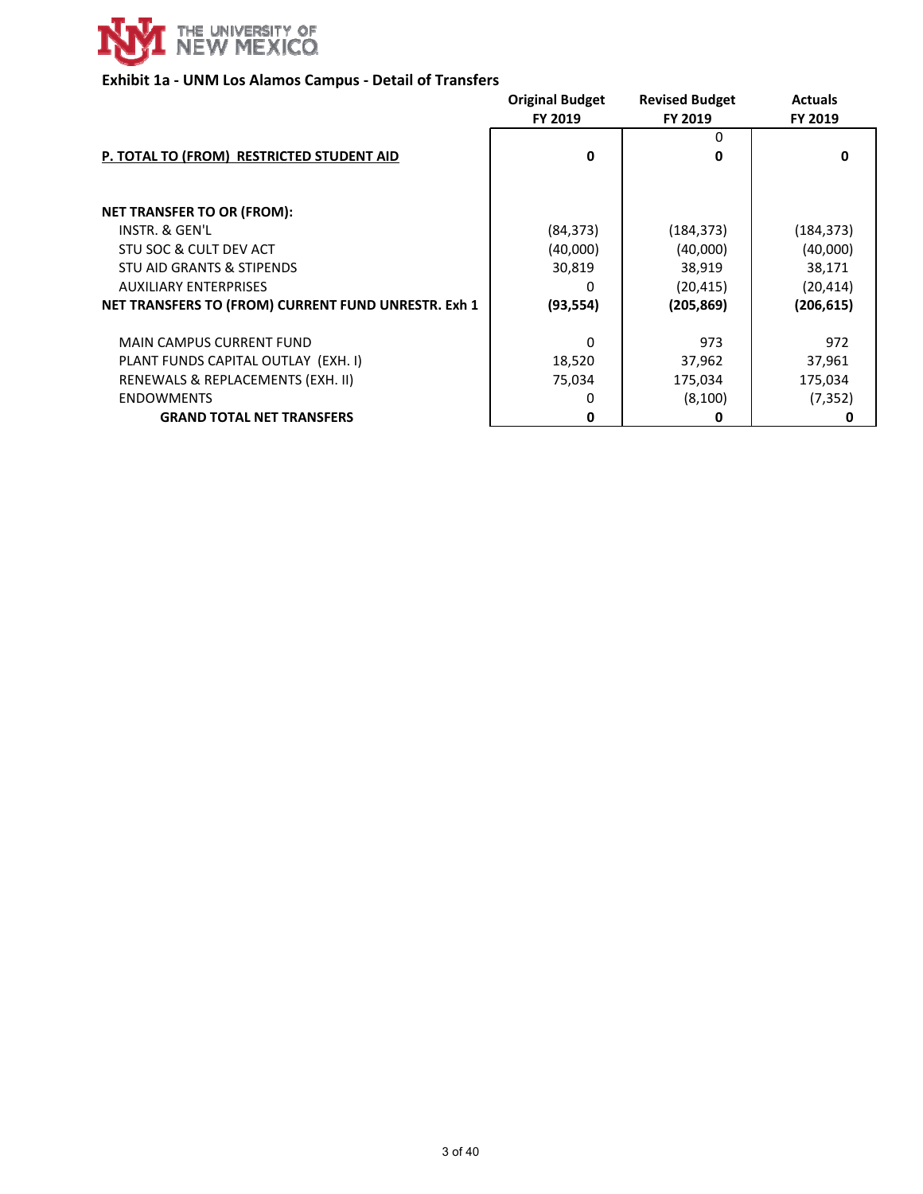

# **Exhibit 1a ‐ UNM Los Alamos Campus ‐ Detail of Transfers**

|                                                     | <b>Original Budget</b><br>FY 2019 | <b>Revised Budget</b><br>FY 2019 | <b>Actuals</b><br>FY 2019 |
|-----------------------------------------------------|-----------------------------------|----------------------------------|---------------------------|
| P. TOTAL TO (FROM) RESTRICTED STUDENT AID           | $\mathbf 0$                       | 0<br>0                           | 0                         |
| <b>NET TRANSFER TO OR (FROM):</b>                   |                                   |                                  |                           |
| INSTR. & GEN'L                                      |                                   |                                  |                           |
|                                                     | (84, 373)                         | (184, 373)                       | (184, 373)                |
| STU SOC & CULT DEV ACT                              | (40,000)                          | (40,000)                         | (40,000)                  |
| STU AID GRANTS & STIPENDS                           | 30,819                            | 38,919                           | 38,171                    |
| <b>AUXILIARY ENTERPRISES</b>                        | Ω                                 | (20, 415)                        | (20, 414)                 |
| NET TRANSFERS TO (FROM) CURRENT FUND UNRESTR. Exh 1 | (93, 554)                         | (205, 869)                       | (206, 615)                |
| <b>MAIN CAMPUS CURRENT FUND</b>                     | $\Omega$                          | 973                              | 972                       |
| PLANT FUNDS CAPITAL OUTLAY (EXH. I)                 | 18,520                            | 37,962                           | 37,961                    |
| RENEWALS & REPLACEMENTS (EXH. II)                   | 75,034                            | 175,034                          | 175,034                   |
| <b>ENDOWMENTS</b>                                   | O                                 | (8,100)                          | (7, 352)                  |
| <b>GRAND TOTAL NET TRANSFERS</b>                    | 0                                 | 0                                | O                         |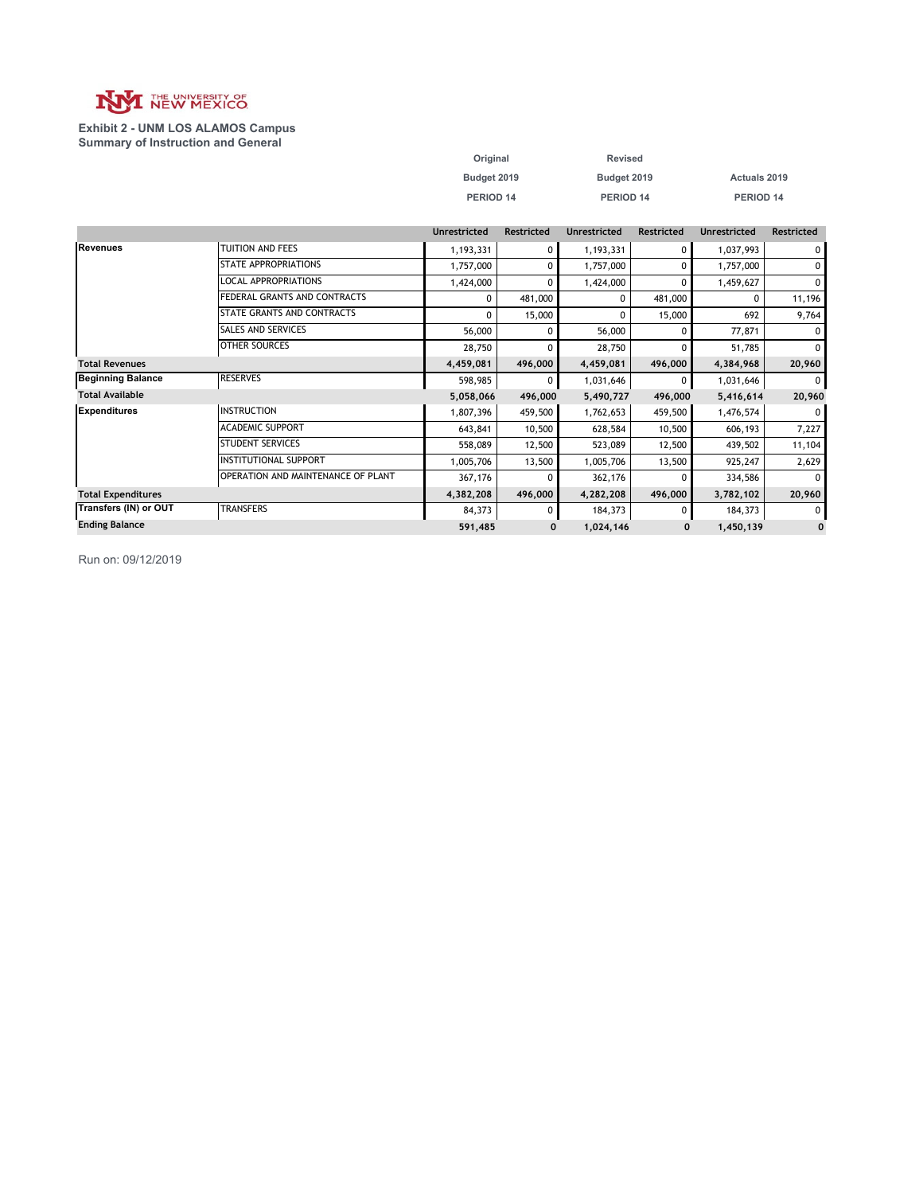

#### **Exhibit 2 - UNM LOS ALAMOS Campus Summary of Instruction and General**

| Original    | <b>Revised</b> |                     |
|-------------|----------------|---------------------|
| Budget 2019 | Budget 2019    | <b>Actuals 2019</b> |
| PERIOD 14   | PERIOD 14      | PERIOD 14           |

|                           |                                           | <b>Unrestricted</b> | Restricted   | <b>Unrestricted</b> | Restricted | <b>Unrestricted</b> | <b>Restricted</b> |
|---------------------------|-------------------------------------------|---------------------|--------------|---------------------|------------|---------------------|-------------------|
| Revenues                  | TUITION AND FEES                          | 1,193,331           | $\Omega$     | 1,193,331           | 0          | 1,037,993           | $\mathbf 0$       |
|                           | <b>STATE APPROPRIATIONS</b>               | 1,757,000           | $\Omega$     | 1,757,000           | $\Omega$   | 1,757,000           | 0                 |
|                           | <b>LOCAL APPROPRIATIONS</b>               | 1,424,000           | $\Omega$     | 1,424,000           | $\Omega$   | 1,459,627           | 0                 |
|                           | FEDERAL GRANTS AND CONTRACTS              | 0                   | 481,000      | 0                   | 481,000    |                     | 11,196            |
|                           | STATE GRANTS AND CONTRACTS                | 0                   | 15,000       | 0                   | 15,000     | 692                 | 9,764             |
|                           | SALES AND SERVICES                        | 56,000              | <sup>0</sup> | 56,000              |            | 77,871              | 0                 |
|                           | <b>OTHER SOURCES</b>                      | 28,750              | O            | 28,750              |            | 51,785              | 0                 |
| <b>Total Revenues</b>     |                                           | 4,459,081           | 496,000      | 4,459,081           | 496,000    | 4,384,968           | 20,960            |
| <b>Beginning Balance</b>  | <b>RESERVES</b>                           | 598,985             | $\Omega$     | 1,031,646           | 0          | 1,031,646           | $\Omega$          |
| <b>Total Available</b>    |                                           | 5,058,066           | 496,000      | 5,490,727           | 496,000    | 5,416,614           | 20,960            |
| Expenditures              | <b>INSTRUCTION</b>                        | 1,807,396           | 459,500      | 1,762,653           | 459,500    | 1,476,574           | $\Omega$          |
|                           | <b>ACADEMIC SUPPORT</b>                   | 643,841             | 10,500       | 628,584             | 10,500     | 606,193             | 7,227             |
|                           | <b>STUDENT SERVICES</b>                   | 558,089             | 12,500       | 523,089             | 12,500     | 439,502             | 11,104            |
|                           | <b>INSTITUTIONAL SUPPORT</b>              | 1,005,706           | 13,500       | 1,005,706           | 13,500     | 925,247             | 2,629             |
|                           | <b>OPERATION AND MAINTENANCE OF PLANT</b> | 367,176             |              | 362,176             |            | 334,586             | 0                 |
| <b>Total Expenditures</b> |                                           | 4,382,208           | 496,000      | 4,282,208           | 496,000    | 3,782,102           | 20,960            |
| Transfers (IN) or OUT     | <b>TRANSFERS</b>                          | 84,373              | $\Omega$     | 184,373             | 0          | 184,373             | $\Omega$          |
| <b>Ending Balance</b>     |                                           | 591,485             | 0            | 1,024,146           | 0          | 1,450,139           | $\mathbf 0$       |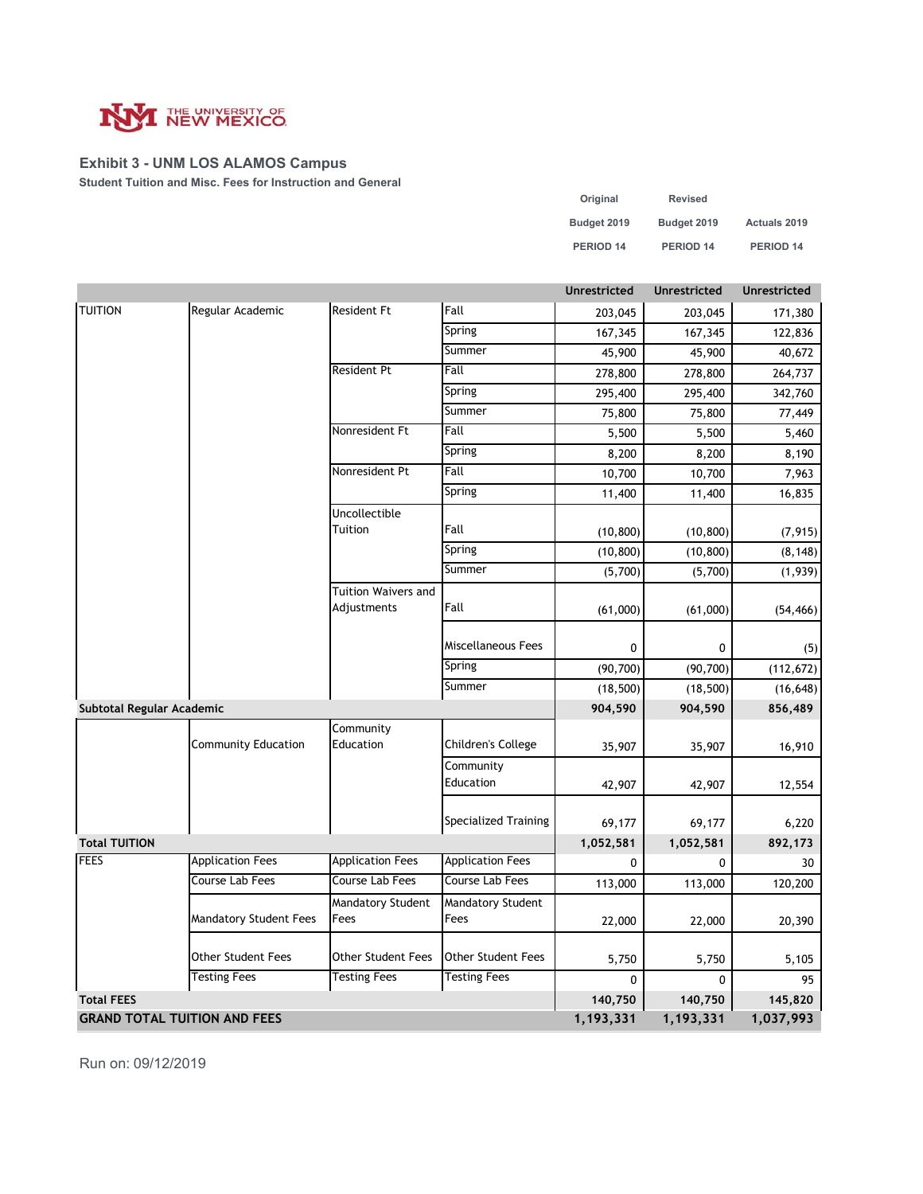

### **Exhibit 3 - UNM LOS ALAMOS Campus**

**Student Tuition and Misc. Fees for Instruction and General**

| Original    | Revised     |                     |
|-------------|-------------|---------------------|
| Budget 2019 | Budget 2019 | <b>Actuals 2019</b> |
| PERIOD 14   | PERIOD 14   | PERIOD 14           |

|                                     |                         |                                  |                                  | <b>Unrestricted</b> | Unrestricted | Unrestricted |
|-------------------------------------|-------------------------|----------------------------------|----------------------------------|---------------------|--------------|--------------|
| <b>TUITION</b>                      | Regular Academic        | <b>Resident Ft</b>               | Fall                             | 203,045             | 203,045      | 171,380      |
|                                     |                         |                                  | Spring                           | 167,345             | 167,345      | 122,836      |
|                                     |                         |                                  | Summer                           | 45,900              | 45,900       | 40,672       |
|                                     |                         | <b>Resident Pt</b>               | Fall                             | 278,800             | 278,800      | 264,737      |
|                                     |                         |                                  | Spring                           | 295,400             | 295,400      | 342,760      |
|                                     |                         |                                  | Summer                           | 75,800              | 75,800       | 77,449       |
|                                     |                         | Nonresident Ft                   | Fall                             | 5,500               | 5,500        | 5,460        |
|                                     |                         |                                  | Spring                           | 8,200               | 8,200        | 8,190        |
|                                     |                         | Nonresident Pt                   | Fall                             | 10,700              | 10,700       | 7,963        |
|                                     |                         |                                  | Spring                           | 11,400              | 11,400       | 16,835       |
|                                     |                         | Uncollectible                    |                                  |                     |              |              |
|                                     |                         | Tuition                          | Fall                             | (10, 800)           | (10, 800)    | (7, 915)     |
|                                     |                         |                                  | Spring                           | (10, 800)           | (10, 800)    | (8, 148)     |
|                                     |                         |                                  | Summer                           | (5,700)             | (5,700)      | (1,939)      |
|                                     |                         | Tuition Waivers and              |                                  |                     |              |              |
|                                     |                         | Adjustments                      | Fall                             | (61,000)            | (61,000)     | (54, 466)    |
|                                     |                         |                                  |                                  |                     |              |              |
|                                     |                         |                                  | Miscellaneous Fees               | 0                   | 0            | (5)          |
|                                     |                         |                                  | Spring                           | (90, 700)           | (90, 700)    | (112, 672)   |
|                                     |                         |                                  | Summer                           | (18, 500)           | (18, 500)    | (16, 648)    |
| Subtotal Regular Academic           |                         |                                  |                                  | 904,590             | 904,590      | 856,489      |
|                                     | Community Education     | Community<br>Education           | Children's College               | 35,907              | 35,907       | 16,910       |
|                                     |                         |                                  | Community<br>Education           | 42,907              | 42,907       | 12,554       |
|                                     |                         |                                  | Specialized Training             | 69,177              | 69,177       | 6,220        |
| <b>Total TUITION</b>                |                         |                                  |                                  | 1,052,581           | 1,052,581    | 892,173      |
| <b>FEES</b>                         | <b>Application Fees</b> | <b>Application Fees</b>          | <b>Application Fees</b>          | $\mathbf{0}$        | 0            | 30           |
|                                     | Course Lab Fees         | Course Lab Fees                  | Course Lab Fees                  | 113,000             | 113,000      | 120,200      |
|                                     | Mandatory Student Fees  | <b>Mandatory Student</b><br>Fees | <b>Mandatory Student</b><br>Fees | 22,000              | 22,000       | 20,390       |
|                                     | Other Student Fees      | Other Student Fees               | <b>Other Student Fees</b>        | 5,750               | 5,750        | 5,105        |
|                                     | <b>Testing Fees</b>     | <b>Testing Fees</b>              | <b>Testing Fees</b>              | 0                   | 0            | 95           |
| <b>Total FEES</b>                   |                         |                                  |                                  |                     |              | 145,820      |
| <b>GRAND TOTAL TUITION AND FEES</b> |                         |                                  |                                  | 1,193,331           | 1,193,331    | 1,037,993    |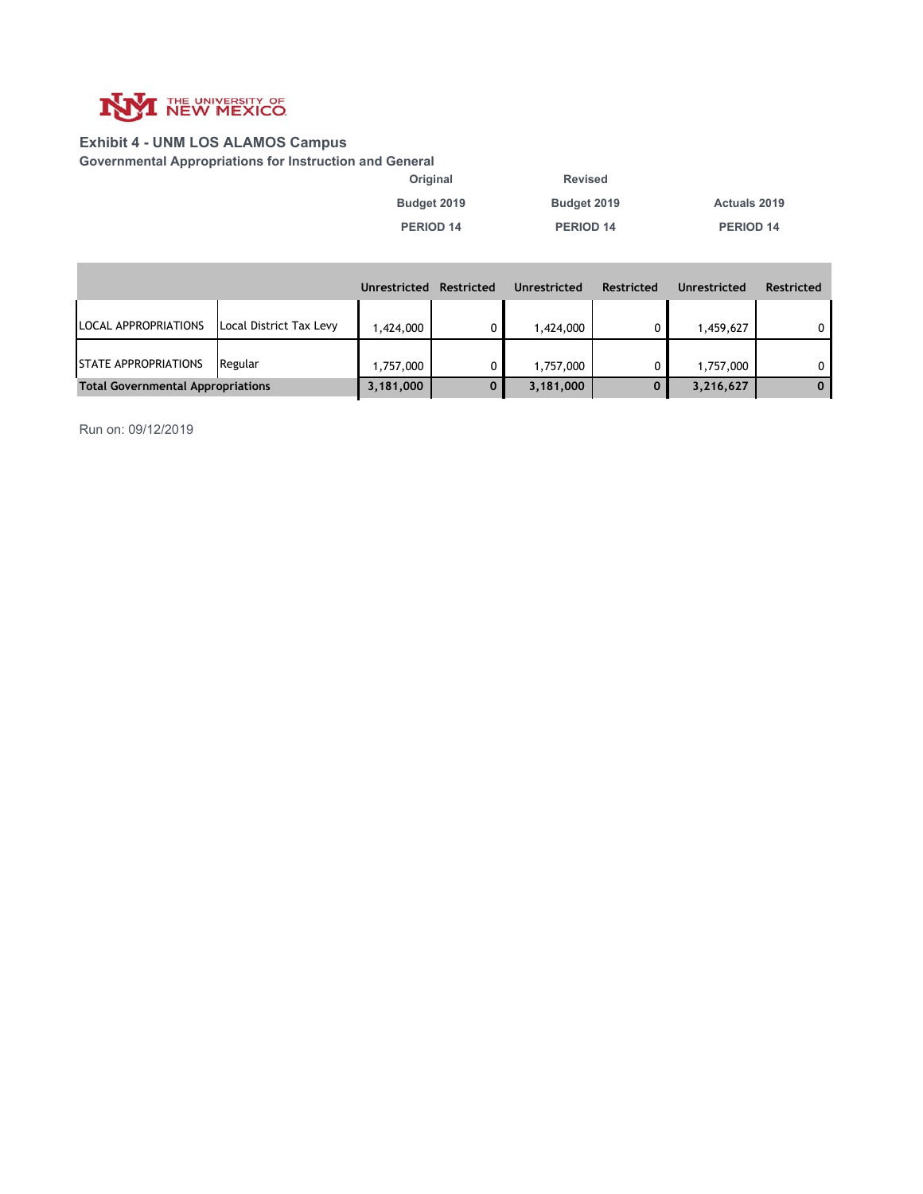

### **Exhibit 4 - UNM LOS ALAMOS Campus**

**Governmental Appropriations for Instruction and General**

**Budget 2019 Budget 2019 Actuals 2019 Original Revised**

**PERIOD 14 PERIOD 14 PERIOD 14**

|                                          |                         | Unrestricted | <b>Restricted</b> | Unrestricted | <b>Restricted</b> | Unrestricted | <b>Restricted</b> |
|------------------------------------------|-------------------------|--------------|-------------------|--------------|-------------------|--------------|-------------------|
| LOCAL APPROPRIATIONS                     | Local District Tax Levy | 1.424.000    |                   | 1,424,000    |                   | 1,459,627    | 0                 |
| <b>STATE APPROPRIATIONS</b>              | Regular                 | 1,757,000    |                   | 1,757,000    |                   | 1,757,000    | $\mathbf{0}$      |
| <b>Total Governmental Appropriations</b> |                         | 3,181,000    |                   | 3,181,000    | 0                 | 3,216,627    | $\mathbf{0}$      |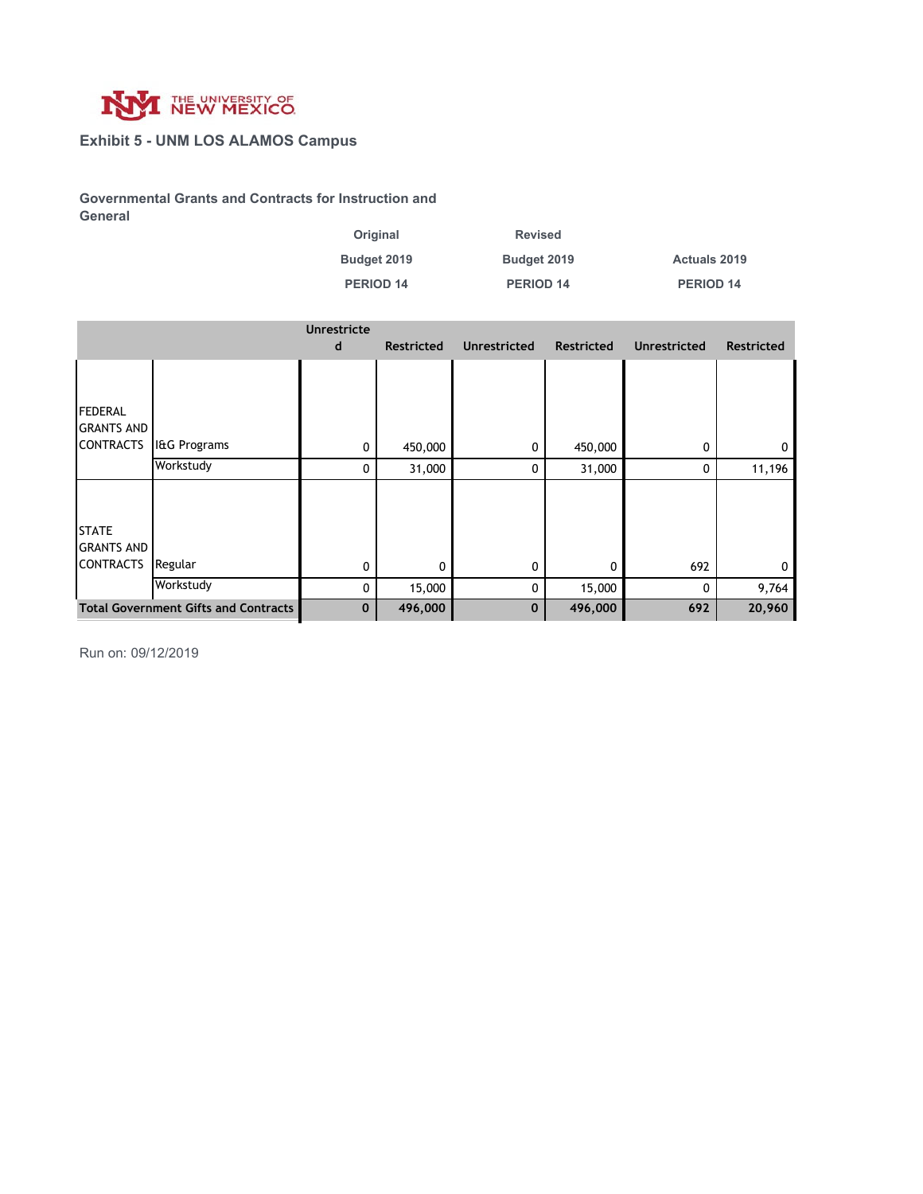

### **Exhibit 5 - UNM LOS ALAMOS Campus**

**Governmental Grants and Contracts for Instruction and General**

| Original    | <b>Revised</b> |                     |
|-------------|----------------|---------------------|
| Budget 2019 | Budget 2019    | <b>Actuals 2019</b> |
| PERIOD 14   | PERIOD 14      | PERIOD 14           |

|                                                         |                                             | <b>Unrestricte</b><br>d | <b>Restricted</b> | <b>Unrestricted</b> | <b>Restricted</b> | <b>Unrestricted</b> | <b>Restricted</b> |
|---------------------------------------------------------|---------------------------------------------|-------------------------|-------------------|---------------------|-------------------|---------------------|-------------------|
| <b>FEDERAL</b><br><b>GRANTS AND</b><br><b>CONTRACTS</b> | I&G Programs                                | 0                       | 450,000           | 0                   | 450,000           | 0                   | 0                 |
|                                                         | Workstudy                                   | 0                       | 31,000            | 0                   | 31,000            | 0                   | 11,196            |
| <b>STATE</b><br><b>GRANTS AND</b><br><b>CONTRACTS</b>   | Regular<br>Workstudy                        | 0<br>0                  | 0<br>15,000       | 0<br>0              | 0<br>15,000       | 692<br>$\Omega$     | 9,764             |
|                                                         | <b>Total Government Gifts and Contracts</b> | $\mathbf 0$             | 496,000           | $\mathbf 0$         | 496,000           | 692                 | 20,960            |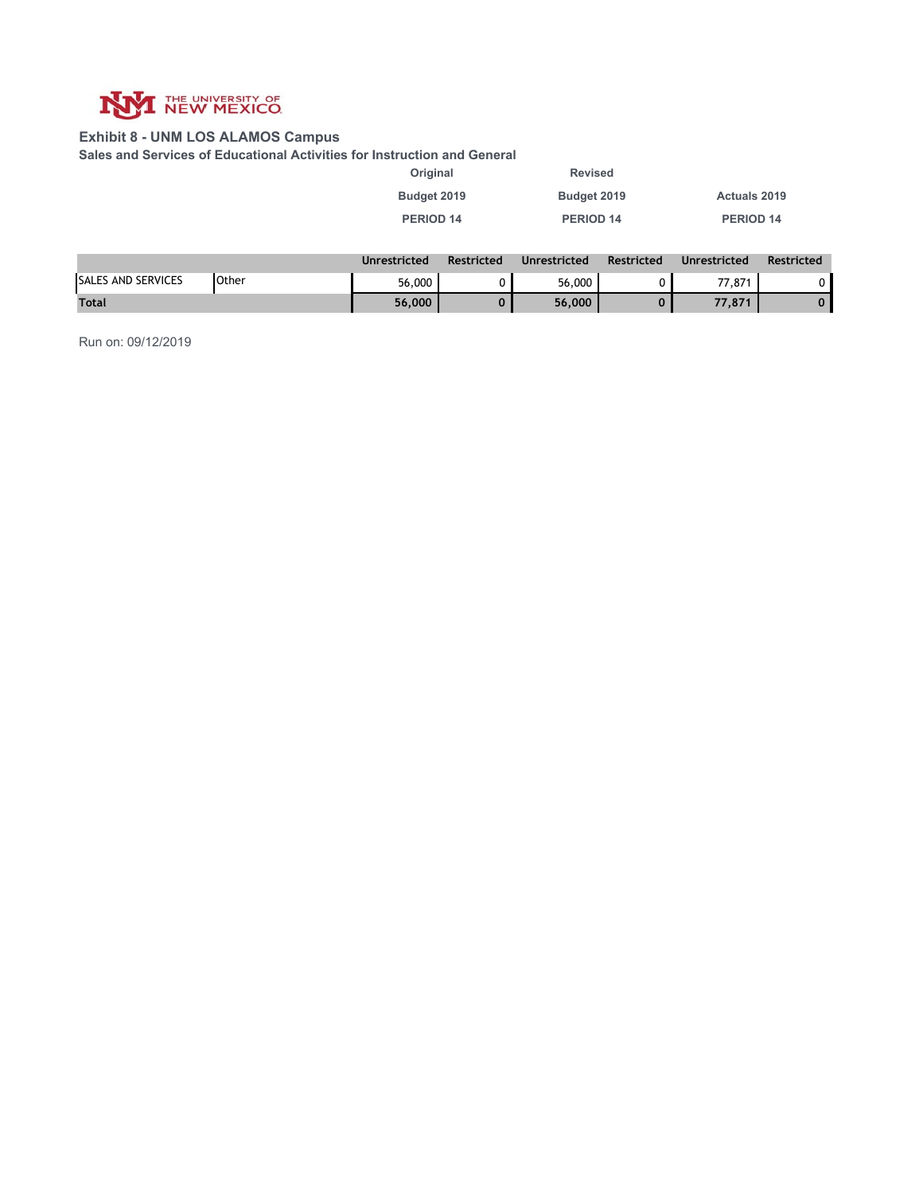

### **Exhibit 8 - UNM LOS ALAMOS Campus**

**Sales and Services of Educational Activities for Instruction and General**

| Original             |            | <b>Revised</b>       |            |                      |        |
|----------------------|------------|----------------------|------------|----------------------|--------|
| Budget 2019          |            | Budget 2019          |            | <b>Actuals 2019</b>  |        |
| PERIOD 14            |            | PERIOD 14            |            | PERIOD 14            |        |
|                      |            |                      |            |                      |        |
| <b>Ilnrestricted</b> | Restricted | <b>Ilnrestricted</b> | Restricted | <b>Ilnrestricted</b> | Restri |

|                           |              | Unrestricted | Restricted | Unrestricted | <b>Restricted</b> | Unrestricted | <b>Restricted</b> |
|---------------------------|--------------|--------------|------------|--------------|-------------------|--------------|-------------------|
| <b>SALES AND SERVICES</b> | <b>Other</b> | 56,000       |            | 56,000       |                   | 77,871       |                   |
| <b>Total</b>              |              | 56,000       |            | 56,000       |                   | 77.871       |                   |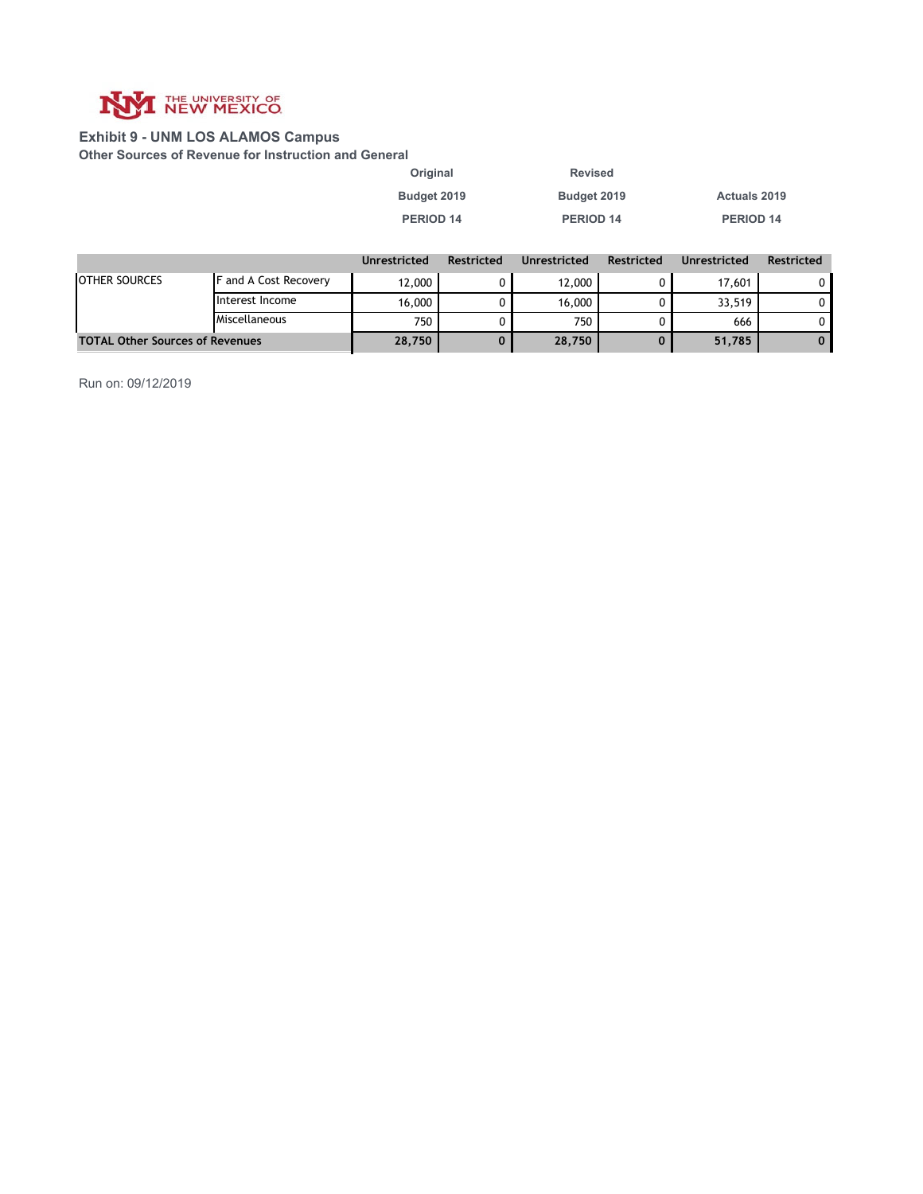

### **Exhibit 9 - UNM LOS ALAMOS Campus**

**Other Sources of Revenue for Instruction and General**

| Original    | Revised     |                     |
|-------------|-------------|---------------------|
| Budget 2019 | Budget 2019 | <b>Actuals 2019</b> |
| PERIOD 14   | PERIOD 14   | PERIOD 14           |

|                                        |                              | Unrestricted | <b>Restricted</b> | Unrestricted | <b>Restricted</b> | Unrestricted | <b>Restricted</b> |
|----------------------------------------|------------------------------|--------------|-------------------|--------------|-------------------|--------------|-------------------|
| <b>OTHER SOURCES</b>                   | <b>F</b> and A Cost Recovery | 12,000       |                   | 12,000       |                   | 17.601       |                   |
|                                        | Interest Income              | 16,000       |                   | 16,000       |                   | 33.519       |                   |
|                                        | Miscellaneous                | 750          |                   | 750          |                   | 666          |                   |
| <b>TOTAL Other Sources of Revenues</b> |                              | 28,750       |                   | 28,750       |                   | 51,785       |                   |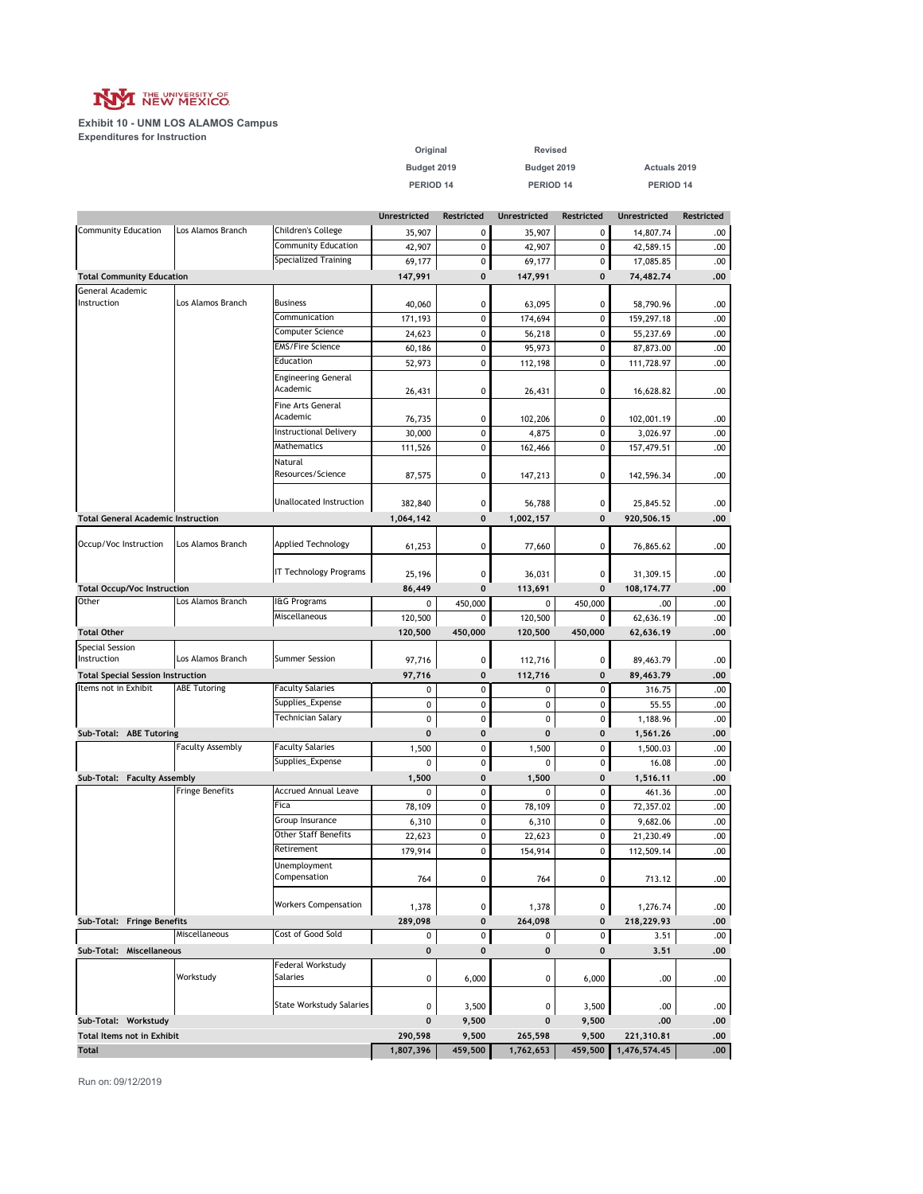

|                                                                  |                         |                                 | PERIOD 14           |             | PERIOD 14           |            | PERIOD 14           |            |
|------------------------------------------------------------------|-------------------------|---------------------------------|---------------------|-------------|---------------------|------------|---------------------|------------|
|                                                                  |                         |                                 | <b>Unrestricted</b> | Restricted  | <b>Unrestricted</b> | Restricted | <b>Unrestricted</b> | Restricted |
| <b>Community Education</b>                                       | Los Alamos Branch       | Children's College              | 35,907              | 0           | 35,907              | 0          | 14,807.74           | .00        |
|                                                                  |                         | <b>Community Education</b>      | 42,907              | 0           | 42,907              | 0          | 42,589.15           | .00.       |
|                                                                  |                         | Specialized Training            | 69,177              | 0           | 69,177              | 0          | 17,085.85           | .00        |
| <b>Total Community Education</b>                                 |                         |                                 | 147,991             | 0           | 147,991             | 0          | 74,482.74           | .00        |
| General Academic                                                 |                         |                                 |                     |             |                     |            |                     |            |
| Instruction                                                      | Los Alamos Branch       | <b>Business</b>                 | 40,060              | 0           | 63,095              | 0          | 58,790.96           | .00        |
|                                                                  |                         | Communication                   | 171,193             | 0           | 174,694             | 0          | 159,297.18          | .00        |
|                                                                  |                         | Computer Science                | 24,623              | 0           | 56,218              | 0          | 55,237.69           | .00        |
|                                                                  |                         | <b>EMS/Fire Science</b>         | 60,186              | 0           | 95,973              | 0          | 87,873.00           | .00        |
|                                                                  |                         | Education                       | 52,973              | 0           | 112,198             | 0          | 111,728.97          | .00        |
|                                                                  |                         | <b>Engineering General</b>      |                     |             |                     |            |                     |            |
|                                                                  |                         | Academic                        | 26,431              | 0           | 26,431              | 0          | 16,628.82           | .00        |
|                                                                  |                         | Fine Arts General               |                     |             |                     |            |                     |            |
|                                                                  |                         | Academic                        | 76,735              | 0           | 102,206             | 0          | 102,001.19          | .00        |
|                                                                  |                         | <b>Instructional Delivery</b>   | 30,000              | 0           | 4,875               | 0          | 3,026.97            | .00        |
|                                                                  |                         | <b>Mathematics</b>              | 111,526             | $\pmb{0}$   | 162,466             | 0          | 157,479.51          | .00        |
|                                                                  |                         | Natural                         |                     |             |                     |            |                     |            |
|                                                                  |                         | Resources/Science               | 87,575              | 0           | 147,213             | 0          | 142,596.34          | .00        |
|                                                                  |                         |                                 |                     |             |                     |            |                     |            |
|                                                                  |                         | Unallocated Instruction         | 382,840             | 0           | 56,788              | 0          | 25,845.52           | .00        |
| <b>Total General Academic Instruction</b>                        |                         |                                 | 1,064,142           | $\mathbf 0$ | 1,002,157           | 0          | 920,506.15          | .00        |
| Occup/Voc Instruction                                            | Los Alamos Branch       | <b>Applied Technology</b>       |                     |             |                     |            |                     |            |
|                                                                  |                         |                                 | 61,253              | 0           | 77,660              | 0          | 76,865.62           | .00        |
|                                                                  |                         | IT Technology Programs          | 25,196              | 0           |                     | 0          |                     |            |
|                                                                  |                         |                                 |                     |             | 36,031              |            | 31,309.15           | .00        |
| <b>Total Occup/Voc Instruction</b><br>Other                      | Los Alamos Branch       | I&G Programs                    | 86,449              | $\mathbf 0$ | 113,691             | 0          | 108,174.77          | .00        |
|                                                                  |                         | Miscellaneous                   | 0                   | 450,000     | 0                   | 450,000    | .00                 | .00.       |
|                                                                  |                         |                                 | 120,500             | 0           | 120,500             | 0          | 62,636.19           | .00        |
| <b>Total Other</b>                                               |                         |                                 | 120,500             | 450,000     | 120,500             | 450,000    | 62,636.19           | .00        |
| <b>Special Session</b><br>Instruction                            | Los Alamos Branch       | <b>Summer Session</b>           |                     |             |                     | 0          |                     |            |
|                                                                  |                         |                                 | 97,716<br>97,716    | 0<br>0      | 112,716             | 0          | 89,463.79           | .00<br>.00 |
| <b>Total Special Session Instruction</b><br>Items not in Exhibit | <b>ABE Tutoring</b>     | <b>Faculty Salaries</b>         | 0                   | 0           | 112,716<br>0        | 0          | 89,463.79<br>316.75 | .00.       |
|                                                                  |                         | Supplies_Expense                | 0                   | $\pmb{0}$   | 0                   | 0          |                     | .00.       |
|                                                                  |                         | Technician Salary               |                     |             |                     |            | 55.55               |            |
|                                                                  |                         |                                 | 0                   | 0           | 0                   | 0          | 1,188.96            | .00        |
| Sub-Total: ABE Tutoring                                          | <b>Faculty Assembly</b> | <b>Faculty Salaries</b>         | $\mathbf 0$         | $\mathbf 0$ | 0                   | 0          | 1,561.26            | .00        |
|                                                                  |                         | Supplies_Expense                | 1,500               | 0           | 1,500               | 0          | 1,500.03            | .00.       |
|                                                                  |                         |                                 | 0                   | 0           | 0                   | 0          | 16.08               | .00        |
| Sub-Total: Faculty Assembly                                      | <b>Fringe Benefits</b>  | <b>Accrued Annual Leave</b>     | 1,500               | 0           | 1,500               | 0          | 1,516.11            | .00        |
|                                                                  |                         | Fica                            | 0                   | 0           | 0                   | 0          | 461.36              | .00        |
|                                                                  |                         | Group Insurance                 | 78,109              | 0           | 78,109              | 0          | 72,357.02           | .00        |
|                                                                  |                         |                                 | 6,310               | 0           | 6,310               | 0          | 9,682.06            | .00.       |
|                                                                  |                         | <b>Other Staff Benefits</b>     | 22,623              | 0           | 22,623              | 0          | 21,230.49           | .00        |
|                                                                  |                         | Retirement                      | 179,914             | 0           | 154,914             | 0          | 112,509.14          | .00.       |
|                                                                  |                         | Unemployment<br>Compensation    |                     |             |                     |            |                     |            |
|                                                                  |                         |                                 | 764                 | 0           | 764                 | 0          | 713.12              | .00        |
|                                                                  |                         | <b>Workers Compensation</b>     |                     |             |                     |            |                     |            |
|                                                                  |                         |                                 | 1,378               | 0           | 1,378               | 0          | 1,276.74            | .00        |
| Sub-Total: Fringe Benefits                                       | Miscellaneous           | Cost of Good Sold               | 289,098             | 0           | 264,098             | $\pmb{0}$  | 218,229.93          | .00        |
|                                                                  |                         |                                 | 0                   | 0           | 0                   | 0          | 3.51                | .00        |
| Sub-Total: Miscellaneous                                         |                         |                                 | 0                   | 0           | 0                   | 0          | 3.51                | .00        |
|                                                                  | Workstudy               | Federal Workstudy<br>Salaries   |                     |             |                     |            |                     |            |
|                                                                  |                         |                                 | 0                   | 6,000       | 0                   | 6,000      | .00                 | .00        |
|                                                                  |                         | <b>State Workstudy Salaries</b> |                     |             |                     |            |                     |            |
|                                                                  |                         |                                 | 0                   | 3,500       | 0                   | 3,500      | .00                 | .00.       |
| Sub-Total: Workstudy                                             |                         |                                 | $\bf{0}$            | 9,500       | 0                   | 9,500      | .00                 | .00        |
| <b>Total Items not in Exhibit</b>                                |                         |                                 | 290,598             | 9,500       | 265,598             | 9,500      | 221,310.81          | .00        |
| <b>Total</b>                                                     |                         |                                 | 1,807,396           | 459,500     | 1,762,653           | 459,500    | 1,476,574.45        | .00        |

**Budget 2019 Budget 2019 Actuals 2019**

**Original Revised**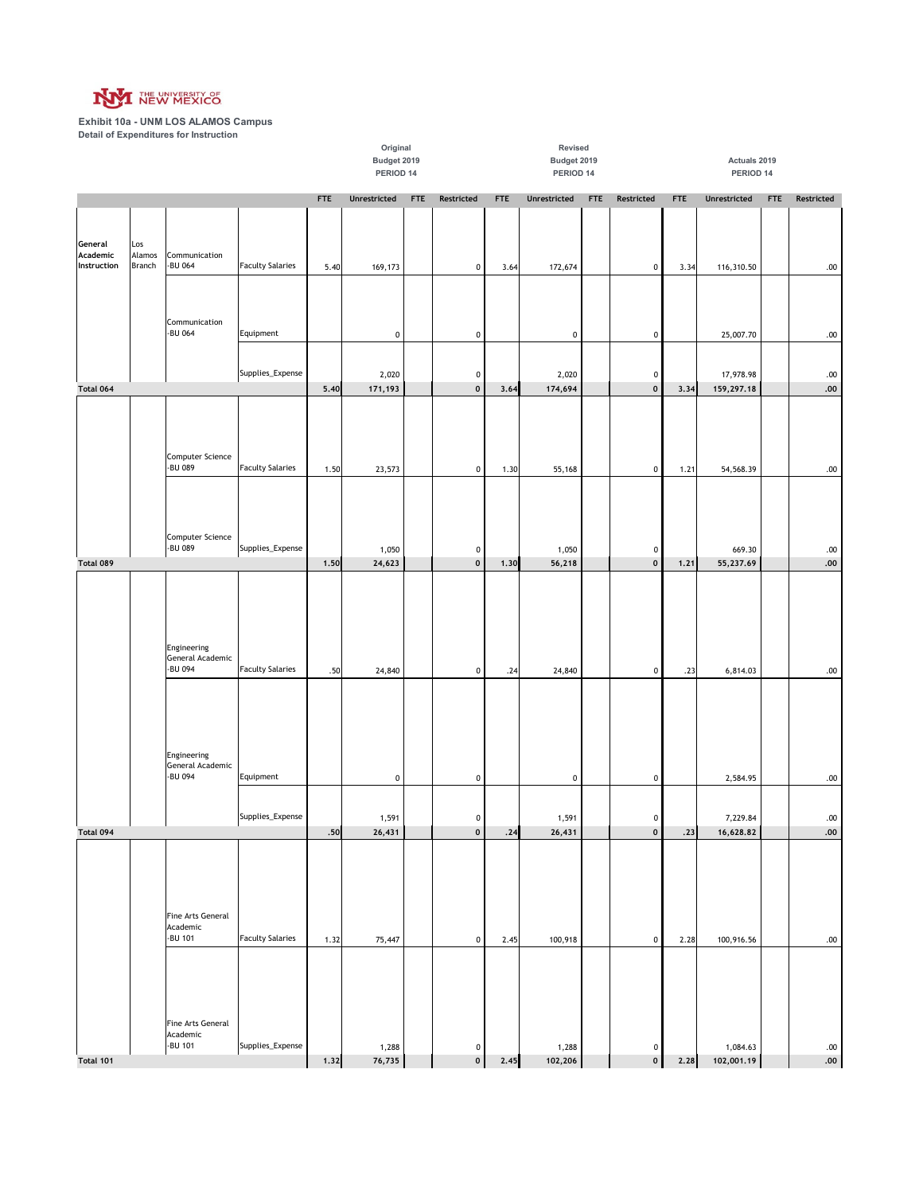

|                                    |                                |                                                               |                         |                                                                                   | Original<br>Budget 2019 |  |                             |      | Revised<br>Budget 2019 |            |                                        |            | Actuals 2019            |            |                    |
|------------------------------------|--------------------------------|---------------------------------------------------------------|-------------------------|-----------------------------------------------------------------------------------|-------------------------|--|-----------------------------|------|------------------------|------------|----------------------------------------|------------|-------------------------|------------|--------------------|
|                                    |                                |                                                               |                         | PERIOD 14<br><b>FTE</b><br>Unrestricted<br>Restricted<br><b>FTE</b><br><b>FTE</b> |                         |  |                             |      |                        | PERIOD 14  |                                        |            | PERIOD 14               |            |                    |
|                                    |                                |                                                               |                         |                                                                                   |                         |  |                             |      | Unrestricted           | <b>FTE</b> | Restricted                             | <b>FTE</b> | Unrestricted            | <b>FTE</b> | Restricted         |
| General<br>Academic<br>Instruction | Los<br>Alamos<br><b>Branch</b> | Communication<br>-BU 064                                      | <b>Faculty Salaries</b> | 5.40                                                                              | 169,173                 |  | 0                           | 3.64 | 172,674                |            | $\pmb{0}$                              | 3.34       | 116,310.50              |            | .00                |
|                                    |                                | Communication<br>-BU 064                                      | Equipment               |                                                                                   | $\pmb{0}$               |  | $\mathbf 0$                 |      | $\pmb{0}$              |            | $\pmb{0}$                              |            | 25,007.70               |            | $.00\,$            |
| Total 064                          |                                |                                                               | Supplies_Expense        | 5.40                                                                              | 2,020<br>171,193        |  | 0<br>$\mathbf 0$            | 3.64 | 2,020<br>174,694       |            | $\pmb{0}$<br>$\pmb{0}$                 | 3.34       | 17,978.98<br>159,297.18 |            | .00<br>${\bf .00}$ |
|                                    |                                | Computer Science<br>-BU 089                                   | <b>Faculty Salaries</b> | 1.50                                                                              | 23,573                  |  | $\mathbf 0$                 | 1.30 | 55,168                 |            | $\pmb{0}$                              | 1.21       | 54,568.39               |            | $.00 \,$           |
|                                    |                                | Computer Science<br>-BU 089                                   | Supplies_Expense        |                                                                                   |                         |  |                             |      |                        |            |                                        |            |                         |            |                    |
| Total 089                          |                                |                                                               |                         | 1,50                                                                              | 1,050<br>24,623         |  | 0<br>$\mathbf 0$            | 1,30 | 1,050<br>56,218        |            | $\pmb{0}$<br>$\pmb{\mathsf{0}}$        | 1,21       | 669.30<br>55,237.69     |            | .00<br>${\bf .00}$ |
|                                    |                                | Engineering<br>General Academic<br>-BU 094                    | <b>Faculty Salaries</b> | .50                                                                               | 24,840                  |  | $\mathbf 0$                 | .24  | 24,840                 |            | $\pmb{0}$                              | .23        | 6,814.03                |            | .00                |
|                                    |                                | Engineering<br>General Academic<br>-BU 094                    | Equipment               |                                                                                   | $\pmb{0}$               |  | 0                           |      | $\pmb{0}$              |            | $\pmb{0}$                              |            | 2,584.95                |            | $.00\,$            |
| L<br>Total 094                     |                                |                                                               | Supplies_Expense        | .50                                                                               | 1,591<br>26,431         |  | $\mathbf{0}$<br>$\mathbf 0$ | .24  | 1,591<br>26,431        |            | $\boldsymbol{0}$<br>$\pmb{\mathsf{o}}$ | .23        | 7,229.84<br>16,628.82   |            | .00<br>.00         |
|                                    |                                | Fine Arts General<br>Academic<br>-BU 101<br>Fine Arts General | <b>Faculty Salaries</b> | 1.32                                                                              | 75,447                  |  | $\circ$                     | 2.45 | 100,918                |            | $\pmb{0}$                              | 2.28       | 100,916.56              |            | .00                |
| Total 101                          |                                | Academic<br>-BU 101                                           | Supplies_Expense        | 1.32                                                                              | 1,288<br>76,735         |  | $\mathbf 0$<br>$\mathbf 0$  | 2,45 | 1,288<br>102,206       |            | $\pmb{0}$<br>$\pmb{\mathsf{o}}$        | 2.28       | 1,084.63<br>102,001.19  |            | .00<br>${\bf .00}$ |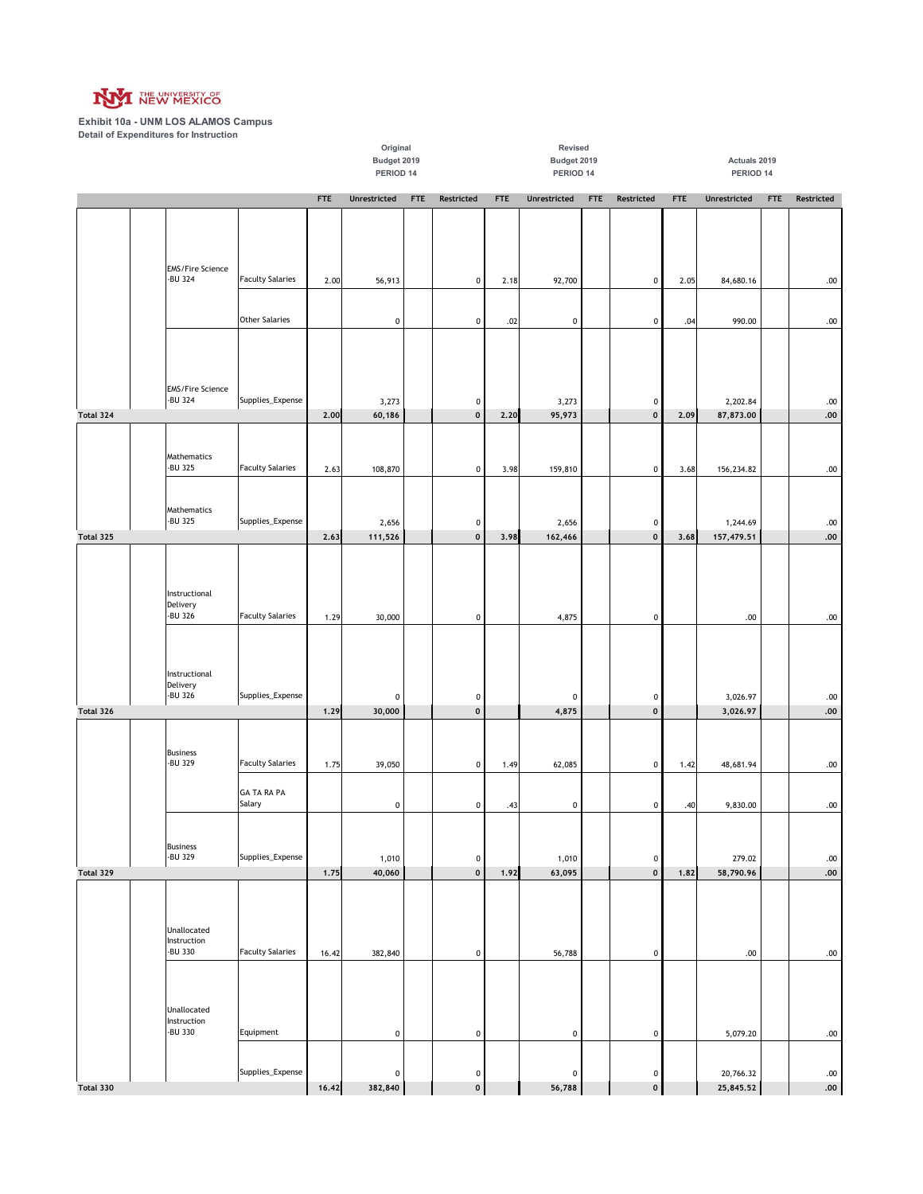

|           |                                       |                              |            | Original<br>Budget 2019<br>PERIOD 14 |            |                  |            | Revised<br>Budget 2019<br>PERIOD 14 |            |                                 |            | Actuals 2019<br>PERIOD 14 |            |                    |
|-----------|---------------------------------------|------------------------------|------------|--------------------------------------|------------|------------------|------------|-------------------------------------|------------|---------------------------------|------------|---------------------------|------------|--------------------|
|           |                                       |                              | <b>FTE</b> | Unrestricted                         | <b>FTE</b> | Restricted       | <b>FTE</b> | <b>Unrestricted</b>                 | <b>FTE</b> | Restricted                      | <b>FTE</b> | Unrestricted              | <b>FTE</b> | Restricted         |
|           | <b>EMS/Fire Science</b>               |                              |            |                                      |            |                  |            |                                     |            |                                 |            |                           |            |                    |
|           | -BU 324                               | <b>Faculty Salaries</b>      | 2.00       | 56,913                               |            | 0                | 2.18       | 92,700                              |            | $\pmb{0}$                       | 2.05       | 84,680.16                 |            | $.00$              |
|           |                                       | <b>Other Salaries</b>        |            | $\mathbf 0$                          |            | 0                | .02        | $\pmb{0}$                           |            | $\pmb{0}$                       | .04        | 990.00                    |            | $.00$              |
|           | <b>EMS/Fire Science</b><br>-BU 324    | Supplies_Expense             |            | 3,273                                |            | 0                |            | 3,273                               |            | 0                               |            | 2,202.84                  |            | .00                |
| Total 324 |                                       |                              | 2.00       | 60,186                               |            | $\mathbf 0$      | 2,20       | 95,973                              |            | $\pmb{\mathsf{o}}$              | 2.09       | 87,873.00                 |            | ${\bf .00}$        |
|           | Mathematics<br>-BU 325                | <b>Faculty Salaries</b>      | 2.63       | 108,870                              |            | 0                | 3.98       | 159,810                             |            | 0                               | 3.68       | 156,234.82                |            | $.00\,$            |
| Total 325 | Mathematics<br>-BU 325                | Supplies_Expense             | 2.63       | 2,656<br>111,526                     |            | 0<br>$\mathbf 0$ | 3.98       | 2,656<br>162,466                    |            | $\pmb{0}$<br>$\pmb{\mathsf{o}}$ | 3.68       | 1,244.69<br>157,479.51    |            | $.00$<br>$.00$     |
|           |                                       |                              |            |                                      |            |                  |            |                                     |            |                                 |            |                           |            |                    |
|           | Instructional<br>Delivery<br>-BU 326  | <b>Faculty Salaries</b>      | 1.29       | 30,000                               |            | $\mathbf 0$      |            | 4,875                               |            | $\pmb{0}$                       |            | $.00$                     |            | $.00\,$            |
|           | Instructional<br>Delivery<br>-BU 326  | Supplies_Expense             |            | $\pmb{0}$                            |            | 0                |            | $\pmb{0}$                           |            | 0                               |            | 3,026.97                  |            | .00                |
| Total 326 |                                       |                              | 1.29       | 30,000                               |            | $\mathbf 0$      |            | 4,875                               |            | $\pmb{\mathsf{o}}$              |            | 3,026.97                  |            | ${\bf .00}$        |
|           | <b>Business</b><br>-BU 329            | <b>Faculty Salaries</b>      | 1.75       | 39,050                               |            | 0                | 1.49       | 62,085                              |            | $\pmb{0}$                       | 1.42       | 48,681.94                 |            | .00                |
|           |                                       | <b>GA TA RA PA</b><br>Salary |            | $\pmb{0}$                            |            | 0                | .43        | $\pmb{0}$                           |            | $\pmb{0}$                       | .40        | 9,830.00                  |            | .00.               |
| Total 329 | <b>Business</b><br>-BU 329            | Supplies_Expense             | 1.75       | 1,010<br>40,060                      |            | 0<br>$\mathbf 0$ | 1.92       | 1,010<br>63,095                     |            | $\pmb{0}$<br>$\pmb{0}$          | 1.82       | 279.02<br>58,790.96       |            | .00<br>${\bf .00}$ |
|           |                                       |                              |            |                                      |            |                  |            |                                     |            |                                 |            |                           |            |                    |
|           | Unallocated<br>Instruction<br>-BU 330 | <b>Faculty Salaries</b>      | 16.42      | 382,840                              |            | 0                |            | 56,788                              |            | $\pmb{0}$                       |            | $.00$                     |            | .00                |
|           | Unallocated<br>Instruction<br>-BU 330 | Equipment                    |            | $\pmb{0}$                            |            | $\mathbf 0$      |            | $\pmb{0}$                           |            | $\pmb{0}$                       |            | 5,079.20                  |            | .00.               |
|           |                                       | Supplies_Expense             |            | $\pmb{0}$                            |            | 0                |            | $\pmb{0}$                           |            | 0                               |            | 20,766.32                 |            | .00                |
| Total 330 |                                       |                              | 16.42      | 382,840                              |            | $\mathbf 0$      |            | 56,788                              |            | $\pmb{\mathsf{o}}$              |            | 25,845.52                 |            | .00.               |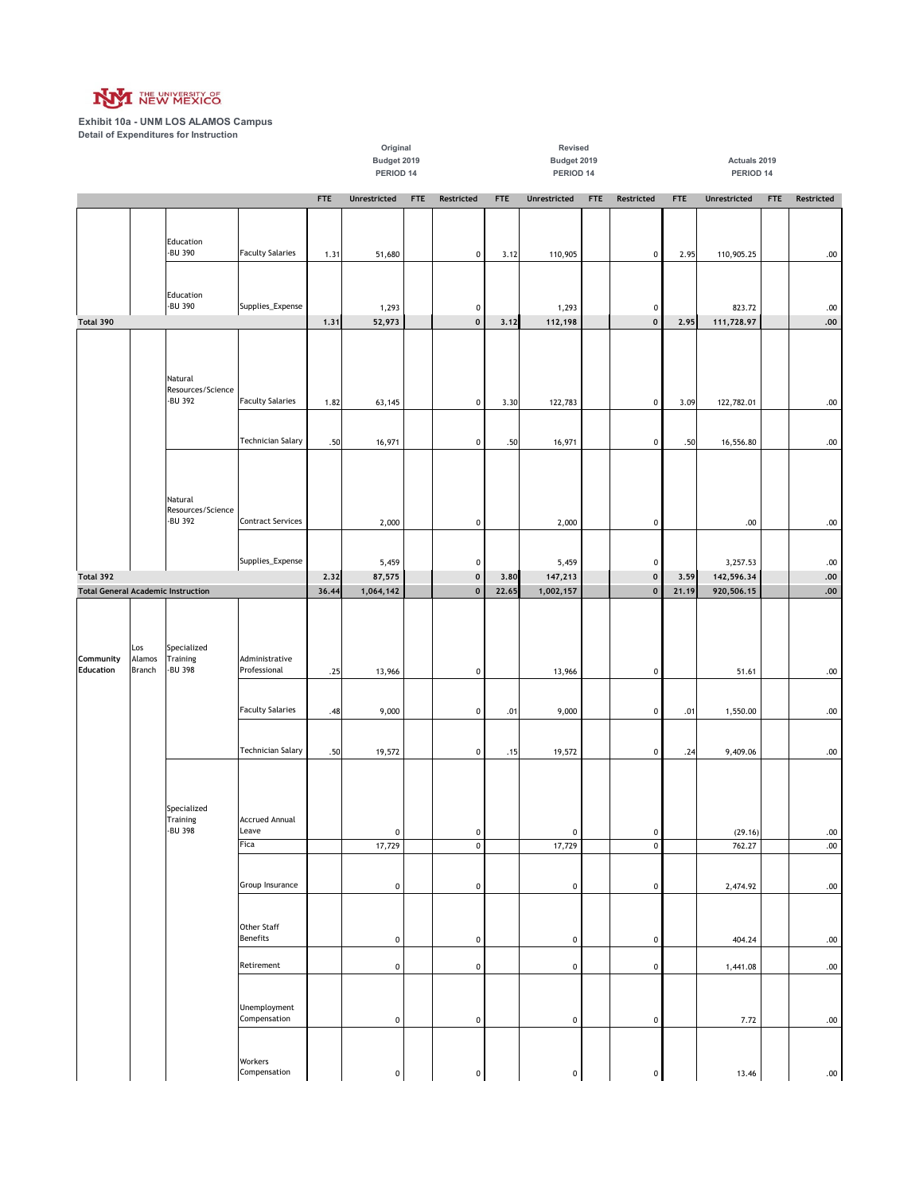

|                                           |               |                              |                          |            | Budget 2019<br>PERIOD 14 |            |                          |            | Budget 2019<br>PERIOD 14 |            |                                 |            | Actuals 2019<br>PERIOD 14 |            |                        |
|-------------------------------------------|---------------|------------------------------|--------------------------|------------|--------------------------|------------|--------------------------|------------|--------------------------|------------|---------------------------------|------------|---------------------------|------------|------------------------|
|                                           |               |                              |                          |            |                          |            |                          |            |                          |            |                                 |            |                           |            |                        |
|                                           |               |                              |                          | <b>FTE</b> | Unrestricted             | <b>FTE</b> | Restricted               | <b>FTE</b> | Unrestricted             | <b>FTE</b> | Restricted                      | <b>FTE</b> | Unrestricted              | <b>FTE</b> | Restricted             |
|                                           |               |                              |                          |            |                          |            |                          |            |                          |            |                                 |            |                           |            |                        |
|                                           |               | Education<br>-BU 390         | <b>Faculty Salaries</b>  | 1.31       | 51,680                   |            | $\mathbf 0$              | 3.12       | 110,905                  |            | $\pmb{0}$                       | 2.95       | 110,905.25                |            | .00                    |
|                                           |               |                              |                          |            |                          |            |                          |            |                          |            |                                 |            |                           |            |                        |
|                                           |               | Education                    |                          |            |                          |            |                          |            |                          |            |                                 |            |                           |            |                        |
|                                           |               | -BU 390                      | Supplies_Expense         |            | 1,293                    |            | $\pmb{0}$<br>$\mathbf 0$ |            | 1,293                    |            | $\pmb{0}$<br>$\pmb{\mathsf{o}}$ |            | 823.72                    |            | $.00\,$                |
| Total 390                                 |               |                              |                          | 1,31       | 52,973                   |            |                          | 3.12       | 112,198                  |            |                                 | 2.95       | 111,728.97                |            | ${\bf .00}$            |
|                                           |               |                              |                          |            |                          |            |                          |            |                          |            |                                 |            |                           |            |                        |
|                                           |               | Natural                      |                          |            |                          |            |                          |            |                          |            |                                 |            |                           |            |                        |
|                                           |               | Resources/Science<br>-BU 392 | <b>Faculty Salaries</b>  | 1.82       | 63,145                   |            | $\mathbf 0$              | 3.30       | 122,783                  |            | $\pmb{0}$                       | 3.09       | 122,782.01                |            | $.00\,$                |
|                                           |               |                              |                          |            |                          |            |                          |            |                          |            |                                 |            |                           |            |                        |
|                                           |               |                              | <b>Technician Salary</b> | .50        | 16,971                   |            | $\mathbf 0$              | .50        | 16,971                   |            | 0                               | .50        | 16,556.80                 |            | .00                    |
|                                           |               |                              |                          |            |                          |            |                          |            |                          |            |                                 |            |                           |            |                        |
|                                           |               |                              |                          |            |                          |            |                          |            |                          |            |                                 |            |                           |            |                        |
|                                           |               | Natural                      |                          |            |                          |            |                          |            |                          |            |                                 |            |                           |            |                        |
|                                           |               | Resources/Science<br>-BU 392 | <b>Contract Services</b> |            | 2,000                    |            | $\mathbf 0$              |            | 2,000                    |            | $\pmb{0}$                       |            | .00                       |            | .00.                   |
|                                           |               |                              |                          |            |                          |            |                          |            |                          |            |                                 |            |                           |            |                        |
|                                           |               |                              | Supplies_Expense         |            | 5,459                    |            | $\pmb{0}$                |            | 5,459                    |            | $\pmb{0}$                       |            | 3,257.53                  |            | $.00$                  |
| Total 392                                 |               |                              |                          | 2,32       | 87,575                   |            | $\mathbf 0$              | 3,80       | 147,213                  |            | $\pmb{0}$                       | 3,59       | 142,596.34                |            | ${\bf .00}$            |
| <b>Total General Academic Instruction</b> |               |                              |                          | 36.44      | 1,064,142                |            | $\mathbf 0$              | 22.65      | 1,002,157                |            | $\mathbf 0$                     | 21.19      | 920,506.15                |            | .00.                   |
|                                           |               |                              |                          |            |                          |            |                          |            |                          |            |                                 |            |                           |            |                        |
|                                           |               |                              |                          |            |                          |            |                          |            |                          |            |                                 |            |                           |            |                        |
| Community                                 | Los<br>Alamos | Specialized<br>Training      | Administrative           |            |                          |            |                          |            |                          |            |                                 |            |                           |            |                        |
| <b>Education</b>                          | <b>Branch</b> | -BU 398                      | Professional             | .25        | 13,966                   |            | $\pmb{0}$                |            | 13,966                   |            | $\pmb{0}$                       |            | 51.61                     |            | $.00\,$                |
|                                           |               |                              |                          |            |                          |            |                          |            |                          |            |                                 |            |                           |            |                        |
|                                           |               |                              | <b>Faculty Salaries</b>  | .48        | 9,000                    |            | $\pmb{0}$                | .01        | 9,000                    |            | $\pmb{0}$                       | .01        | 1,550.00                  |            | .00                    |
|                                           |               |                              |                          |            |                          |            |                          |            |                          |            |                                 |            |                           |            |                        |
|                                           |               |                              | <b>Technician Salary</b> | .50        | 19,572                   |            | $\mathbf 0$              | .15        | 19,572                   |            | $\pmb{0}$                       | .24        | 9,409.06                  |            | $.00\,$                |
|                                           |               |                              |                          |            |                          |            |                          |            |                          |            |                                 |            |                           |            |                        |
|                                           |               |                              |                          |            |                          |            |                          |            |                          |            |                                 |            |                           |            |                        |
|                                           |               | Specialized<br>Training      | <b>Accrued Annual</b>    |            |                          |            |                          |            |                          |            |                                 |            |                           |            |                        |
|                                           |               | -BU 398                      | Leave<br>Fica            |            | $\mathbf 0$<br>17,729    |            | $\pmb{0}$<br>$\pmb{0}$   |            | $\pmb{0}$<br>17,729      |            | $\pmb{0}$<br>$\pmb{0}$          |            | (29.16)<br>762.27         |            | $.00\,$<br>${\bf .00}$ |
|                                           |               |                              |                          |            |                          |            |                          |            |                          |            |                                 |            |                           |            |                        |
|                                           |               |                              | Group Insurance          |            | $\pmb{0}$                |            | $\mathbf 0$              |            | $\mathbf 0$              |            | 0                               |            | 2,474.92                  |            | $.00 \,$               |
|                                           |               |                              |                          |            |                          |            |                          |            |                          |            |                                 |            |                           |            |                        |
|                                           |               |                              | Other Staff              |            |                          |            |                          |            |                          |            |                                 |            |                           |            |                        |
|                                           |               |                              | <b>Benefits</b>          |            | $\pmb{0}$                |            | $\mathbf 0$              |            | $\pmb{0}$                |            | 0                               |            | 404.24                    |            | .00                    |
|                                           |               |                              | Retirement               |            | $\pmb{0}$                |            | $\mathbf 0$              |            | $\pmb{0}$                |            | 0                               |            | 1,441.08                  |            | .00                    |
|                                           |               |                              |                          |            |                          |            |                          |            |                          |            |                                 |            |                           |            |                        |
|                                           |               |                              | Unemployment             |            |                          |            |                          |            |                          |            |                                 |            |                           |            |                        |
|                                           |               |                              | Compensation             |            | $\pmb{0}$                |            | $\mathbf 0$              |            | $\pmb{0}$                |            | $\pmb{0}$                       |            | 7.72                      |            | $.00\,$                |
|                                           |               |                              |                          |            |                          |            |                          |            |                          |            |                                 |            |                           |            |                        |
|                                           |               |                              | Workers<br>Compensation  |            |                          |            |                          |            |                          |            |                                 |            |                           |            |                        |
|                                           |               |                              |                          |            | $\pmb{0}$                |            | $\circ$                  |            | $\pmb{0}$                |            | $\pmb{0}$                       |            | 13.46                     |            | .00.                   |

**Original Revised**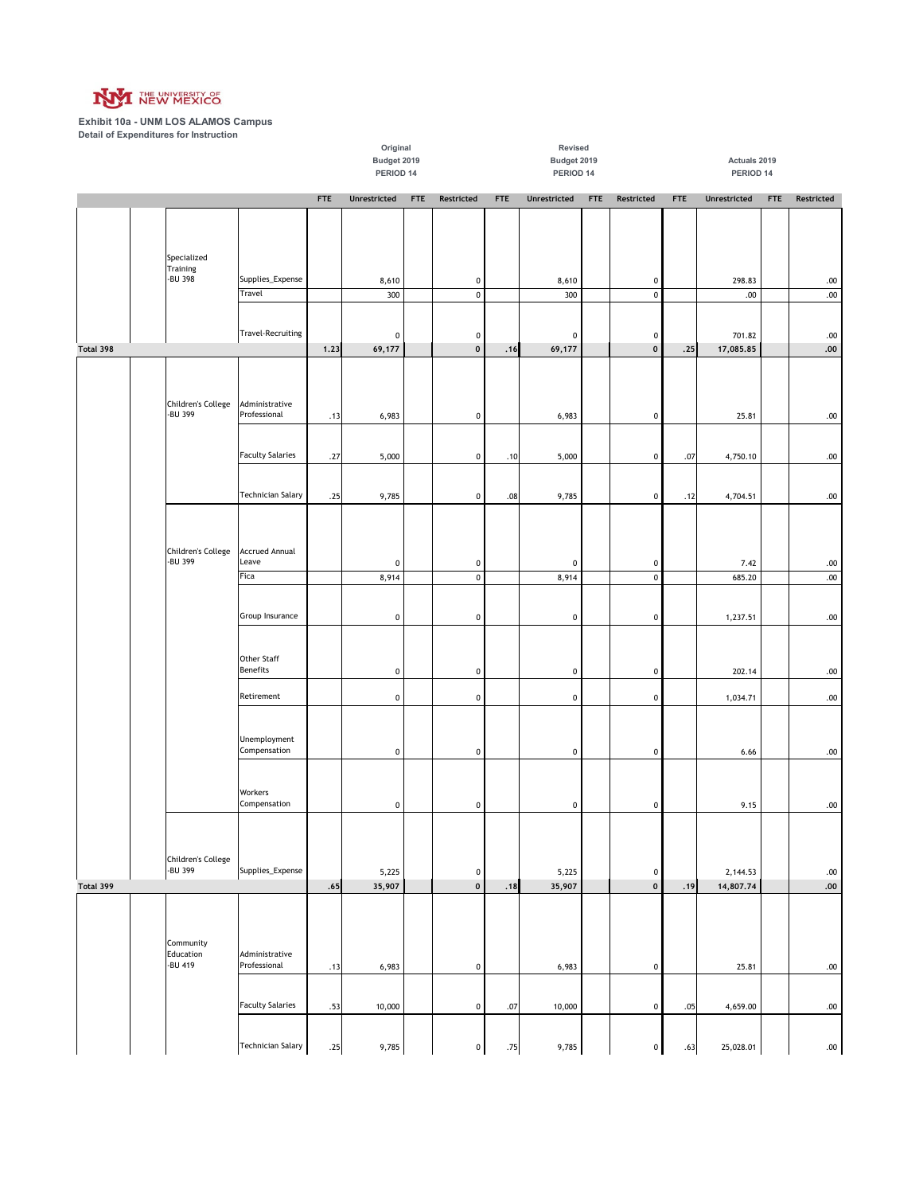

|           | Budget 2019<br>PERIOD 14 |                                          |      |                    |  |                  | Budget 2019<br>Actuals 2019<br>PERIOD 14<br>PERIOD 14 |                      |            |                        |            |                |            |                  |
|-----------|--------------------------|------------------------------------------|------|--------------------|--|------------------|-------------------------------------------------------|----------------------|------------|------------------------|------------|----------------|------------|------------------|
|           |                          | <b>FTE</b><br>Unrestricted<br><b>FTE</b> |      |                    |  |                  |                                                       |                      |            |                        |            |                |            |                  |
|           |                          |                                          |      |                    |  | Restricted       | <b>FTE</b>                                            | <b>Unrestricted</b>  | <b>FTE</b> | Restricted             | <b>FTE</b> | Unrestricted   | <b>FTE</b> | Restricted       |
|           |                          |                                          |      |                    |  |                  |                                                       |                      |            |                        |            |                |            |                  |
|           |                          |                                          |      |                    |  |                  |                                                       |                      |            |                        |            |                |            |                  |
|           | Specialized<br>Training  |                                          |      |                    |  |                  |                                                       |                      |            |                        |            |                |            |                  |
|           | -BU 398                  | Supplies_Expense                         |      | 8,610              |  | 0                |                                                       | 8,610                |            | $\pmb{0}$              |            | 298.83         |            | .00              |
|           |                          | Travel                                   |      | 300                |  | $\pmb{0}$        |                                                       | 300                  |            | $\pmb{0}$              |            | .00            |            | $.00\,$          |
|           |                          |                                          |      |                    |  |                  |                                                       |                      |            |                        |            |                |            |                  |
|           |                          | <b>Travel-Recruiting</b>                 |      | $\pmb{0}$          |  | 0                |                                                       | $\pmb{0}$            |            | $\pmb{0}$              |            | 701.82         |            | .00              |
| Total 398 |                          |                                          | 1.23 | 69,177             |  | $\mathbf 0$      | .16                                                   | 69,177               |            | $\pmb{\mathsf{o}}$     | .25        | 17,085.85      |            | ${\bf .00}$      |
|           |                          |                                          |      |                    |  |                  |                                                       |                      |            |                        |            |                |            |                  |
|           | Children's College       | Administrative                           |      |                    |  |                  |                                                       |                      |            |                        |            |                |            |                  |
|           | -BU 399                  | Professional                             | .13  | 6,983              |  | 0                |                                                       | 6,983                |            | $\pmb{0}$              |            | 25.81          |            | .00              |
|           |                          |                                          |      |                    |  |                  |                                                       |                      |            |                        |            |                |            |                  |
|           |                          | <b>Faculty Salaries</b>                  | .27  | 5,000              |  | 0                | .10                                                   | 5,000                |            | $\pmb{0}$              | .07        | 4,750.10       |            | .00              |
|           |                          |                                          |      |                    |  |                  |                                                       |                      |            |                        |            |                |            |                  |
|           |                          | <b>Technician Salary</b>                 | .25  | 9,785              |  | 0                | .08                                                   | 9,785                |            | $\pmb{0}$              | .12        | 4,704.51       |            | $.00\,$          |
|           |                          |                                          |      |                    |  |                  |                                                       |                      |            |                        |            |                |            |                  |
|           |                          |                                          |      |                    |  |                  |                                                       |                      |            |                        |            |                |            |                  |
|           | Children's College       | <b>Accrued Annual</b>                    |      |                    |  |                  |                                                       |                      |            |                        |            |                |            |                  |
|           | -BU 399                  | Leave<br>Fica                            |      | $\pmb{0}$<br>8,914 |  | 0<br>$\mathbf 0$ |                                                       | $\mathbf 0$<br>8,914 |            | $\pmb{0}$<br>$\pmb{0}$ |            | 7.42<br>685.20 |            | .00<br>$.00\,$   |
|           |                          |                                          |      |                    |  |                  |                                                       |                      |            |                        |            |                |            |                  |
|           |                          | Group Insurance                          |      |                    |  |                  |                                                       |                      |            |                        |            |                |            |                  |
|           |                          |                                          |      | $\pmb{0}$          |  | 0                |                                                       | $\mathbf 0$          |            | $\pmb{0}$              |            | 1,237.51       |            | .00              |
|           |                          |                                          |      |                    |  |                  |                                                       |                      |            |                        |            |                |            |                  |
|           |                          | Other Staff<br><b>Benefits</b>           |      | $\pmb{0}$          |  | 0                |                                                       | $\pmb{0}$            |            | $\pmb{0}$              |            | 202.14         |            | $.00\,$          |
|           |                          |                                          |      |                    |  |                  |                                                       |                      |            |                        |            |                |            |                  |
|           |                          | Retirement                               |      | $\pmb{0}$          |  | $\mathbf 0$      |                                                       | $\mathbf 0$          |            | $\pmb{0}$              |            | 1,034.71       |            | $.00 \,$         |
|           |                          |                                          |      |                    |  |                  |                                                       |                      |            |                        |            |                |            |                  |
|           |                          | Unemployment                             |      |                    |  |                  |                                                       |                      |            |                        |            |                |            |                  |
|           |                          | Compensation                             |      | $\pmb{0}$          |  | $\mathbf 0$      |                                                       | $\pmb{0}$            |            | $\pmb{0}$              |            | 6.66           |            | $.00 \,$         |
|           |                          |                                          |      |                    |  |                  |                                                       |                      |            |                        |            |                |            |                  |
|           |                          | Workers<br>Compensation                  |      | $\pmb{0}$          |  | 0                |                                                       | $\mathbf 0$          |            | $\pmb{0}$              |            | 9.15           |            | .00              |
|           |                          |                                          |      |                    |  |                  |                                                       |                      |            |                        |            |                |            |                  |
|           |                          |                                          |      |                    |  |                  |                                                       |                      |            |                        |            |                |            |                  |
|           | Children's College       |                                          |      |                    |  |                  |                                                       |                      |            |                        |            |                |            |                  |
|           | -BU 399                  | Supplies_Expense                         |      | 5,225              |  | 0                |                                                       | 5,225                |            | $\pmb{0}$              |            | 2,144.53       |            | $.00 \,$         |
| Total 399 |                          |                                          | .65  | 35,907             |  | $\mathbf 0$      | .18                                                   | 35,907               |            | $\pmb{\mathsf{o}}$     | .19        | 14,807.74      |            | .00.             |
|           |                          |                                          |      |                    |  |                  |                                                       |                      |            |                        |            |                |            |                  |
|           |                          |                                          |      |                    |  |                  |                                                       |                      |            |                        |            |                |            |                  |
|           | Community<br>Education   | Administrative                           |      |                    |  |                  |                                                       |                      |            |                        |            |                |            |                  |
|           | -BU 419                  | Professional                             | .13  | 6,983              |  | $\mathbf 0$      |                                                       | 6,983                |            | $\pmb{0}$              |            | 25.81          |            | $.00\,$          |
|           |                          |                                          |      |                    |  |                  |                                                       |                      |            |                        |            |                |            |                  |
|           |                          | <b>Faculty Salaries</b>                  | .53  | 10,000             |  | 0                | .07                                                   | 10,000               |            | $\pmb{0}$              | .05        | 4,659.00       |            | .00              |
|           |                          |                                          |      |                    |  |                  |                                                       |                      |            |                        |            |                |            |                  |
|           |                          | <b>Technician Salary</b>                 | .25  | 9,785              |  | 0                | .75                                                   | 9,785                |            | $\pmb{0}$              | .63        | 25,028.01      |            | .00 <sub>1</sub> |

**Original Revised**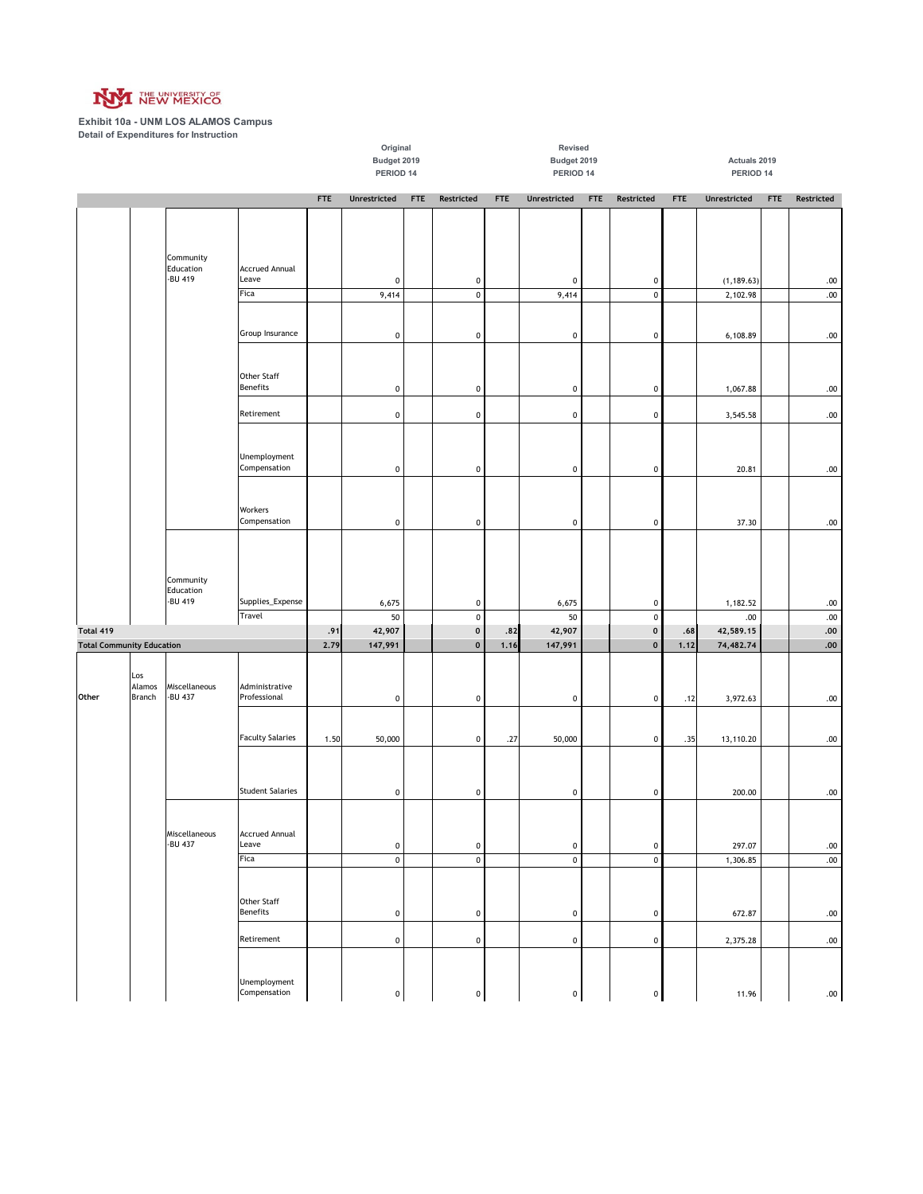

|                                               |                         |                                   |                                       | Original<br>Budget 2019<br>PERIOD 14<br><b>FTE</b><br>Unrestricted<br><b>FTE</b> |                   |  |                                          |             | Revised<br>Budget 2019<br>PERIOD 14 |            |                           | Actuals 2019<br>PERIOD 14 |                        |            |                     |
|-----------------------------------------------|-------------------------|-----------------------------------|---------------------------------------|----------------------------------------------------------------------------------|-------------------|--|------------------------------------------|-------------|-------------------------------------|------------|---------------------------|---------------------------|------------------------|------------|---------------------|
|                                               |                         |                                   |                                       |                                                                                  |                   |  | Restricted                               | <b>FTE</b>  | Unrestricted                        | <b>FTE</b> | Restricted                | <b>FTE</b>                | Unrestricted           | <b>FTE</b> | Restricted          |
|                                               |                         | Community<br>Education            | <b>Accrued Annual</b>                 |                                                                                  |                   |  |                                          |             |                                     |            |                           |                           |                        |            |                     |
|                                               |                         | -BU 419                           | Leave                                 |                                                                                  | 0                 |  | 0                                        |             | $\pmb{0}$                           |            | $\pmb{0}$                 |                           | (1, 189.63)            |            | $.00\,$             |
|                                               |                         |                                   | Fica                                  |                                                                                  | 9,414             |  | $\mathsf 0$                              |             | 9,414                               |            | $\pmb{0}$                 |                           | 2,102.98               |            | $.00\,$             |
|                                               |                         |                                   | Group Insurance                       |                                                                                  | $\pmb{0}$         |  | 0                                        |             | $\mathbf 0$                         |            | $\pmb{0}$                 |                           | 6,108.89               |            | .00                 |
|                                               |                         |                                   | Other Staff<br><b>Benefits</b>        |                                                                                  | $\pmb{0}$         |  | 0                                        |             | $\mathbf 0$                         |            | $\pmb{0}$                 |                           | 1,067.88               |            | $.00$               |
|                                               |                         |                                   | Retirement                            |                                                                                  | $\pmb{0}$         |  | 0                                        |             | $\mathbf 0$                         |            | $\pmb{0}$                 |                           | 3,545.58               |            | .00                 |
|                                               |                         |                                   | Unemployment<br>Compensation          |                                                                                  | $\pmb{0}$         |  | 0                                        |             | $\pmb{0}$                           |            | $\pmb{0}$                 |                           | 20.81                  |            | $.00\,$             |
|                                               |                         |                                   | Workers<br>Compensation               |                                                                                  | $\pmb{0}$         |  | $\mathbf 0$                              |             | $\pmb{0}$                           |            | $\pmb{0}$                 |                           | 37.30                  |            | $.00 \,$            |
|                                               |                         | Community<br>Education<br>-BU 419 | Supplies_Expense                      |                                                                                  | 6,675             |  | 0                                        |             | 6,675                               |            | $\pmb{0}$                 |                           | 1,182.52               |            | .00                 |
|                                               |                         |                                   | Travel                                |                                                                                  | 50                |  | $\pmb{0}$                                |             | 50                                  |            | $\pmb{0}$                 |                           | .00                    |            | $.00\,$             |
| Total 419<br><b>Total Community Education</b> |                         |                                   |                                       | .91<br>2.79                                                                      | 42,907<br>147,991 |  | $\pmb{\mathsf{0}}$<br>$\pmb{\mathsf{0}}$ | .82<br>1.16 | 42,907<br>147,991                   |            | $\pmb{0}$<br>$\mathbf{o}$ | .68<br>1.12               | 42,589.15<br>74,482.74 |            | ${\bf .00}$<br>.00. |
|                                               |                         |                                   |                                       |                                                                                  |                   |  |                                          |             |                                     |            |                           |                           |                        |            |                     |
| Other                                         | Los<br>Alamos<br>Branch | Miscellaneous<br>-BU 437          | Administrative<br>Professional        |                                                                                  | $\pmb{0}$         |  | $\mathbf 0$                              |             | $\pmb{0}$                           |            | $\pmb{0}$                 | .12                       | 3,972.63               |            | $.00\,$             |
|                                               |                         |                                   | <b>Faculty Salaries</b>               | 1.50                                                                             | 50,000            |  | $\mathbf 0$                              | .27         | 50,000                              |            | $\pmb{0}$                 | .35                       | 13,110.20              |            | $.00 \,$            |
|                                               |                         |                                   | <b>Student Salaries</b>               |                                                                                  | $\pmb{0}$         |  | 0                                        |             | $\pmb{0}$                           |            | $\pmb{0}$                 |                           | 200.00                 |            | .00                 |
|                                               |                         | Miscellaneous<br>-BU 437          | <b>Accrued Annual</b><br>Leave        |                                                                                  | $\pmb{0}$         |  | $\mathbf 0$                              |             | $\mathbf 0$                         |            | $\pmb{0}$                 |                           | 297.07                 |            | $.00\,$             |
|                                               |                         |                                   | Fica                                  |                                                                                  | $\pmb{0}$         |  | $\pmb{0}$                                |             | $\mathsf 0$                         |            | $\pmb{0}$                 |                           | 1,306.85               |            | .00.                |
|                                               |                         |                                   | <b>Other Staff</b><br><b>Benefits</b> |                                                                                  | $\pmb{0}$         |  | $\mathbf 0$                              |             | $\pmb{0}$                           |            | $\pmb{0}$                 |                           | 672.87                 |            | $.00\,$             |
|                                               |                         |                                   | Retirement                            |                                                                                  | $\pmb{0}$         |  | $\mathbf 0$                              |             | $\pmb{0}$                           |            | $\pmb{0}$                 |                           | 2,375.28               |            | $.00 \,$            |
|                                               |                         |                                   | Unemployment<br>Compensation          |                                                                                  | $\pmb{0}$         |  | $\pmb{0}$                                |             | $\pmb{0}$                           |            | $\pmb{0}$                 |                           | 11.96                  |            | $.00\,$             |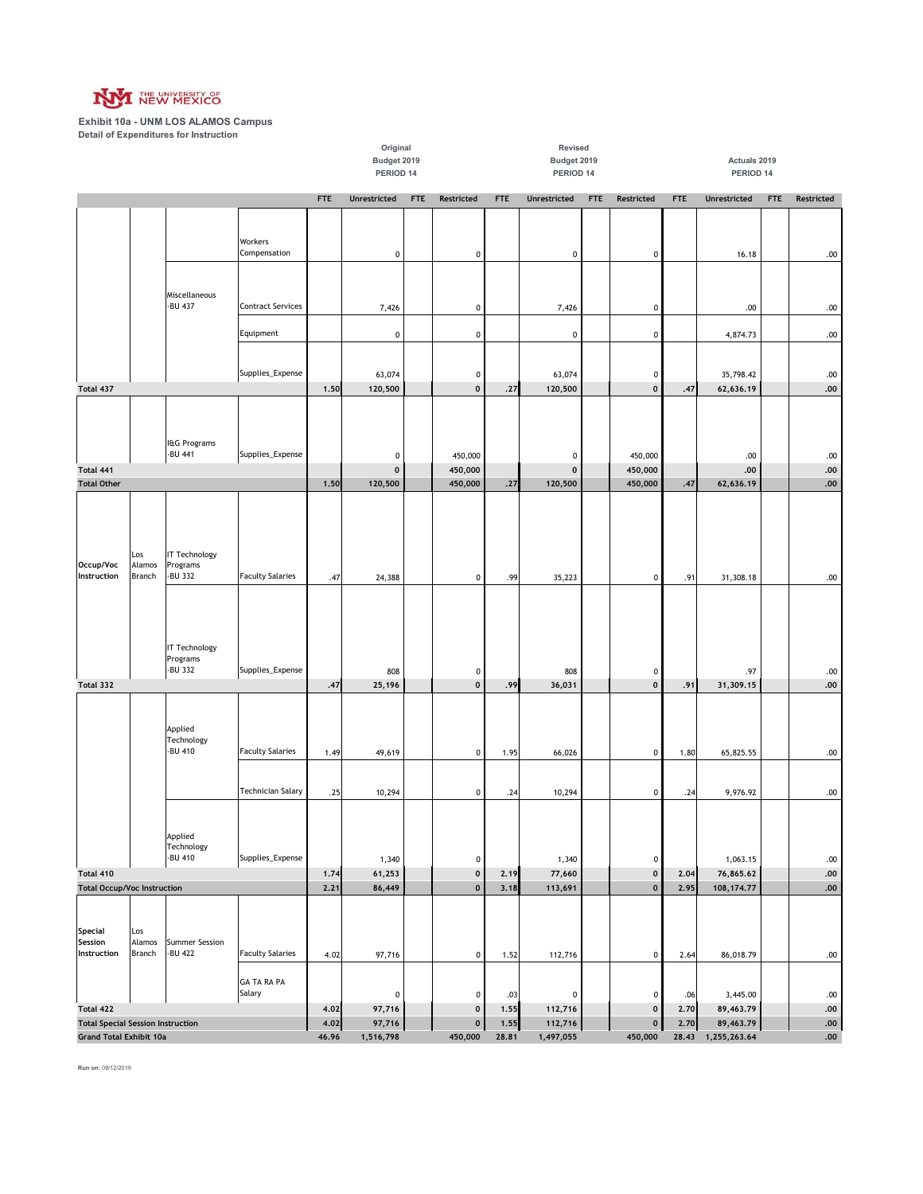

|                                                 |                                                                            |                                             |                              |              | Original<br>Budget 2019<br>PERIOD 14 |            |                             |               | Revised<br>Budget 2019<br>PERIOD 14 |            |                                 |               | Actuals 2019<br>PERIOD 14 |            |              |
|-------------------------------------------------|----------------------------------------------------------------------------|---------------------------------------------|------------------------------|--------------|--------------------------------------|------------|-----------------------------|---------------|-------------------------------------|------------|---------------------------------|---------------|---------------------------|------------|--------------|
|                                                 |                                                                            |                                             |                              | <b>FTE</b>   | Unrestricted                         | <b>FTE</b> | Restricted                  | <b>FTE</b>    | Unrestricted                        | <b>FTE</b> | Restricted                      | <b>FTE</b>    | Unrestricted              | <b>FTE</b> | Restricted   |
|                                                 |                                                                            |                                             | Workers<br>Compensation      |              | 0                                    |            | 0                           |               | $\pmb{0}$                           |            | $\pmb{0}$                       |               | 16.18                     |            | .00          |
|                                                 |                                                                            | Miscellaneous<br>-BU 437                    | <b>Contract Services</b>     |              | 7,426                                |            | 0                           |               | 7,426                               |            | $\pmb{0}$                       |               | .00                       |            | .00          |
|                                                 |                                                                            |                                             | Equipment                    |              | $\pmb{0}$                            |            | $\mathbf 0$                 |               | $\pmb{0}$                           |            | $\pmb{0}$                       |               | 4,874.73                  |            | $.00\,$      |
|                                                 |                                                                            |                                             | Supplies_Expense             |              | 63,074                               |            | 0                           |               | 63,074                              |            | $\pmb{0}$                       |               | 35,798.42                 |            | .00          |
| Total 437                                       |                                                                            |                                             |                              | 1.50         | 120,500                              |            | 0                           | .27           | 120,500                             |            | $\pmb{0}$                       | .47           | 62,636.19                 |            | .00          |
| Total 441                                       |                                                                            | I&G Programs<br>-BU 441                     | Supplies_Expense             |              | 0<br>$\pmb{0}$                       |            | 450,000<br>450,000          |               | $\pmb{0}$<br>$\mathbf 0$            |            | 450,000<br>450,000              |               | .00<br>.00                |            | .00<br>.00   |
| <b>Total Other</b>                              |                                                                            |                                             |                              | 1,50         | 120,500                              |            | 450,000                     | .27           | 120,500                             |            | 450,000                         | .47           | 62,636.19                 |            | .00          |
| Occup/Voc<br>Instruction                        | Los<br>Alamos<br>Branch                                                    | <b>IT Technology</b><br>Programs<br>-BU 332 | <b>Faculty Salaries</b>      | .47          | 24,388                               |            | $\mathbf 0$                 | .99           | 35,223                              |            | $\pmb{0}$                       | .91           | 31,308.18                 |            | .00          |
|                                                 |                                                                            | <b>IT Technology</b><br>Programs<br>-BU 332 | Supplies_Expense             |              | 808                                  |            | 0                           |               | 808                                 |            | $\pmb{0}$                       |               | .97                       |            | .00          |
| Total 332                                       |                                                                            |                                             |                              | .47          | 25,196                               |            | 0                           | ,99           | 36,031                              |            | $\pmb{\mathsf{o}}$              | .91           | 31,309.15                 |            | .00.         |
|                                                 |                                                                            | Applied<br>Technology<br>-BU 410            | <b>Faculty Salaries</b>      | 1.49         | 49,619                               |            | 0                           | 1.95          | 66,026                              |            | $\pmb{0}$                       | 1.80          | 65,825.55                 |            | .00          |
|                                                 |                                                                            |                                             | <b>Technician Salary</b>     | .25          | 10,294                               |            | 0                           | .24           | 10,294                              |            | $\pmb{0}$                       | .24           | 9,976.92                  |            | .00          |
|                                                 |                                                                            | Applied<br>Technology<br>-BU 410            | Supplies_Expense             |              | 1,340                                |            | $\mathbf 0$                 |               | 1,340                               |            | $\pmb{0}$                       |               | 1,063.15                  |            | .00          |
| Total 410<br><b>Total Occup/Voc Instruction</b> |                                                                            |                                             |                              | 1.74<br>2.21 | 61,253<br>86,449                     |            | $\mathbf 0$<br>$\mathbf{0}$ | 2.19          | 77,660<br>113,691                   |            | $\pmb{\mathsf{o}}$<br>$\pmb{0}$ | 2.04<br>2,95  | 76,865.62<br>108, 174.77  |            | .00.<br>.00. |
|                                                 |                                                                            |                                             |                              |              |                                      |            |                             | 3.18          |                                     |            |                                 |               |                           |            |              |
| <b>Special</b><br>Session<br>Instruction        | Los<br>Alamos<br><b>Branch</b>                                             | <b>Summer Session</b><br>-BU 422            | <b>Faculty Salaries</b>      | 4.02         | 97,716                               |            | $\mathbf 0$                 | 1.52          | 112,716                             |            | $\pmb{0}$                       | 2.64          | 86,018.79                 |            | .00          |
|                                                 |                                                                            |                                             | <b>GA TA RA PA</b><br>Salary |              | 0                                    |            | 0                           | .03           | $\pmb{0}$                           |            | $\pmb{0}$                       | .06           | 3,445.00                  |            | .00.         |
| Total 422                                       |                                                                            |                                             |                              | 4.02         | 97,716                               |            | $\mathbf 0$                 | 1,55          | 112,716                             |            | $\pmb{0}$                       | 2.70          | 89,463.79                 |            | .00.         |
|                                                 | <b>Total Special Session Instruction</b><br><b>Grand Total Exhibit 10a</b> |                                             |                              |              | 97,716<br>1,516,798                  |            | 0<br>450,000                | 1.55<br>28.81 | 112,716<br>1,497,055                |            | $\pmb{0}$<br>450,000            | 2.70<br>28.43 | 89,463.79<br>1,255,263.64 |            | .00.<br>.00. |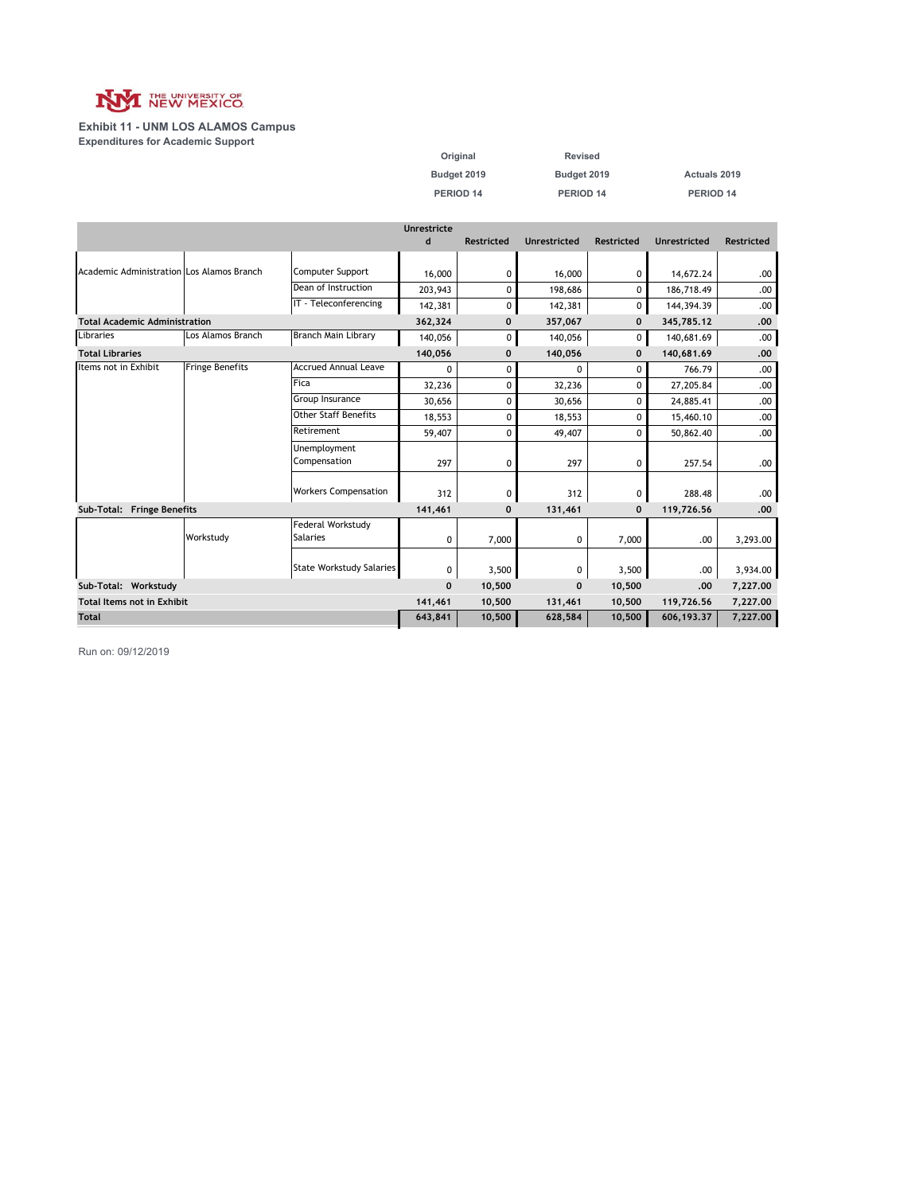

#### **Exhibit 11 - UNM LOS ALAMOS Campus Expenditures for Academic Support**

| Original    | Revised     |              |
|-------------|-------------|--------------|
| Budget 2019 | Budget 2019 | Actuals 2019 |
| PERIOD 14   | PERIOD 14   | PERIOD 14    |

|                                           |                        |                                      | Unrestricte  |                   |                     |                   |              |                   |
|-------------------------------------------|------------------------|--------------------------------------|--------------|-------------------|---------------------|-------------------|--------------|-------------------|
|                                           |                        |                                      | d            | <b>Restricted</b> | <b>Unrestricted</b> | <b>Restricted</b> | Unrestricted | <b>Restricted</b> |
|                                           |                        |                                      |              |                   |                     |                   |              |                   |
| Academic Administration Los Alamos Branch |                        | Computer Support                     | 16,000       | 0                 | 16,000              | 0                 | 14,672.24    | .00               |
|                                           |                        | Dean of Instruction                  | 203,943      | 0                 | 198.686             | 0                 | 186,718.49   | .00               |
|                                           |                        | IT - Teleconferencing                | 142,381      | 0                 | 142,381             | 0                 | 144,394.39   | .00               |
| <b>Total Academic Administration</b>      |                        |                                      | 362,324      | 0                 | 357,067             | $\mathbf 0$       | 345,785.12   | .00               |
| Libraries                                 | Los Alamos Branch      | <b>Branch Main Library</b>           | 140,056      | 0                 | 140,056             | 0                 | 140,681.69   | .00               |
| <b>Total Libraries</b>                    |                        |                                      | 140,056      | 0                 | 140,056             | $\mathbf 0$       | 140,681.69   | .00               |
| Items not in Exhibit                      | <b>Fringe Benefits</b> | <b>Accrued Annual Leave</b>          | 0            | 0                 | 0                   | 0                 | 766.79       | .00               |
|                                           |                        | Fica                                 | 32,236       | 0                 | 32,236              | 0                 | 27,205.84    | .00               |
|                                           |                        | Group Insurance                      | 30,656       | 0                 | 30,656              | $\Omega$          | 24,885.41    | .00               |
|                                           |                        | <b>Other Staff Benefits</b>          | 18,553       | 0                 | 18,553              | 0                 | 15,460.10    | .00               |
|                                           |                        | Retirement                           | 59,407       | 0                 | 49,407              | $\Omega$          | 50,862.40    | .00               |
|                                           |                        | Unemployment<br>Compensation         | 297          | 0                 | 297                 | 0                 | 257.54       | .00               |
|                                           |                        | <b>Workers Compensation</b>          | 312          | 0                 | 312                 | 0                 | 288.48       | .00               |
| Sub-Total: Fringe Benefits                |                        |                                      | 141,461      | $\mathbf 0$       | 131,461             | $\mathbf 0$       | 119,726.56   | .00               |
|                                           | Workstudy              | Federal Workstudy<br><b>Salaries</b> | 0            | 7,000             | 0                   | 7,000             | .00          | 3,293.00          |
|                                           |                        | State Workstudy Salaries             | 0            | 3,500             | 0                   | 3,500             | .00.         | 3,934.00          |
| Sub-Total: Workstudy                      |                        |                                      | $\mathbf{0}$ | 10,500            | $\mathbf{0}$        | 10,500            | .00          | 7,227.00          |
| <b>Total Items not in Exhibit</b>         |                        |                                      | 141,461      | 10,500            | 131,461             | 10,500            | 119,726.56   | 7,227.00          |
| <b>Total</b>                              |                        |                                      | 643,841      | 10,500            | 628,584             | 10,500            | 606,193.37   | 7,227.00          |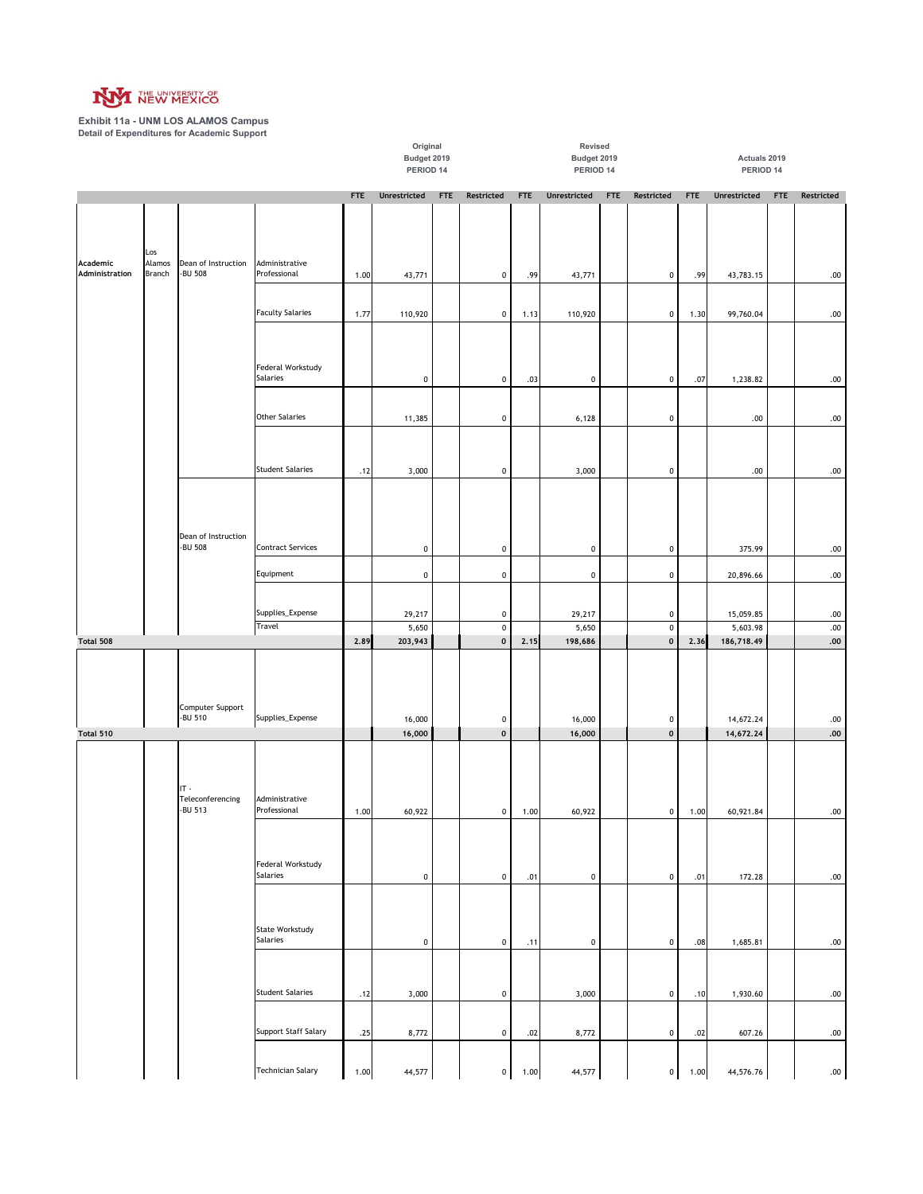

**Exhibit 11a - UNM LOS ALAMOS Campus Detail of Expenditures for Academic Support**

|                            |                         |                                |                                    |            | Original                 |            |                                 |            | Revised                  |            |                        |            | Actuals 2019           |            |                    |
|----------------------------|-------------------------|--------------------------------|------------------------------------|------------|--------------------------|------------|---------------------------------|------------|--------------------------|------------|------------------------|------------|------------------------|------------|--------------------|
|                            |                         |                                |                                    |            | Budget 2019<br>PERIOD 14 |            |                                 |            | Budget 2019<br>PERIOD 14 |            |                        |            |                        |            |                    |
|                            |                         |                                |                                    |            |                          |            |                                 |            |                          |            |                        |            | PERIOD 14              |            |                    |
|                            |                         |                                |                                    | <b>FTE</b> | Unrestricted             | <b>FTE</b> | Restricted                      | <b>FTE</b> | Unrestricted             | <b>FTE</b> | Restricted             | <b>FTE</b> | Unrestricted           | <b>FTE</b> | Restricted         |
| Academic<br>Administration | Los<br>Alamos<br>Branch | Dean of Instruction<br>-BU 508 | Administrative<br>Professional     | 1.00       | 43,771                   |            | $\pmb{0}$                       | .99        | 43,771                   |            | $\mathbf 0$            | .99        | 43,783.15              |            | .00                |
|                            |                         |                                |                                    |            |                          |            |                                 |            |                          |            |                        |            |                        |            |                    |
|                            |                         |                                | <b>Faculty Salaries</b>            | 1.77       | 110,920                  |            | $\pmb{0}$                       | 1.13       | 110,920                  |            | $\mathbf 0$            | 1.30       | 99,760.04              |            | .00                |
|                            |                         |                                | Federal Workstudy<br>Salaries      |            | $\pmb{0}$                |            | $\pmb{0}$                       | .03        | $\pmb{0}$                |            | $\pmb{0}$              | .07        | 1,238.82               |            | .00                |
|                            |                         |                                |                                    |            |                          |            |                                 |            |                          |            |                        |            |                        |            |                    |
|                            |                         |                                | <b>Other Salaries</b>              |            | 11,385                   |            | $\pmb{0}$                       |            | 6,128                    |            | $\pmb{0}$              |            | .00                    |            | .00                |
|                            |                         |                                | <b>Student Salaries</b>            | .12        | 3,000                    |            | $\pmb{0}$                       |            | 3,000                    |            | $\pmb{0}$              |            | .00                    |            | .00                |
|                            |                         | Dean of Instruction            |                                    |            |                          |            |                                 |            |                          |            |                        |            |                        |            |                    |
|                            |                         | -BU 508                        | <b>Contract Services</b>           |            | $\pmb{0}$                |            | $\pmb{0}$                       |            | $\pmb{0}$                |            | $\pmb{0}$              |            | 375.99                 |            | .00                |
|                            |                         |                                | Equipment                          |            | $\pmb{0}$                |            | $\pmb{0}$                       |            | $\pmb{0}$                |            | $\pmb{0}$              |            | 20,896.66              |            | .00                |
|                            |                         |                                |                                    |            |                          |            |                                 |            |                          |            |                        |            |                        |            |                    |
|                            |                         |                                | Supplies_Expense<br>Travel         |            | 29,217<br>5,650          |            | $\pmb{0}$<br>$\pmb{0}$          |            | 29,217<br>5,650          |            | $\pmb{0}$<br>$\pmb{0}$ |            | 15,059.85<br>5,603.98  |            | .00<br>$.00\,$     |
| Total 508                  |                         |                                |                                    | 2.89       | 203,943                  |            | $\pmb{0}$                       | 2.15       | 198,686                  |            | $\mathbf 0$            | 2.36       | 186,718.49             |            | .00                |
|                            |                         | Computer Support               |                                    |            |                          |            |                                 |            |                          |            |                        |            |                        |            |                    |
| Total 510                  |                         | -BU 510                        | Supplies_Expense                   |            | 16,000<br>16,000         |            | $\pmb{0}$<br>$\pmb{\mathsf{o}}$ |            | 16,000<br>16,000         |            | 0<br>$\mathbf 0$       |            | 14,672.24<br>14,672.24 |            | .00<br>${\bf .00}$ |
|                            |                         | $IT -$                         |                                    |            |                          |            |                                 |            |                          |            |                        |            |                        |            |                    |
|                            |                         | Teleconferencing<br>-BU 513    | Administrative<br>Professional     | 1.00       | 60,922                   |            | $\circ$                         | 1.00       | 60,922                   |            | $\mathbf 0$            | 1.00       | 60,921.84              |            | .00.               |
|                            |                         |                                |                                    |            |                          |            |                                 |            |                          |            |                        |            |                        |            |                    |
|                            |                         |                                | Federal Workstudy<br>Salaries      |            | $\pmb{0}$                |            | $\pmb{0}$                       | .01        | $\mathbf 0$              |            | $\mathbf 0$            | .01        | 172.28                 |            | .00                |
|                            |                         |                                |                                    |            |                          |            |                                 |            |                          |            |                        |            |                        |            |                    |
|                            |                         |                                | <b>State Workstudy</b><br>Salaries |            | $\mathbf 0$              |            | $\pmb{0}$                       | .11        | 0                        |            | $\mathbf 0$            | .08        | 1,685.81               |            | .00                |
|                            |                         |                                | <b>Student Salaries</b>            | .12        | 3,000                    |            | $\pmb{0}$                       |            | 3,000                    |            | $\mathbf 0$            | .10        | 1,930.60               |            | .00                |
|                            |                         |                                |                                    |            |                          |            |                                 |            |                          |            |                        |            |                        |            |                    |
|                            |                         |                                | Support Staff Salary               | .25        | 8,772                    |            | $\pmb{0}$                       | .02        | 8,772                    |            | $\boldsymbol{0}$       | .02        | 607.26                 |            | .00                |
|                            |                         |                                | Technician Salary                  | 1.00       | 44,577                   |            | $\pmb{0}$                       | 1.00       | 44,577                   |            | 0                      | 1.00       | 44,576.76              |            | .00                |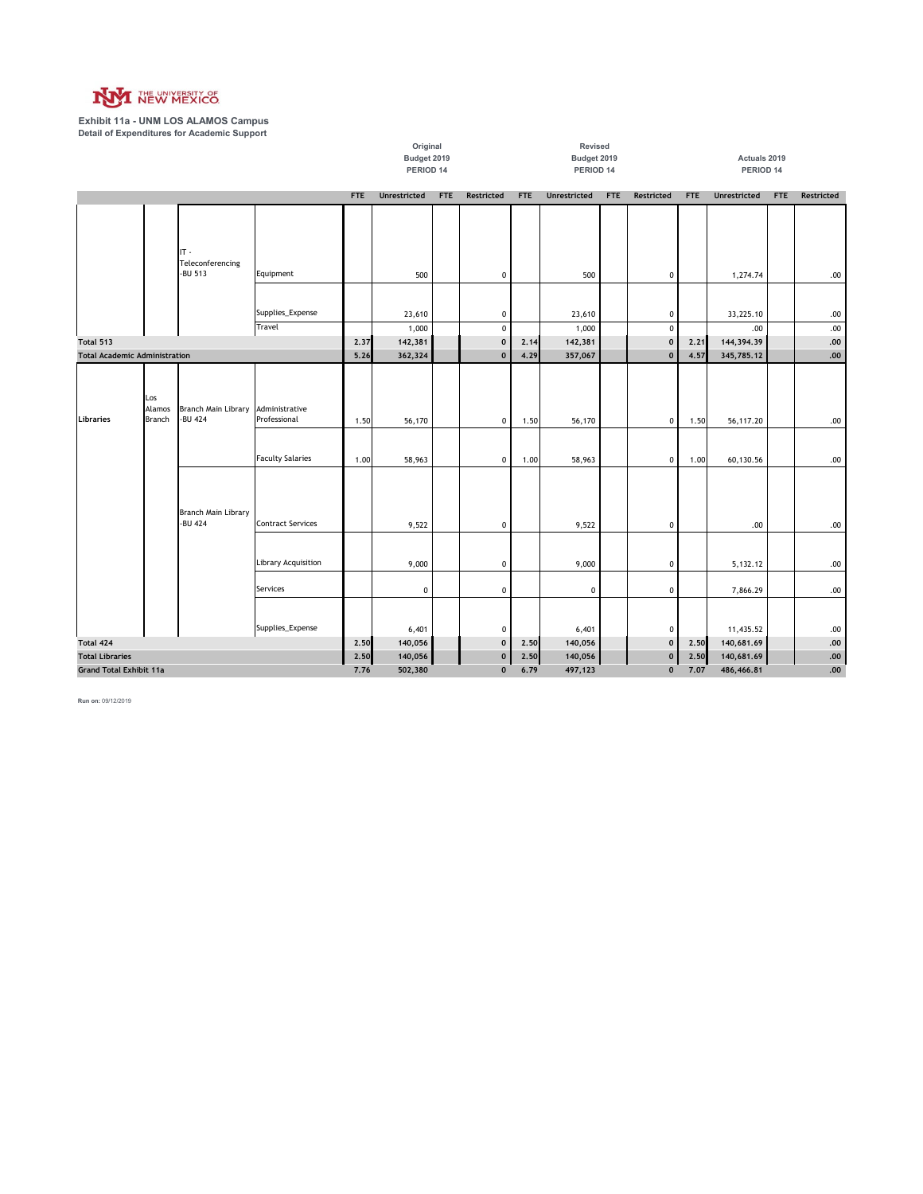

**Exhibit 11a - UNM LOS ALAMOS Campus Detail of Expenditures for Academic Support**

|                                      |                  |                                |                                |              | Original            |            |                             |              | Revised             |            |                           |              |                          |            |            |
|--------------------------------------|------------------|--------------------------------|--------------------------------|--------------|---------------------|------------|-----------------------------|--------------|---------------------|------------|---------------------------|--------------|--------------------------|------------|------------|
|                                      |                  |                                |                                |              | Budget 2019         |            |                             |              | Budget 2019         |            |                           |              | Actuals 2019             |            |            |
|                                      |                  |                                |                                |              | PERIOD 14           |            |                             |              | PERIOD 14           |            |                           |              | PERIOD 14                |            |            |
|                                      |                  |                                |                                | <b>FTE</b>   | <b>Unrestricted</b> | <b>FTE</b> | <b>Restricted</b>           | <b>FTE</b>   | <b>Unrestricted</b> | <b>FTE</b> | <b>Restricted</b>         | FTE          | <b>Unrestricted</b>      | <b>FTE</b> | Restricted |
|                                      |                  |                                |                                |              |                     |            |                             |              |                     |            |                           |              |                          |            |            |
|                                      |                  |                                |                                |              |                     |            |                             |              |                     |            |                           |              |                          |            |            |
|                                      |                  |                                |                                |              |                     |            |                             |              |                     |            |                           |              |                          |            |            |
|                                      |                  | $IT -$                         |                                |              |                     |            |                             |              |                     |            |                           |              |                          |            |            |
|                                      |                  | Teleconferencing<br>-BU 513    |                                |              |                     |            |                             |              |                     |            |                           |              |                          |            |            |
|                                      |                  |                                | Equipment                      |              | 500                 |            | $\pmb{0}$                   |              | 500                 |            | 0                         |              | 1,274.74                 |            | .00        |
|                                      |                  |                                |                                |              |                     |            |                             |              |                     |            |                           |              |                          |            |            |
|                                      |                  |                                | Supplies_Expense               |              | 23,610              |            | $\pmb{0}$                   |              | 23,610              |            | $\pmb{0}$                 |              | 33,225.10                |            | .00        |
|                                      |                  |                                | Travel                         |              | 1,000               |            | $\pmb{0}$                   |              | 1,000               |            | $\mathbf 0$               |              | .00                      |            | .00        |
| Total 513                            |                  |                                |                                | 2.37         | 142,381             |            | $\mathbf 0$                 | 2.14         | 142,381             |            | $\mathbf 0$               | 2.21         | 144,394.39               |            | .00.       |
| <b>Total Academic Administration</b> |                  |                                |                                | 5.26         | 362,324             |            | $\mathbf{0}$                | 4.29         | 357,067             |            | $\pmb{0}$                 | 4.57         | 345,785.12               |            | $.00$      |
|                                      |                  |                                |                                |              |                     |            |                             |              |                     |            |                           |              |                          |            |            |
|                                      |                  |                                |                                |              |                     |            |                             |              |                     |            |                           |              |                          |            |            |
|                                      | Los              |                                |                                |              |                     |            |                             |              |                     |            |                           |              |                          |            |            |
| <b>Libraries</b>                     | Alamos<br>Branch | Branch Main Library<br>-BU 424 | Administrative<br>Professional | 1.50         | 56,170              |            | $\pmb{0}$                   | 1.50         | 56,170              |            | 0                         | 1.50         | 56,117.20                |            | .00        |
|                                      |                  |                                |                                |              |                     |            |                             |              |                     |            |                           |              |                          |            |            |
|                                      |                  |                                |                                |              |                     |            |                             |              |                     |            |                           |              |                          |            |            |
|                                      |                  |                                | <b>Faculty Salaries</b>        | 1.00         | 58,963              |            | $\pmb{0}$                   | 1.00         | 58,963              |            | 0                         | 1.00         | 60,130.56                |            | .00        |
|                                      |                  |                                |                                |              |                     |            |                             |              |                     |            |                           |              |                          |            |            |
|                                      |                  |                                |                                |              |                     |            |                             |              |                     |            |                           |              |                          |            |            |
|                                      |                  |                                |                                |              |                     |            |                             |              |                     |            |                           |              |                          |            |            |
|                                      |                  | Branch Main Library<br>-BU 424 | <b>Contract Services</b>       |              |                     |            |                             |              |                     |            |                           |              |                          |            |            |
|                                      |                  |                                |                                |              | 9,522               |            | $\pmb{0}$                   |              | 9,522               |            | 0                         |              | .00.                     |            | .00        |
|                                      |                  |                                |                                |              |                     |            |                             |              |                     |            |                           |              |                          |            |            |
|                                      |                  |                                | Library Acquisition            |              | 9,000               |            | $\pmb{0}$                   |              | 9,000               |            | $\pmb{0}$                 |              | 5,132.12                 |            | .00        |
|                                      |                  |                                |                                |              |                     |            |                             |              |                     |            |                           |              |                          |            |            |
|                                      |                  |                                | Services                       |              | $\pmb{0}$           |            | $\pmb{0}$                   |              | $\pmb{0}$           |            | 0                         |              | 7,866.29                 |            | .00        |
|                                      |                  |                                |                                |              |                     |            |                             |              |                     |            |                           |              |                          |            |            |
|                                      |                  |                                |                                |              |                     |            |                             |              |                     |            |                           |              |                          |            |            |
|                                      |                  |                                | Supplies_Expense               |              | 6,401               |            | $\pmb{0}$                   |              | 6,401               |            | $\pmb{0}$                 |              | 11,435.52                |            | .00        |
| Total 424<br><b>Total Libraries</b>  |                  |                                |                                | 2.50<br>2.50 | 140,056<br>140,056  |            | $\mathbf 0$<br>$\mathbf{0}$ | 2.50<br>2.50 | 140,056<br>140,056  |            | $\mathbf{0}$<br>$\pmb{0}$ | 2.50<br>2.50 | 140,681.69<br>140,681.69 |            | .00<br>.00 |
| <b>Grand Total Exhibit 11a</b>       |                  |                                |                                | 7.76         | 502,380             |            | $\mathbf 0$                 | 6.79         | 497,123             |            | $\mathbf{0}$              | 7.07         | 486,466.81               |            | .00        |
|                                      |                  |                                |                                |              |                     |            |                             |              |                     |            |                           |              |                          |            |            |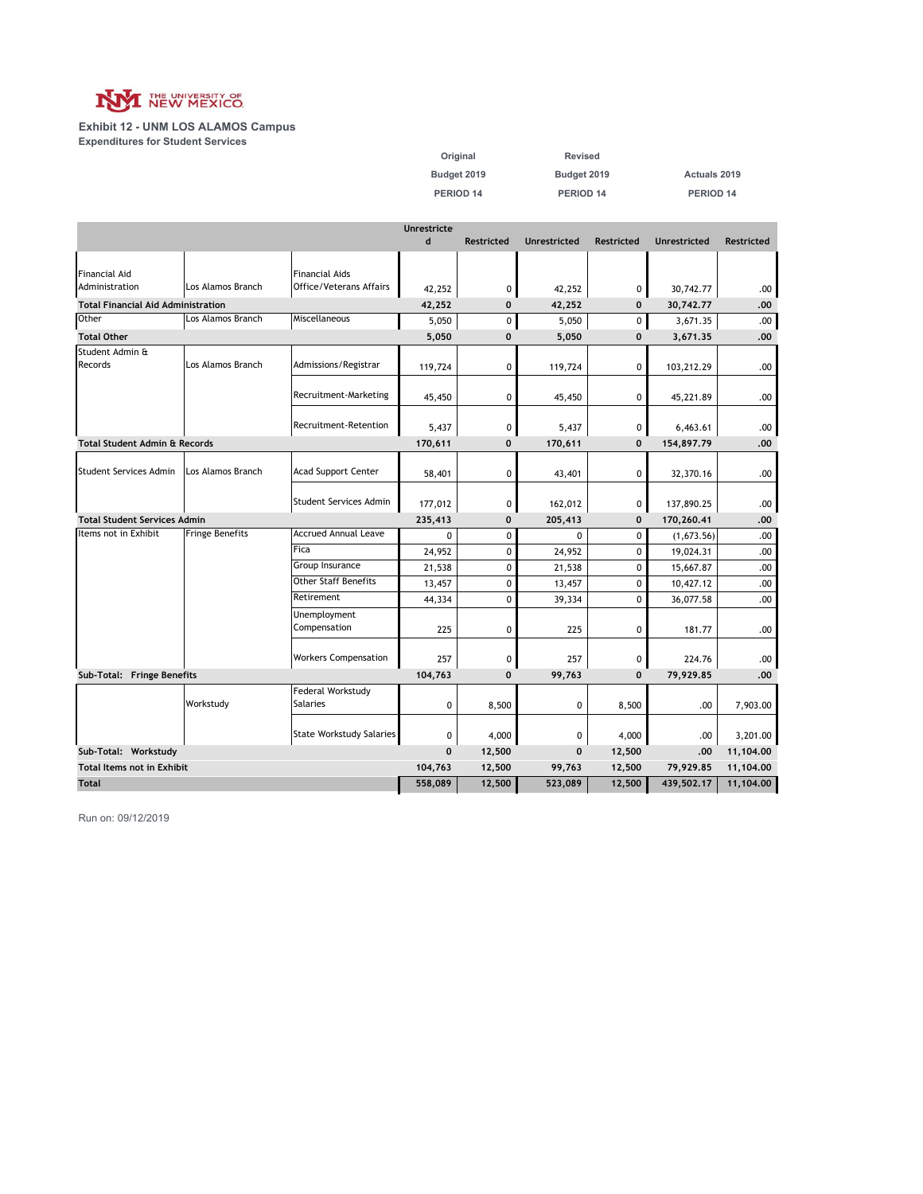

**Exhibit 12 - UNM LOS ALAMOS Campus Expenditures for Student Services**

| Original    | Revised     |                     |
|-------------|-------------|---------------------|
| Budget 2019 | Budget 2019 | <b>Actuals 2019</b> |
| PERIOD 14   | PERIOD 14   | PERIOD 14           |

|                                           |                        |                                 | <b>Unrestricte</b> |                   |                     |                   |                     |                   |
|-------------------------------------------|------------------------|---------------------------------|--------------------|-------------------|---------------------|-------------------|---------------------|-------------------|
|                                           |                        |                                 | $\mathbf d$        | <b>Restricted</b> | <b>Unrestricted</b> | <b>Restricted</b> | <b>Unrestricted</b> | <b>Restricted</b> |
|                                           |                        |                                 |                    |                   |                     |                   |                     |                   |
| <b>Financial Aid</b>                      |                        | <b>Financial Aids</b>           |                    |                   |                     |                   |                     |                   |
| Administration                            | Los Alamos Branch      | Office/Veterans Affairs         | 42,252             | 0                 | 42,252              | 0                 | 30,742.77           | .00               |
| <b>Total Financial Aid Administration</b> |                        |                                 | 42,252             | $\mathbf 0$       | 42,252              | $\mathbf 0$       | 30,742.77           | .00               |
| Other                                     | Los Alamos Branch      | Miscellaneous                   | 5,050              | 0                 | 5,050               | 0                 | 3,671.35            | .00               |
| <b>Total Other</b>                        |                        |                                 | 5,050              | $\mathbf 0$       | 5,050               | $\bf{0}$          | 3,671.35            | .00               |
| Student Admin &                           |                        |                                 |                    |                   |                     |                   |                     |                   |
| Records                                   | Los Alamos Branch      | Admissions/Registrar            | 119,724            | 0                 | 119,724             | 0                 | 103,212.29          | .00               |
|                                           |                        |                                 |                    |                   |                     |                   |                     |                   |
|                                           |                        | Recruitment-Marketing           | 45,450             | 0                 | 45,450              | 0                 | 45,221.89           | .00               |
|                                           |                        | Recruitment-Retention           |                    | 0                 |                     |                   | 6,463.61            |                   |
| <b>Total Student Admin &amp; Records</b>  |                        |                                 | 5,437<br>170,611   | $\mathbf 0$       | 5,437               | 0<br>$\mathbf 0$  | 154,897.79          | .00<br>.00        |
|                                           |                        |                                 |                    |                   | 170,611             |                   |                     |                   |
| Student Services Admin                    | Los Alamos Branch      | <b>Acad Support Center</b>      | 58,401             | 0                 | 43,401              | 0                 | 32,370.16           | .00               |
|                                           |                        |                                 |                    |                   |                     |                   |                     |                   |
|                                           |                        | Student Services Admin          | 177,012            | 0                 | 162,012             | 0                 | 137,890.25          | .00               |
| <b>Total Student Services Admin</b>       |                        |                                 | 235,413            | $\mathbf 0$       | 205,413             | $\mathbf 0$       | 170,260.41          | .00               |
| Items not in Exhibit                      | <b>Fringe Benefits</b> | <b>Accrued Annual Leave</b>     | 0                  | 0                 | 0                   | 0                 | (1,673.56)          | .00               |
|                                           |                        | Fica                            | 24,952             | $\mathbf 0$       | 24,952              | 0                 | 19,024.31           | .00               |
|                                           |                        | Group Insurance                 | 21,538             | 0                 | 21,538              | 0                 | 15,667.87           | .00               |
|                                           |                        | <b>Other Staff Benefits</b>     | 13,457             | 0                 | 13,457              | 0                 | 10,427.12           | .00               |
|                                           |                        | Retirement                      | 44,334             | 0                 | 39,334              | 0                 | 36,077.58           | .00               |
|                                           |                        | Unemployment                    |                    |                   |                     |                   |                     |                   |
|                                           |                        | Compensation                    | 225                | 0                 | 225                 | 0                 | 181.77              | .00.              |
|                                           |                        |                                 |                    |                   |                     |                   |                     |                   |
|                                           |                        | <b>Workers Compensation</b>     | 257                | 0                 | 257                 | 0                 | 224.76              | .00               |
| Sub-Total: Fringe Benefits                |                        |                                 | 104,763            | $\mathbf 0$       | 99,763              | $\mathbf{0}$      | 79,929.85           | .00.              |
|                                           |                        | Federal Workstudy               |                    |                   |                     |                   |                     |                   |
|                                           | Workstudy              | <b>Salaries</b>                 | 0                  | 8,500             | 0                   | 8,500             | .00                 | 7,903.00          |
|                                           |                        |                                 |                    |                   |                     |                   |                     |                   |
|                                           |                        | <b>State Workstudy Salaries</b> | 0                  | 4,000             | 0                   | 4,000             | .00                 | 3,201.00          |
| Sub-Total: Workstudy                      |                        |                                 | $\mathbf 0$        | 12,500            | $\mathbf 0$         | 12,500            | .00                 | 11,104.00         |
| <b>Total Items not in Exhibit</b>         |                        |                                 | 104,763            | 12,500            | 99,763              | 12,500            | 79,929.85           | 11,104.00         |
| <b>Total</b>                              |                        |                                 | 558,089            | 12,500            | 523,089             | 12,500            | 439,502.17          | 11,104.00         |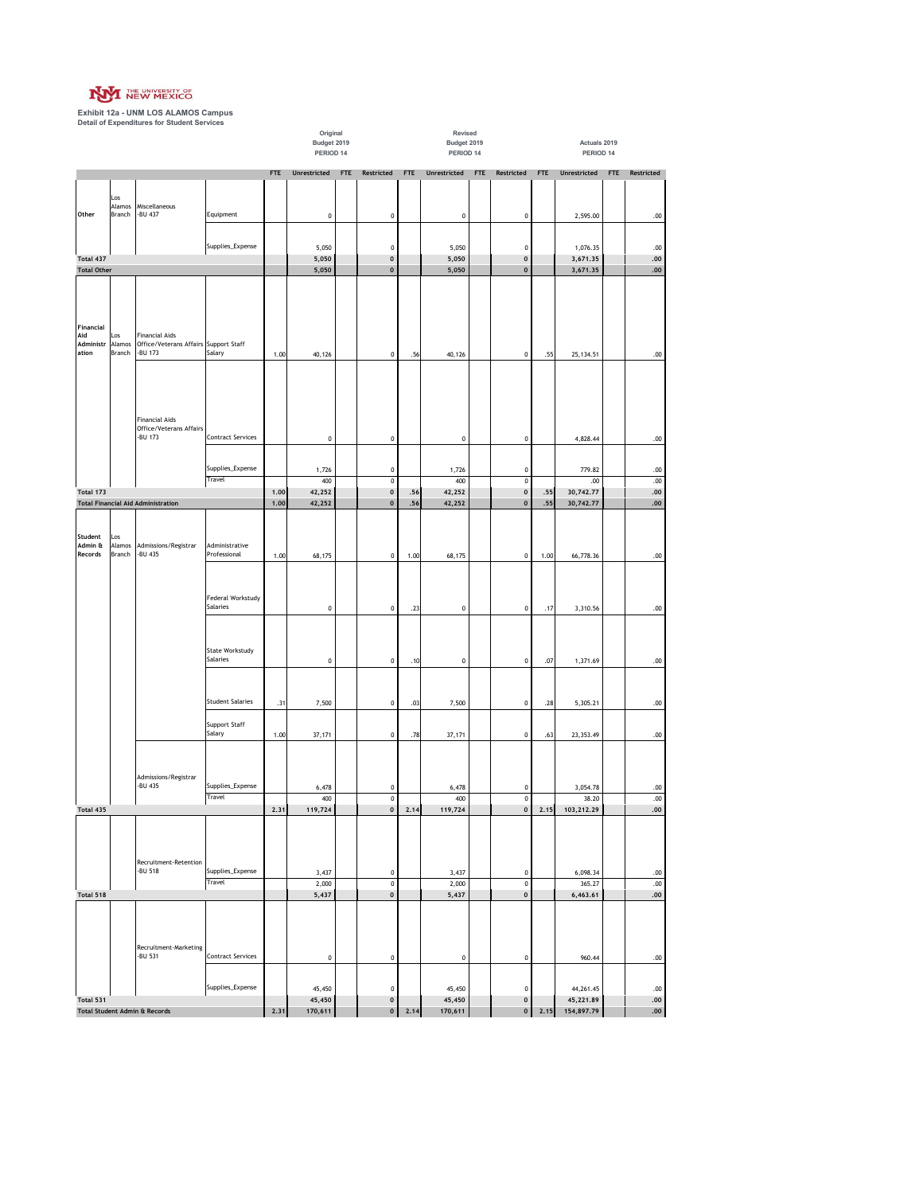

**Exhibit 12a - UNM LOS ALAMOS Campus Detail of Expenditures for Student Services**

|                    |               |                                                                |                            |            | Original<br>Budget 2019<br>PERIOD 14 |            |                                      |            | Revised<br>Budget 2019<br>PERIOD 14 |     |                        |      | Actuals 2019<br>PERIOD 14 |     |              |
|--------------------|---------------|----------------------------------------------------------------|----------------------------|------------|--------------------------------------|------------|--------------------------------------|------------|-------------------------------------|-----|------------------------|------|---------------------------|-----|--------------|
|                    |               |                                                                |                            | <b>FTE</b> | Unrestricted                         | <b>FTE</b> | Restricted                           | <b>FTE</b> | Unrestricted                        | FTE | Restricted             | FTE  | Unrestricted              | FTE | Restricted   |
|                    |               |                                                                |                            |            |                                      |            |                                      |            |                                     |     |                        |      |                           |     |              |
|                    | Los<br>Alamos | Miscellaneous                                                  |                            |            |                                      |            |                                      |            |                                     |     |                        |      |                           |     |              |
| Other              | Branch        | -BU 437                                                        | Equipment                  |            | $\mathbf 0$                          |            | 0                                    |            | 0                                   |     | $\pmb{0}$              |      | 2,595.00                  |     | .00          |
|                    |               |                                                                |                            |            |                                      |            |                                      |            |                                     |     |                        |      |                           |     |              |
|                    |               |                                                                | Supplies_Expense           |            | 5,050                                |            | $\pmb{0}$                            |            | 5,050                               |     | $\pmb{0}$              |      | 1,076.35                  |     | .00.         |
| Total 437          |               |                                                                |                            |            | 5,050                                |            | $\pmb{0}$                            |            | 5,050                               |     | $\mathbf{0}$           |      | 3,671.35                  |     | .00.         |
| <b>Total Other</b> |               |                                                                |                            |            | 5,050                                |            | $\pmb{0}$                            |            | 5,050                               |     | $\pmb{0}$              |      | 3,671.35                  |     | .00.         |
|                    |               |                                                                |                            |            |                                      |            |                                      |            |                                     |     |                        |      |                           |     |              |
|                    |               |                                                                |                            |            |                                      |            |                                      |            |                                     |     |                        |      |                           |     |              |
|                    |               |                                                                |                            |            |                                      |            |                                      |            |                                     |     |                        |      |                           |     |              |
| Financial          |               |                                                                |                            |            |                                      |            |                                      |            |                                     |     |                        |      |                           |     |              |
| Aid<br>Administr   | Los<br>Alamos | <b>Financial Aids</b><br>Office/Veterans Affairs Support Staff |                            |            |                                      |            |                                      |            |                                     |     |                        |      |                           |     |              |
| ation              | Branch        | -BU 173                                                        | Salary                     | 1.00       | 40,126                               |            | $\pmb{0}$                            | .56        | 40,126                              |     | $\pmb{0}$              | .55  | 25, 134.51                |     | .00.         |
|                    |               |                                                                |                            |            |                                      |            |                                      |            |                                     |     |                        |      |                           |     |              |
|                    |               |                                                                |                            |            |                                      |            |                                      |            |                                     |     |                        |      |                           |     |              |
|                    |               |                                                                |                            |            |                                      |            |                                      |            |                                     |     |                        |      |                           |     |              |
|                    |               |                                                                |                            |            |                                      |            |                                      |            |                                     |     |                        |      |                           |     |              |
|                    |               | <b>Financial Aids</b>                                          |                            |            |                                      |            |                                      |            |                                     |     |                        |      |                           |     |              |
|                    |               | Office/Veterans Affairs<br>-BU 173                             | <b>Contract Services</b>   |            | $\pmb{0}$                            |            | 0                                    |            | 0                                   |     | $\pmb{0}$              |      | 4,828.44                  |     | .00.         |
|                    |               |                                                                |                            |            |                                      |            |                                      |            |                                     |     |                        |      |                           |     |              |
|                    |               |                                                                |                            |            |                                      |            |                                      |            |                                     |     |                        |      |                           |     |              |
|                    |               |                                                                | Supplies_Expense<br>Travel |            | 1,726                                |            | 0                                    |            | 1,726                               |     | $\pmb{0}$              |      | 779.82                    |     | .00.         |
| Total 173          |               |                                                                |                            | 1.00       | 400<br>42,252                        |            | $\overline{\mathbf{0}}$<br>$\pmb{0}$ | .56        | 400<br>42,252                       |     | $\pmb{0}$<br>$\pmb{0}$ | .55  | .00<br>30,742.77          |     | .00.<br>.00. |
|                    |               | <b>Total Financial Aid Administration</b>                      |                            | 1.00       | 42,252                               |            | $\pmb{0}$                            | .56        | 42,252                              |     | $\pmb{0}$              | .55  | 30,742.77                 |     | ${\bf .00}$  |
|                    |               |                                                                |                            |            |                                      |            |                                      |            |                                     |     |                        |      |                           |     |              |
|                    |               |                                                                |                            |            |                                      |            |                                      |            |                                     |     |                        |      |                           |     |              |
| Student<br>Admin & | Los<br>Alamos | Admissions/Registrar                                           | Administrative             |            |                                      |            |                                      |            |                                     |     |                        |      |                           |     |              |
| Records            | Branch        | -BU 435                                                        | Professional               | 1.00       | 68,175                               |            | 0                                    | 1.00       | 68,175                              |     | $\pmb{0}$              | 1.00 | 66,778.36                 |     | .00.         |
|                    |               |                                                                |                            |            |                                      |            |                                      |            |                                     |     |                        |      |                           |     |              |
|                    |               |                                                                |                            |            |                                      |            |                                      |            |                                     |     |                        |      |                           |     |              |
|                    |               |                                                                | Federal Workstudy          |            |                                      |            |                                      |            |                                     |     |                        |      |                           |     |              |
|                    |               |                                                                | Salaries                   |            | $\mathbf 0$                          |            | $\pmb{0}$                            | .23        | $\pmb{0}$                           |     | $\mathbf 0$            | .17  | 3,310.56                  |     | .00.         |
|                    |               |                                                                |                            |            |                                      |            |                                      |            |                                     |     |                        |      |                           |     |              |
|                    |               |                                                                |                            |            |                                      |            |                                      |            |                                     |     |                        |      |                           |     |              |
|                    |               |                                                                | State Workstudy            |            |                                      |            |                                      |            |                                     |     |                        |      |                           |     |              |
|                    |               |                                                                | Salaries                   |            | $\pmb{0}$                            |            | $\pmb{0}$                            | .10        | $\pmb{0}$                           |     | 0                      | .07  | 1,371.69                  |     | .00.         |
|                    |               |                                                                |                            |            |                                      |            |                                      |            |                                     |     |                        |      |                           |     |              |
|                    |               |                                                                |                            |            |                                      |            |                                      |            |                                     |     |                        |      |                           |     |              |
|                    |               |                                                                | <b>Student Salaries</b>    | .31        | 7,500                                |            | 0                                    | .03        | 7,500                               |     | $\pmb{0}$              | .28  | 5,305.21                  |     | .00.         |
|                    |               |                                                                |                            |            |                                      |            |                                      |            |                                     |     |                        |      |                           |     |              |
|                    |               |                                                                | Support Staff<br>Salary    | 1.00       | 37,171                               |            | 0                                    | .78        | 37,171                              |     | $\pmb{0}$              | .63  | 23, 353.49                |     | .00.         |
|                    |               |                                                                |                            |            |                                      |            |                                      |            |                                     |     |                        |      |                           |     |              |
|                    |               |                                                                |                            |            |                                      |            |                                      |            |                                     |     |                        |      |                           |     |              |
|                    |               | Admissions/Registrar                                           |                            |            |                                      |            |                                      |            |                                     |     |                        |      |                           |     |              |
|                    |               | -BU 435                                                        | Supplies_Expense           |            | 6,478                                |            | 0                                    |            | 6,478                               |     | $\pmb{0}$              |      | 3,054.78                  |     | .00.         |
|                    |               |                                                                | Travel                     |            | 400                                  |            | $\mathbf 0$                          |            | 400                                 |     | $\mathbf 0$            |      | 38.20                     |     | .00.         |
| Total 435          |               |                                                                |                            | 2.31       | 119,724                              |            | $\mathbf 0$                          | 2.14       | 119,724                             |     | $\mathbf 0$            | 2.15 | 103,212.29                |     | .00.         |
|                    |               |                                                                |                            |            |                                      |            |                                      |            |                                     |     |                        |      |                           |     |              |
|                    |               |                                                                |                            |            |                                      |            |                                      |            |                                     |     |                        |      |                           |     |              |
|                    |               |                                                                |                            |            |                                      |            |                                      |            |                                     |     |                        |      |                           |     |              |
|                    |               | Recruitment-Retention<br>-BU 518                               | Supplies_Expense           |            | 3,437                                |            | 0                                    |            | 3,437                               |     | $\pmb{0}$              |      | 6,098.34                  |     | .00.         |
|                    |               |                                                                | Travel                     |            | 2,000                                |            | $\overline{\textbf{0}}$              |            | 2,000                               |     | $\pmb{0}$              |      | 365.27                    |     | .00          |
| Total 518          |               |                                                                |                            |            | 5,437                                |            | $\pmb{0}$                            |            | 5,437                               |     | $\pmb{0}$              |      | 6,463.61                  |     | .00.         |
|                    |               |                                                                |                            |            |                                      |            |                                      |            |                                     |     |                        |      |                           |     |              |
|                    |               |                                                                |                            |            |                                      |            |                                      |            |                                     |     |                        |      |                           |     |              |
|                    |               |                                                                |                            |            |                                      |            |                                      |            |                                     |     |                        |      |                           |     |              |
|                    |               | Recruitment-Marketing                                          |                            |            |                                      |            |                                      |            |                                     |     |                        |      |                           |     |              |
|                    |               | -BU 531                                                        | Contract Services          |            | $\pmb{0}$                            |            | 0                                    |            | 0                                   |     | $\pmb{0}$              |      | 960.44                    |     | .00.         |
|                    |               |                                                                |                            |            |                                      |            |                                      |            |                                     |     |                        |      |                           |     |              |
|                    |               |                                                                | Supplies_Expense           |            | 45,450                               |            | $\mathbf 0$                          |            | 45,450                              |     | 0                      |      | 44,261.45                 |     | .00.         |
| Total 531          |               |                                                                |                            |            | 45,450                               |            | $\pmb{0}$                            |            | 45,450                              |     | 0                      |      | 45,221.89                 |     | .00.         |
|                    |               | <b>Total Student Admin &amp; Records</b>                       |                            | 2.31       | 170,611                              |            | $\pmb{0}$                            | 2.14       | 170,611                             |     | $\pmb{0}$              | 2.15 | 154,897.79                |     | .00.         |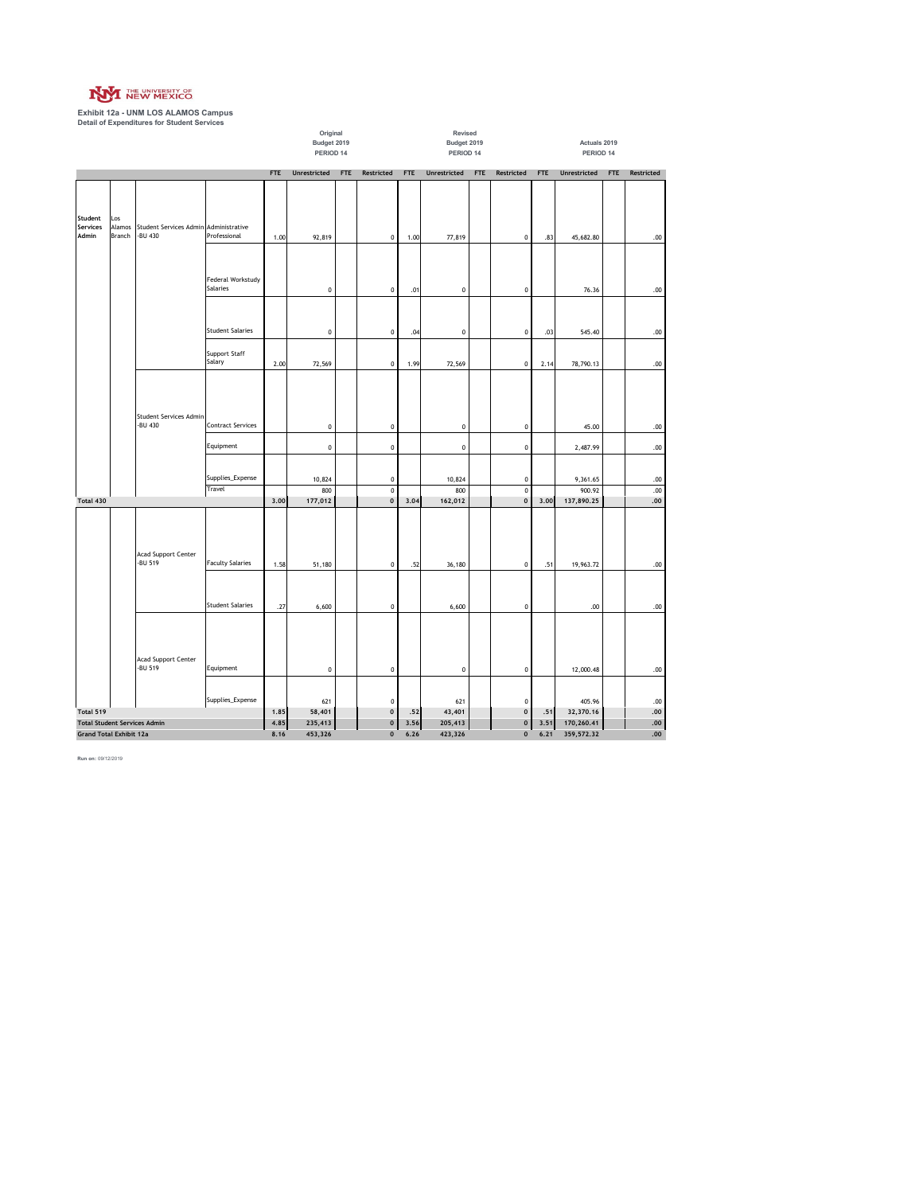

**Exhibit 12a - UNM LOS ALAMOS Campus Detail of Expenditures for Student Services**

|                   |                                                                       |                                                  |                                | Original           |                          |                        |                         | Revised            |                          |                        |                         |                          |                           |            |            |
|-------------------|-----------------------------------------------------------------------|--------------------------------------------------|--------------------------------|--------------------|--------------------------|------------------------|-------------------------|--------------------|--------------------------|------------------------|-------------------------|--------------------------|---------------------------|------------|------------|
|                   |                                                                       |                                                  |                                |                    | Budget 2019<br>PERIOD 14 |                        |                         |                    | Budget 2019<br>PERIOD 14 |                        |                         |                          | Actuals 2019<br>PERIOD 14 |            |            |
|                   |                                                                       |                                                  |                                |                    |                          |                        |                         |                    |                          |                        |                         |                          |                           |            |            |
|                   |                                                                       |                                                  |                                | <b>FTE</b>         | Unrestricted             | <b>FTE</b>             | Restricted              | <b>FTE</b>         | Unrestricted             | <b>FTE</b>             | Restricted              | <b>FTE</b>               | Unrestricted              | <b>FTE</b> | Restricted |
| Student           | Los                                                                   |                                                  |                                |                    |                          |                        |                         |                    |                          |                        |                         |                          |                           |            |            |
| Services<br>Admin | Alamos<br>Branch                                                      | Student Services Admin Administrative<br>-BU 430 | Professional                   | 1.00               | 92,819                   |                        | $\pmb{0}$               | 1.00               | 77,819                   |                        | $\pmb{0}$               | .83                      | 45,682.80                 |            | $.00\,$    |
|                   |                                                                       |                                                  | Federal Workstudy<br>Salaries  |                    | $\pmb{0}$                |                        | $\mathbf 0$             | .01                | $\pmb{0}$                |                        | $\pmb{0}$               |                          | 76.36                     |            | $.00\,$    |
|                   |                                                                       |                                                  | <b>Student Salaries</b>        |                    | $\pmb{0}$                |                        | $\pmb{0}$               | .04                | $\pmb{0}$                |                        | $\pmb{0}$               | .03                      | 545.40                    |            | .00        |
|                   |                                                                       |                                                  | <b>Support Staff</b><br>Salary | 2.00               | 72,569                   |                        | $\mathbf 0$             | 1.99               | 72,569                   |                        | $\pmb{0}$               | 2.14                     | 78,790.13                 |            | $.00\,$    |
|                   |                                                                       | Student Services Admin                           |                                |                    |                          |                        |                         |                    |                          |                        |                         |                          |                           |            |            |
|                   |                                                                       | -BU 430                                          | <b>Contract Services</b>       |                    | $\pmb{0}$                |                        | $\pmb{0}$               |                    | $\pmb{0}$                |                        | $\mathbf 0$             |                          | 45.00                     |            | .00        |
|                   |                                                                       |                                                  | Equipment                      |                    | $\pmb{0}$                |                        | $\pmb{0}$               |                    | $\pmb{0}$                |                        | $\pmb{0}$               |                          | 2,487.99                  |            | .00        |
|                   |                                                                       |                                                  | Supplies_Expense               |                    | 10,824                   |                        | $\mathbf 0$             |                    | 10,824                   |                        | $\mathbf 0$             |                          | 9,361.65                  |            | .00        |
|                   |                                                                       |                                                  | Travel                         |                    | 800                      |                        | $\overline{\textbf{0}}$ |                    | 800                      |                        | $\overline{\mathbf{0}}$ |                          | 900.92                    |            | $.00$      |
| Total 430         |                                                                       |                                                  |                                | 3.00               | 177,012                  |                        | $\mathbf 0$             | 3.04               | 162,012                  |                        | $\pmb{0}$               | 3.00                     | 137,890.25                |            | $.00\,$    |
|                   |                                                                       | Acad Support Center<br>-BU 519                   | <b>Faculty Salaries</b>        | 1.58               | 51,180                   |                        | $\pmb{0}$               | .52                | 36,180                   |                        | $\pmb{0}$               | .51                      | 19,963.72                 |            | .00.       |
|                   |                                                                       |                                                  | <b>Student Salaries</b>        | .27                | 6,600                    |                        | $\pmb{0}$               |                    | 6,600                    |                        | $\mathbf 0$             |                          | .00                       |            | .00.       |
|                   |                                                                       | Acad Support Center                              |                                |                    |                          |                        |                         |                    |                          |                        |                         |                          |                           |            |            |
|                   |                                                                       | -BU 519                                          | Equipment                      |                    | $\pmb{0}$                |                        | $\mathbf 0$             |                    | $\pmb{0}$                |                        | $\pmb{0}$               |                          | 12,000.48                 |            | .00        |
|                   |                                                                       |                                                  | Supplies_Expense               |                    | 621                      |                        | $\mathbf{0}$            |                    | 621                      |                        | $\mathbf 0$             |                          | 405.96                    |            | .00        |
| Total 519         |                                                                       |                                                  |                                | 1.85               | 58,401                   |                        | $\mathbf{0}$            | .52                | 43,401                   |                        | $\pmb{\mathsf{0}}$      | .51                      | 32,370.16                 |            | .00        |
|                   | <b>Total Student Services Admin</b><br><b>Grand Total Exhibit 12a</b> |                                                  | 4.85<br>8.16                   | 235,413<br>453,326 |                          | $\pmb{0}$<br>$\pmb{0}$ | 3.56<br>6.26            | 205,413<br>423,326 |                          | $\pmb{0}$<br>$\pmb{0}$ | 3.51<br>6.21            | 170,260.41<br>359,572.32 |                           | .00<br>.00 |            |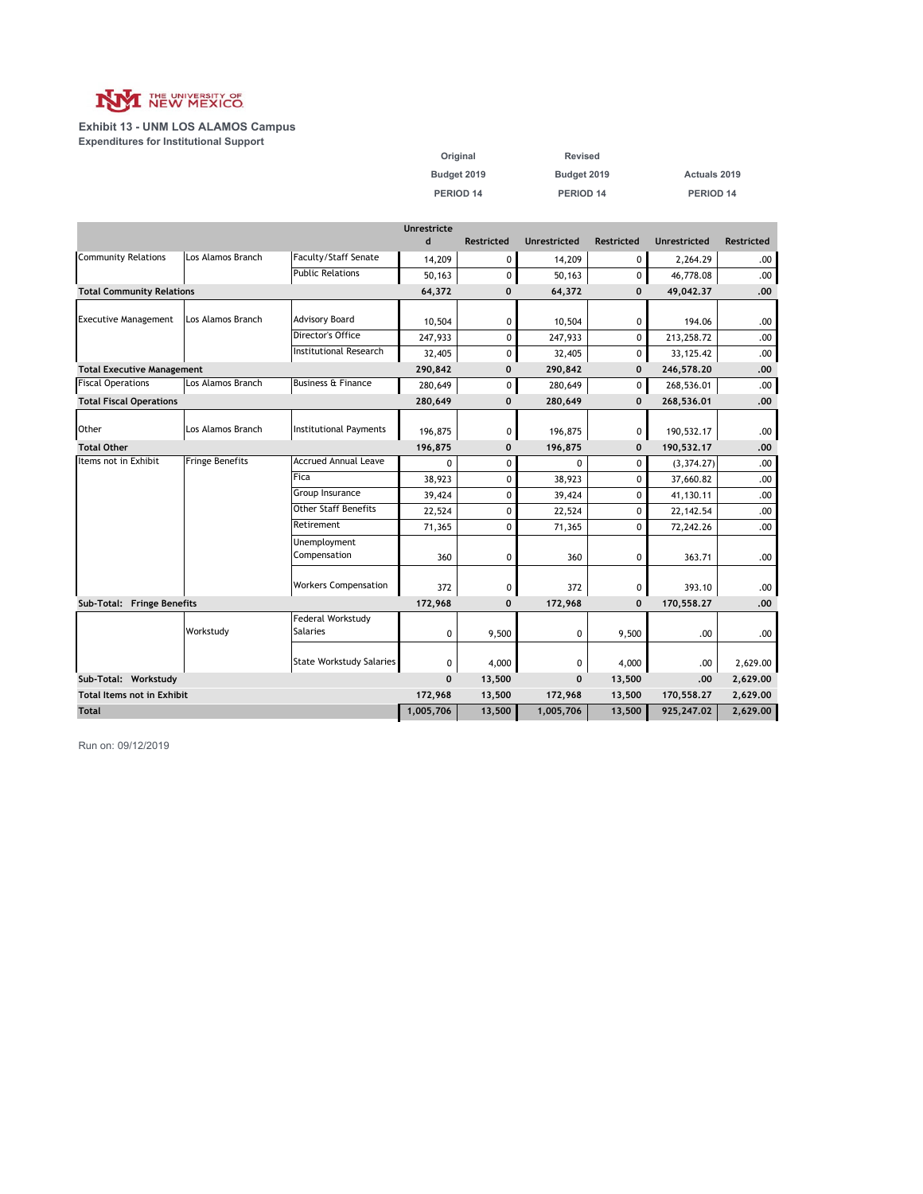

**Exhibit 13 - UNM LOS ALAMOS Campus Expenditures for Institutional Support**

| Original    | <b>Revised</b> |              |
|-------------|----------------|--------------|
| Budget 2019 | Budget 2019    | Actuals 2019 |
| PERIOD 14   | PERIOD 14      | PERIOD 14    |

|                                   |                        |                                             | Unrestricte |                   |                     |                   |                     |                   |
|-----------------------------------|------------------------|---------------------------------------------|-------------|-------------------|---------------------|-------------------|---------------------|-------------------|
|                                   |                        |                                             | $\mathbf d$ | <b>Restricted</b> | <b>Unrestricted</b> | <b>Restricted</b> | <b>Unrestricted</b> | <b>Restricted</b> |
| <b>Community Relations</b>        | Los Alamos Branch      | Faculty/Staff Senate                        | 14,209      | 0                 | 14,209              | 0                 | 2,264.29            | .00               |
|                                   |                        | <b>Public Relations</b>                     | 50,163      | 0                 | 50.163              | 0                 | 46,778.08           | .00.              |
| <b>Total Community Relations</b>  |                        |                                             | 64,372      | $\mathbf 0$       | 64,372              | $\mathbf{0}$      | 49,042.37           | .00               |
|                                   |                        |                                             |             |                   |                     |                   |                     |                   |
| <b>Executive Management</b>       | Los Alamos Branch      | <b>Advisory Board</b>                       | 10,504      | 0                 | 10,504              | 0                 | 194.06              | .00               |
|                                   |                        | Director's Office                           | 247,933     | 0                 | 247,933             | 0                 | 213,258.72          | .00.              |
|                                   |                        | <b>Institutional Research</b>               | 32,405      | 0                 | 32,405              | 0                 | 33, 125. 42         | .00.              |
| <b>Total Executive Management</b> |                        |                                             | 290,842     | $\mathbf 0$       | 290,842             | $\mathbf 0$       | 246,578.20          | .00               |
| <b>Fiscal Operations</b>          | Los Alamos Branch      | <b>Business &amp; Finance</b>               | 280.649     | 0                 | 280,649             | 0                 | 268,536.01          | .00.              |
| <b>Total Fiscal Operations</b>    |                        |                                             | 280,649     | $\mathbf{0}$      | 280,649             | $\mathbf{0}$      | 268,536.01          | .00               |
|                                   |                        |                                             |             |                   |                     |                   |                     |                   |
| Other                             | Los Alamos Branch      | <b>Institutional Payments</b>               | 196,875     | 0                 | 196,875             | 0                 | 190,532.17          | .00               |
| <b>Total Other</b>                |                        |                                             | 196,875     | $\mathbf 0$       | 196,875             | $\mathbf 0$       | 190,532.17          | .00               |
| Items not in Exhibit              | <b>Fringe Benefits</b> | <b>Accrued Annual Leave</b>                 | $\Omega$    | 0                 | 0                   | 0                 | (3, 374.27)         | .00               |
|                                   |                        | Fica                                        | 38,923      | 0                 | 38,923              | 0                 | 37,660.82           | .00               |
|                                   |                        | Group Insurance                             | 39,424      | 0                 | 39,424              | 0                 | 41,130.11           | .00               |
|                                   |                        | <b>Other Staff Benefits</b>                 | 22,524      | 0                 | 22,524              | 0                 | 22, 142.54          | .00               |
|                                   |                        | Retirement                                  | 71,365      | 0                 | 71,365              | $\mathbf{0}$      | 72,242.26           | .00               |
|                                   |                        | Unemployment                                |             |                   |                     |                   |                     |                   |
|                                   |                        | Compensation                                | 360         | 0                 | 360                 | 0                 | 363.71              | .00               |
|                                   |                        |                                             |             |                   |                     |                   |                     |                   |
|                                   |                        | <b>Workers Compensation</b>                 | 372         | 0                 | 372                 | 0                 | 393.10              | .00               |
| Sub-Total: Fringe Benefits        |                        |                                             | 172,968     | $\mathbf 0$       | 172,968             | $\mathbf 0$       | 170,558.27          | .00               |
|                                   | Workstudy              | <b>Federal Workstudy</b><br><b>Salaries</b> |             |                   |                     |                   |                     |                   |
|                                   |                        |                                             | $\Omega$    | 9,500             | 0                   | 9,500             | .00                 | .00               |
|                                   |                        | <b>State Workstudy Salaries</b>             | 0           | 4,000             | 0                   | 4,000             | .00                 | 2,629.00          |
| Sub-Total: Workstudy              |                        | $\Omega$                                    | 13,500      | $\mathbf{0}$      | 13,500              | .00               | 2,629.00            |                   |
| <b>Total Items not in Exhibit</b> |                        | 172,968                                     | 13,500      | 172,968           | 13,500              | 170,558.27        | 2,629.00            |                   |
| <b>Total</b>                      |                        |                                             | 1,005,706   | 13,500            | 1,005,706           | 13,500            | 925,247.02          | 2,629.00          |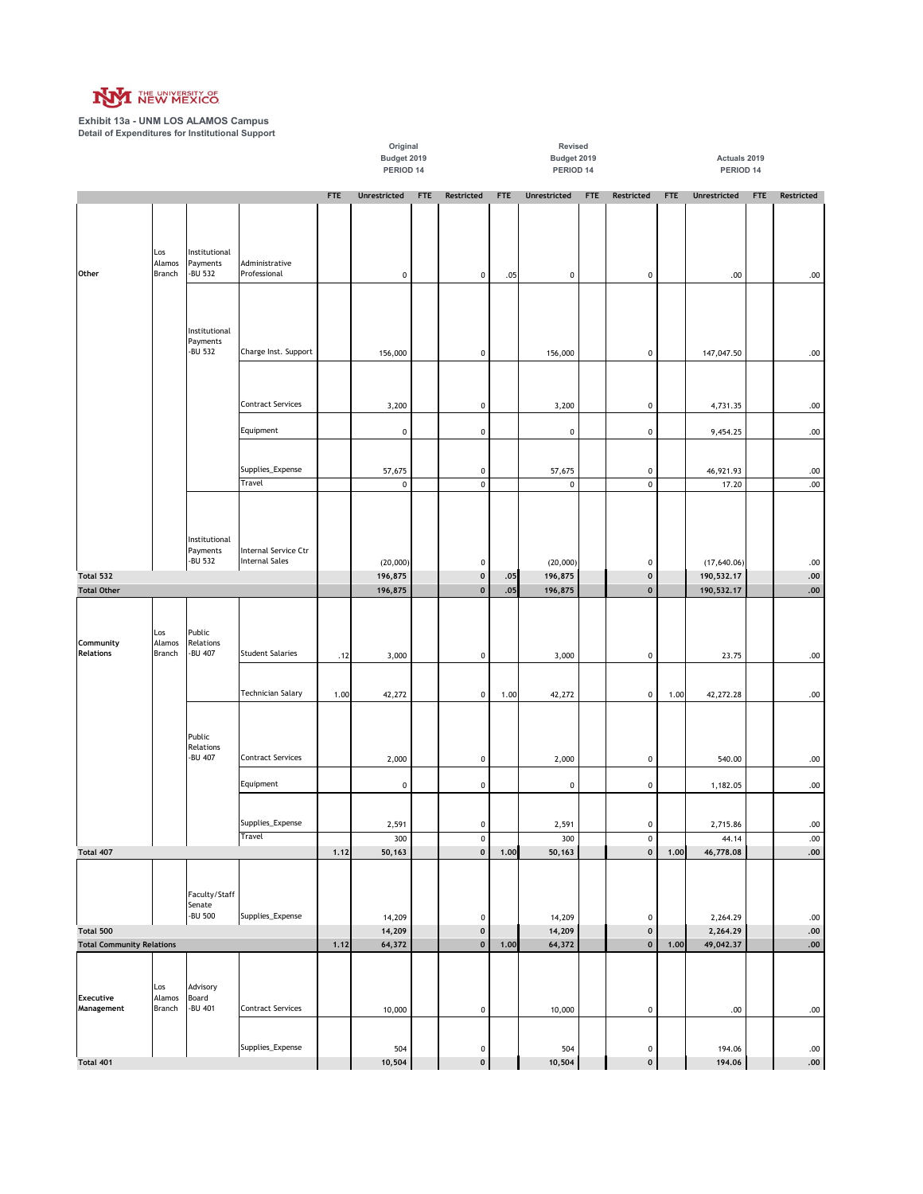

**Exhibit 13a - UNM LOS ALAMOS Campus Detail of Expenditures for Institutional Support**

|                                  |                         |                                      |                                               |            | PERIOD 14        |            |                                 |            | PERIOD 14        |            |                |            | PERIOD 14            |            |                    |
|----------------------------------|-------------------------|--------------------------------------|-----------------------------------------------|------------|------------------|------------|---------------------------------|------------|------------------|------------|----------------|------------|----------------------|------------|--------------------|
|                                  |                         |                                      |                                               | <b>FTE</b> | Unrestricted     | <b>FTE</b> | Restricted                      | <b>FTE</b> | Unrestricted     | <b>FTE</b> | Restricted     | <b>FTE</b> | Unrestricted         | <b>FTE</b> | Restricted         |
|                                  | Los<br>Alamos           | Institutional<br>Payments            | Administrative                                |            |                  |            |                                 |            |                  |            |                |            |                      |            |                    |
| Other                            | Branch                  | -BU 532                              | Professional                                  |            | 0                |            | $\pmb{0}$                       | .05        | $\pmb{0}$        |            | 0              |            | .00                  |            | $.00 \,$           |
|                                  |                         | Institutional                        |                                               |            |                  |            |                                 |            |                  |            |                |            |                      |            |                    |
|                                  |                         | Payments<br>-BU 532                  | Charge Inst. Support                          |            | 156,000          |            | $\pmb{0}$                       |            | 156,000          |            | 0              |            | 147,047.50           |            | $.00 \,$           |
|                                  |                         |                                      | <b>Contract Services</b>                      |            | 3,200            |            | $\pmb{0}$                       |            | 3,200            |            | 0              |            | 4,731.35             |            | .00                |
|                                  |                         |                                      | Equipment                                     |            | 0                |            | $\pmb{0}$                       |            | 0                |            | 0              |            | 9,454.25             |            | .00                |
|                                  |                         |                                      |                                               |            |                  |            |                                 |            |                  |            |                |            |                      |            |                    |
|                                  |                         |                                      | Supplies_Expense                              |            | 57,675           |            | $\pmb{0}$                       |            | 57,675           |            | 0              |            | 46,921.93            |            | .00                |
|                                  |                         |                                      | Travel                                        |            | $\pmb{0}$        |            | $\pmb{0}$                       |            | $\pmb{0}$        |            | $\pmb{0}$      |            | 17.20                |            | .00                |
|                                  |                         | Institutional<br>Payments<br>-BU 532 | Internal Service Ctr<br><b>Internal Sales</b> |            | (20,000)         |            | 0                               |            | (20,000)         |            | 0              |            | (17, 640.06)         |            | .00                |
| Total 532                        |                         |                                      |                                               |            | 196,875          |            | $\pmb{0}$                       | .05        | 196,875          |            | $\mathbf 0$    |            | 190,532.17           |            | .00.               |
| <b>Total Other</b>               |                         |                                      |                                               |            | 196,875          |            | $\pmb{\mathsf{0}}$              | .05        | 196,875          |            | $\mathbf 0$    |            | 190,532.17           |            | .00.               |
| Community<br><b>Relations</b>    | Los<br>Alamos<br>Branch | Public<br>Relations<br>-BU 407       | <b>Student Salaries</b>                       | .12        | 3,000            |            | $\pmb{0}$                       |            | 3,000            |            | 0              |            | 23.75                |            | $.00 \,$           |
|                                  |                         |                                      | <b>Technician Salary</b>                      | 1.00       | 42,272           |            | $\pmb{0}$                       | 1.00       | 42,272           |            | $\mathbf 0$    | 1.00       | 42,272.28            |            | .00.               |
|                                  |                         | Public<br>Relations<br>-BU 407       | <b>Contract Services</b>                      |            |                  |            |                                 |            |                  |            |                |            |                      |            |                    |
|                                  |                         |                                      |                                               |            | 2,000            |            | $\pmb{0}$                       |            | 2,000            |            | 0              |            | 540.00               |            | .00                |
|                                  |                         |                                      | Equipment                                     |            | 0                |            | $\pmb{0}$                       |            | $\pmb{0}$        |            | $\mathbf 0$    |            | 1,182.05             |            | .00.               |
|                                  |                         |                                      | Supplies_Expense                              |            | 2,591            |            | $\pmb{0}$                       |            | 2,591            |            | 0              |            | 2,715.86             |            | .00                |
|                                  |                         |                                      | <b>Travel</b>                                 |            | 300              |            | $\mathbf 0$                     |            | 300              |            | $\mathbf 0$    |            | 44.14                |            | .00.               |
| Total 407                        |                         |                                      |                                               | 1.12       | 50,163           |            | $\mathbf 0$                     | 1.00       | 50,163           |            | $\mathbf 0$    | 1.00       | 46,778.08            |            | .00.               |
| Total 500                        |                         | Faculty/Staff<br>Senate<br>-BU 500   | Supplies_Expense                              |            | 14,209<br>14,209 |            | $\pmb{0}$<br>$\pmb{0}$          |            | 14,209<br>14,209 |            | 0<br>$\pmb{0}$ |            | 2,264.29<br>2,264.29 |            | .00<br>${\bf .00}$ |
| <b>Total Community Relations</b> |                         |                                      |                                               | 1.12       | 64,372           |            | $\pmb{\mathsf{o}}$              | 1.00       | 64,372           |            | $\mathbf 0$    | 1.00       | 49,042.37            |            | ${\bf .00}$        |
| <b>Executive</b><br>Management   | Los<br>Alamos<br>Branch | Advisory<br>Board<br>-BU 401         | <b>Contract Services</b>                      |            | 10,000           |            | $\pmb{0}$                       |            | 10,000           |            | 0              |            | .00                  |            | .00                |
|                                  |                         |                                      | Supplies_Expense                              |            |                  |            |                                 |            |                  |            |                |            |                      |            |                    |
| Total 401                        |                         |                                      |                                               |            | 504<br>10,504    |            | $\pmb{0}$<br>$\pmb{\mathsf{o}}$ |            | 504<br>10,504    |            | 0<br>$\pmb{0}$ |            | 194.06<br>194.06     |            | .00<br>${\bf .00}$ |

**Budget 2019 Budget 2019 Actuals 2019**

**Original Revised**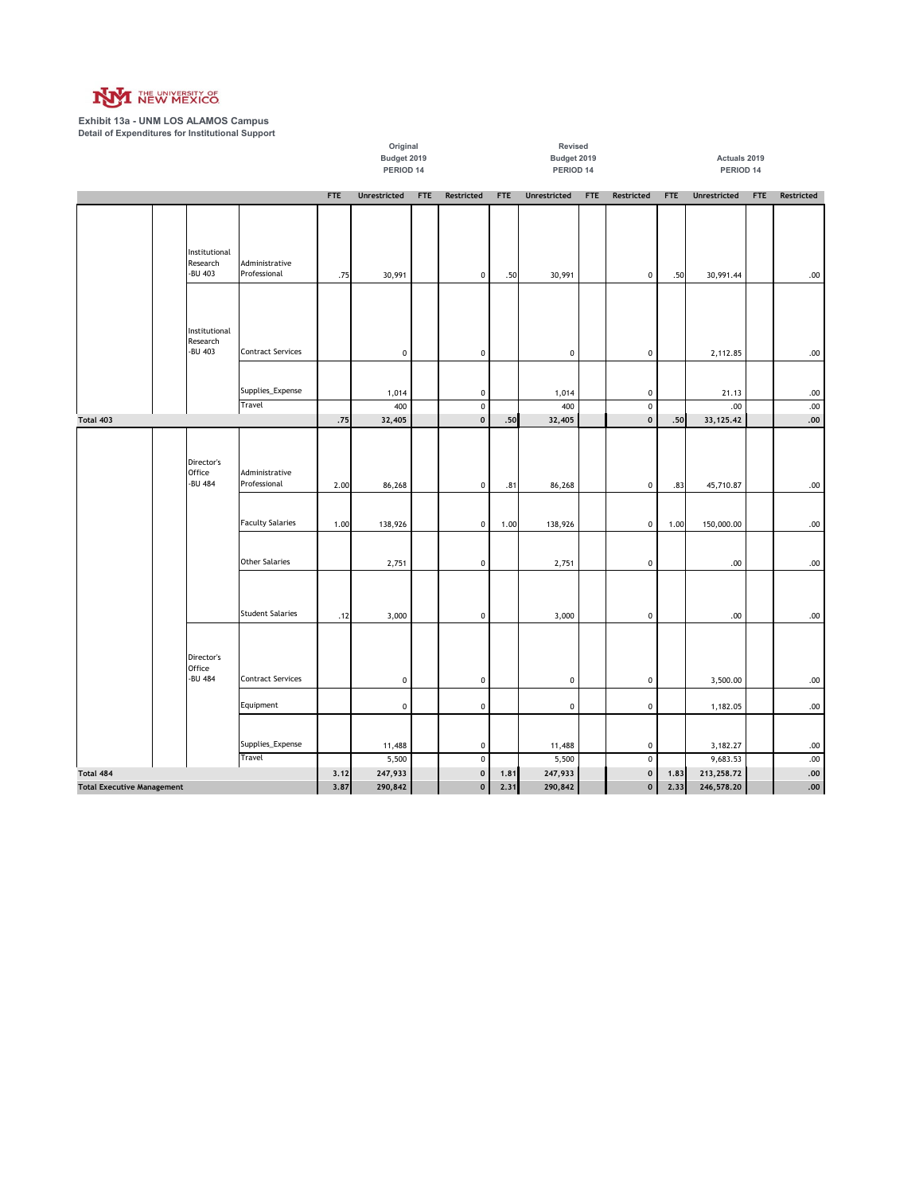

**Exhibit 13a - UNM LOS ALAMOS Campus Detail of Expenditures for Institutional Support**

**FTE Unrestricted FTE Restricted FTE Unrestricted FTE Restricted FTE Unrestricted FTE Restricted Budget 2019 Budget 2019 Actuals 2019** PERIOD 14 PERIOD 14 PERIOD 14 **Original Revised** Institutional Research -BU 403 Administrative<br>Professional 00. | 75 .75 30,991 | 10 .50 30,991 0 .50 .50 .50 .50 .50 .50 .50 .50 Institutional Research<br>-BU 403 -BU 403 Contract Services 0 0 0 0 2,112.85 .00 Supplies\_Expense | | 1,014 | 0 | 1,014 | 0 | 21.13 | .00 00. | | 400 | 0 | 400 | 400 | 100 | 100 | 100 | 100 | 100 | 100 | 100 | 100 | 100 | 100 | 100 | 100 | 100 | 10 **.75 32,405 0 .50 32,405 0 .50 33,125.42 .00** Director's Office -BU 484 Administrative 00. | 2.00 .83 .268 | 0 .81 86,268 | 0 .83 45,710.87 | .00 Faculty Salaries 1.00 138,926 0 1.00 138,926 0 1.00 150,000.00 .00 Other Salaries 2,751 | 0 | 2,751 | 2,751 | 0 | 2,751 | 0 | 2,751 | 0 | 2,751 | 0 | 0 | 00 | 00 | 00 | 00 | 00 | 00. | 5tudent Salaries | 12 3,000 | 0 | 3,000 | 3,000 | 5tudent Salaries Director's Office<br>-BU 484 -BU 484 Contract Services | | 0 0 0 0 0 0 0 0 0 0 0 3,500.00 .00 Equipment | | 0 | 0 | 0 | 0 | 0 | 1,182.05 | .00 Supplies\_Expense | | 11,488 | 0 | 11,488 | 0 3,182.27 .00 Travel 5,500 | 0 | 5,500 | 0 | 9,683.53 | | .00 **3.12** 247,933 0 0 1.81 247,933 0 0 1.83 213,258.72 247,933 **3.87 290,842 0 2.31 290,842 0 2.33 246,578.20 .00 Total 403 Total 484 Total Executive Management**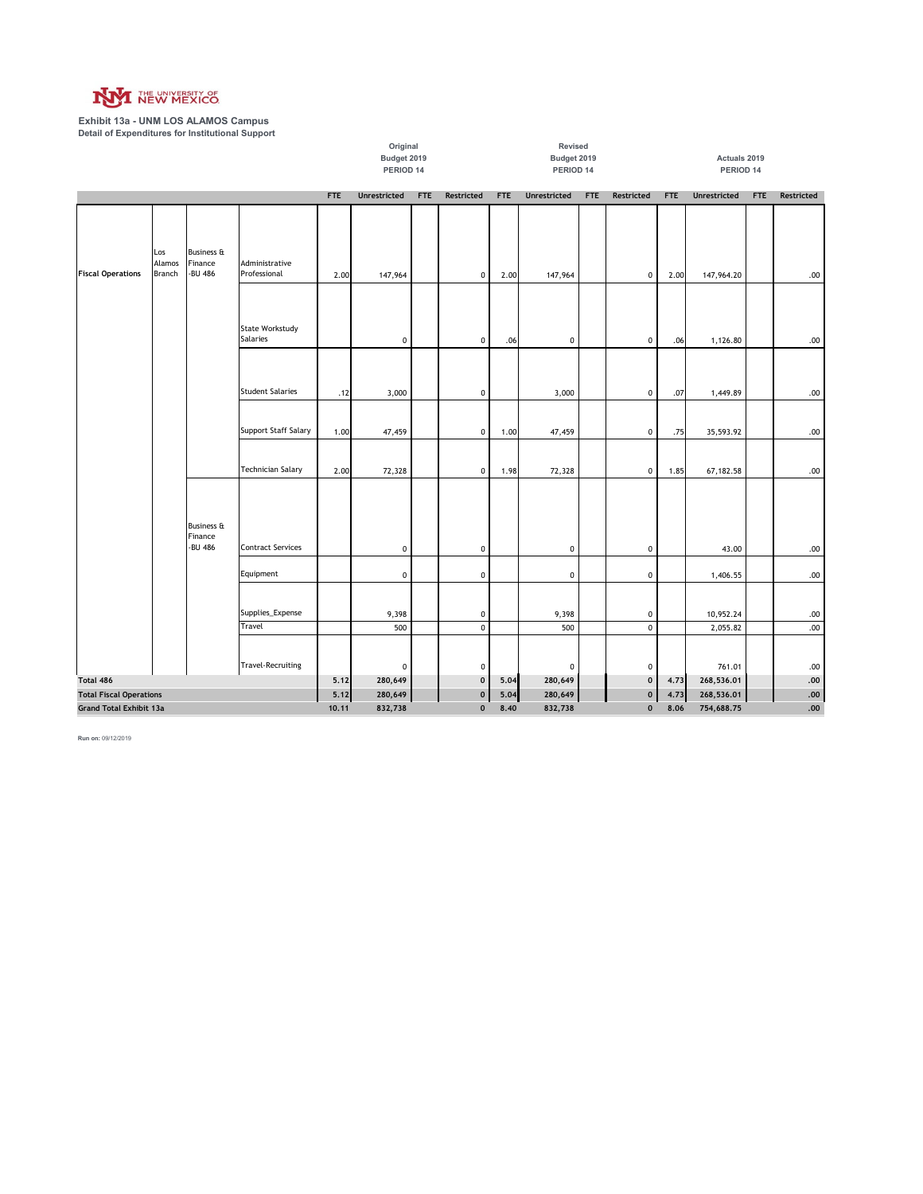

**Exhibit 13a - UNM LOS ALAMOS Campus Detail of Expenditures for Institutional Support**

|                                                                  |                         |                                             |                                |         | Original     |             |                            |            | Revised              |              |                        |            |                       |            |                  |
|------------------------------------------------------------------|-------------------------|---------------------------------------------|--------------------------------|---------|--------------|-------------|----------------------------|------------|----------------------|--------------|------------------------|------------|-----------------------|------------|------------------|
|                                                                  |                         |                                             |                                |         | Budget 2019  |             |                            |            | Budget 2019          |              |                        |            | Actuals 2019          |            |                  |
|                                                                  |                         |                                             |                                |         | PERIOD 14    |             |                            |            | PERIOD 14            |              |                        |            | PERIOD 14             |            |                  |
|                                                                  |                         |                                             |                                | FTE     | Unrestricted | <b>FTE</b>  | Restricted                 | <b>FTE</b> | <b>Unrestricted</b>  | <b>FTE</b>   | Restricted             | <b>FTE</b> | <b>Unrestricted</b>   | <b>FTE</b> | Restricted       |
|                                                                  |                         |                                             |                                |         |              |             |                            |            |                      |              |                        |            |                       |            |                  |
| <b>Fiscal Operations</b>                                         | Los<br>Alamos<br>Branch | <b>Business &amp;</b><br>Finance<br>-BU 486 | Administrative<br>Professional | 2.00    | 147,964      |             | $\pmb{0}$                  | 2.00       | 147,964              |              | $\mathbf 0$            | 2.00       | 147,964.20            |            | .00.             |
|                                                                  |                         |                                             | State Workstudy<br>Salaries    |         | 0            |             | $\pmb{0}$                  | .06        | $\pmb{0}$            |              | $\pmb{0}$              | .06        | 1,126.80              |            | .00.             |
|                                                                  |                         |                                             | <b>Student Salaries</b>        | .12     | 3,000        |             | $\pmb{0}$                  |            | 3,000                |              | 0                      | .07        | 1,449.89              |            | .00.             |
|                                                                  |                         |                                             | Support Staff Salary           | 1.00    | 47,459       |             | $\pmb{0}$                  | 1.00       | 47,459               |              | $\mathbf 0$            | .75        | 35,593.92             |            | .00.             |
|                                                                  |                         |                                             | <b>Technician Salary</b>       | 2.00    | 72,328       |             | $\pmb{0}$                  | 1.98       | 72,328               |              | $\pmb{0}$              | 1.85       | 67,182.58             |            | .00              |
|                                                                  |                         | <b>Business &amp;</b><br>Finance<br>-BU 486 | <b>Contract Services</b>       |         | 0            |             | $\pmb{0}$                  |            | $\pmb{0}$            |              | 0                      |            | 43.00                 |            | $.00 \,$         |
|                                                                  |                         |                                             | Equipment                      |         | 0            |             | $\pmb{0}$                  |            | $\pmb{0}$            |              | 0                      |            | 1,406.55              |            | .00.             |
|                                                                  |                         |                                             | Supplies_Expense<br>Travel     |         | 9,398<br>500 |             | $\mathbf 0$<br>$\mathbf 0$ |            | 9,398<br>500         |              | $\pmb{0}$<br>$\pmb{0}$ |            | 10,952.24<br>2,055.82 |            | .00.<br>$.00 \,$ |
| Total 486                                                        |                         |                                             | <b>Travel-Recruiting</b>       | 5.12    | 0<br>280,649 |             | $\pmb{0}$<br>$\pmb{0}$     | 5.04       | $\pmb{0}$<br>280,649 |              | 0<br>$\mathbf 0$       | 4.73       | 761.01<br>268,536.01  |            | .00<br>.00       |
|                                                                  |                         |                                             |                                | 5.12    | 280,649      |             | $\pmb{0}$                  | 5.04       | 280,649              |              | $\mathbf 0$            | 4.73       | 268,536.01            |            | .00              |
| <b>Total Fiscal Operations</b><br><b>Grand Total Exhibit 13a</b> |                         |                                             | 10.11                          | 832,738 |              | $\mathbf 0$ | 8.40                       | 832,738    |                      | $\mathbf{0}$ | 8.06                   | 754,688.75 |                       | .00        |                  |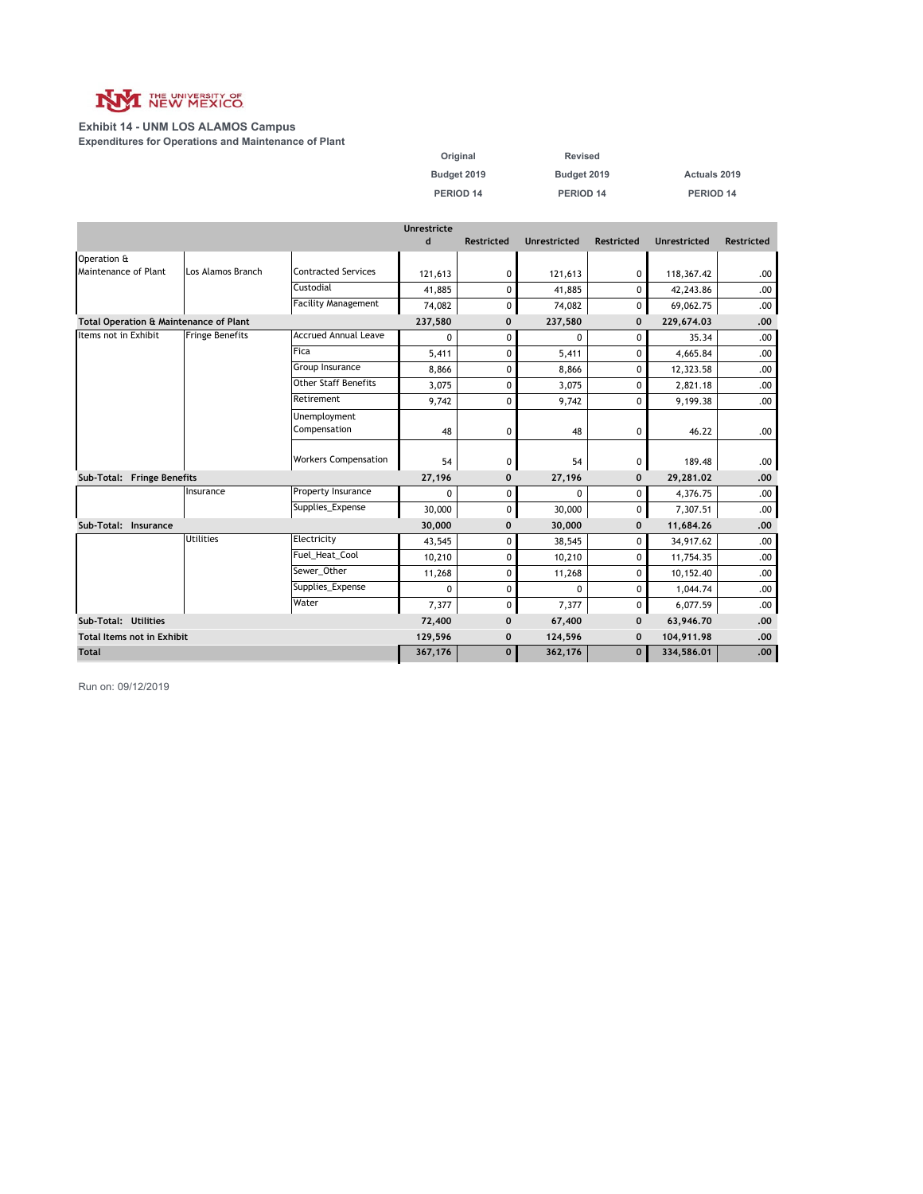

#### **Exhibit 14 - UNM LOS ALAMOS Campus Expenditures for Operations and Maintenance of Plant**

| Original    | Revised     |              |
|-------------|-------------|--------------|
| Budget 2019 | Budget 2019 | Actuals 2019 |
| PERIOD 14   | PERIOD 14   | PERIOD 14    |

|                                   |                                        |                              | <b>Unrestricte</b> |                   |              |                   |                     |                   |
|-----------------------------------|----------------------------------------|------------------------------|--------------------|-------------------|--------------|-------------------|---------------------|-------------------|
|                                   |                                        |                              | d                  | <b>Restricted</b> | Unrestricted | <b>Restricted</b> | <b>Unrestricted</b> | <b>Restricted</b> |
| Operation &                       |                                        |                              |                    |                   |              |                   |                     |                   |
| Maintenance of Plant              | Los Alamos Branch                      | <b>Contracted Services</b>   | 121,613            | 0                 | 121,613      | 0                 | 118,367.42          | .00.              |
|                                   |                                        | Custodial                    | 41,885             | 0                 | 41,885       | 0                 | 42,243.86           | .00.              |
|                                   |                                        | <b>Facility Management</b>   | 74,082             | 0                 | 74,082       | 0                 | 69,062.75           | .00.              |
|                                   | Total Operation & Maintenance of Plant |                              | 237,580            | $\mathbf 0$       | 237,580      | $\mathbf 0$       | 229,674.03          | .00               |
| Items not in Exhibit              | <b>Fringe Benefits</b>                 | <b>Accrued Annual Leave</b>  | $\mathbf{0}$       | 0                 | 0            | $\Omega$          | 35.34               | .00.              |
|                                   |                                        | Fica                         | 5,411              | 0                 | 5,411        | 0                 | 4,665.84            | .00.              |
|                                   |                                        | Group Insurance              | 8,866              | 0                 | 8,866        | 0                 | 12,323.58           | .00.              |
|                                   |                                        | <b>Other Staff Benefits</b>  | 3,075              | 0                 | 3,075        | 0                 | 2,821.18            | .00.              |
|                                   |                                        | Retirement                   | 9,742              | 0                 | 9,742        | 0                 | 9,199.38            | .00.              |
|                                   |                                        | Unemployment<br>Compensation | 48                 | 0                 | 48           | 0                 | 46.22               | .00.              |
|                                   |                                        | <b>Workers Compensation</b>  | 54                 | 0                 | 54           | 0                 | 189.48              | .00.              |
| Sub-Total: Fringe Benefits        |                                        |                              | 27,196             | $\mathbf 0$       | 27,196       | $\mathbf 0$       | 29,281.02           | .00               |
|                                   | Insurance                              | Property Insurance           | 0                  | 0                 | 0            | 0                 | 4,376.75            | .00.              |
|                                   |                                        | Supplies_Expense             | 30,000             | 0                 | 30,000       | 0                 | 7,307.51            | .00.              |
| Sub-Total: Insurance              |                                        |                              | 30,000             | $\mathbf 0$       | 30,000       | $\mathbf 0$       | 11,684.26           | .00               |
|                                   | <b>Utilities</b>                       | Electricity                  | 43,545             | 0                 | 38,545       | 0                 | 34,917.62           | .00.              |
|                                   |                                        | Fuel Heat Cool               | 10,210             | 0                 | 10,210       | 0                 | 11,754.35           | .00.              |
|                                   |                                        | Sewer Other                  | 11,268             | 0                 | 11,268       | 0                 | 10,152.40           | .00.              |
|                                   |                                        | Supplies Expense             | 0                  | 0                 | $\Omega$     | 0                 | 1,044.74            | .00.              |
|                                   |                                        | Water                        | 7,377              | 0                 | 7,377        | 0                 | 6,077.59            | .00.              |
| Sub-Total: Utilities              |                                        |                              | 72,400             | 0                 | 67,400       | $\mathbf 0$       | 63,946.70           | .00               |
| <b>Total Items not in Exhibit</b> |                                        |                              | 129,596            | $\mathbf 0$       | 124,596      | $\mathbf 0$       | 104,911.98          | .00               |
| <b>Total</b>                      |                                        | 367,176                      | $\mathbf{0}$       | 362,176           | $\mathbf{0}$ | 334,586.01        | .00.                |                   |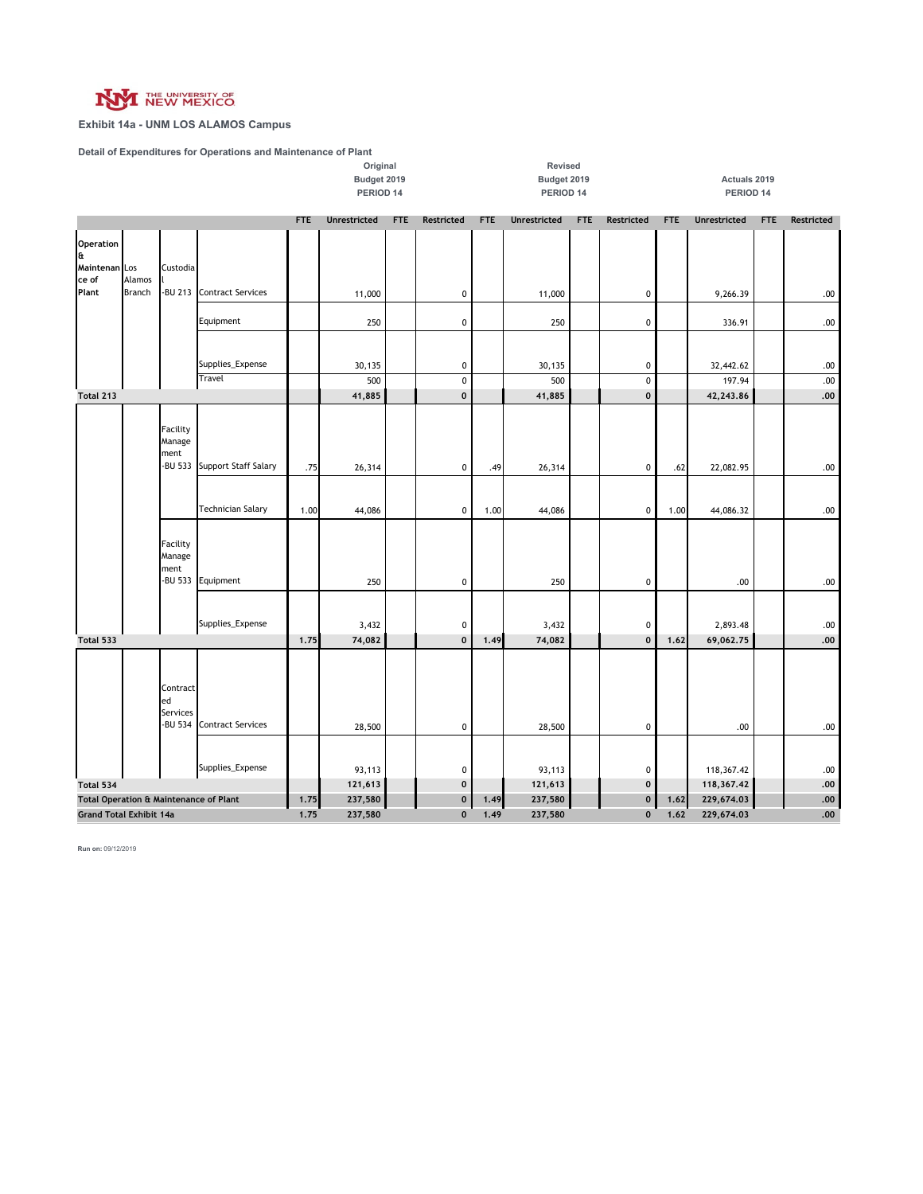

### **Exhibit 14a - UNM LOS ALAMOS Campus**

**Detail of Expenditures for Operations and Maintenance of Plant**

|                                                                                                                                |                         |                                       |                                              | Original<br>Revised<br>Budget 2019<br>Budget 2019<br>PERIOD 14<br>PERIOD 14 |                     |            |                          |             |                     | Actuals 2019<br>PERIOD 14 |                  |             |                        |            |               |
|--------------------------------------------------------------------------------------------------------------------------------|-------------------------|---------------------------------------|----------------------------------------------|-----------------------------------------------------------------------------|---------------------|------------|--------------------------|-------------|---------------------|---------------------------|------------------|-------------|------------------------|------------|---------------|
|                                                                                                                                |                         |                                       |                                              | <b>FTE</b>                                                                  | <b>Unrestricted</b> | <b>FTE</b> | Restricted               | <b>FTE</b>  | <b>Unrestricted</b> | <b>FTE</b>                | Restricted       | <b>FTE</b>  | <b>Unrestricted</b>    | <b>FTE</b> | Restricted    |
| Operation<br>a,<br>Maintenan Los<br>ce of<br>Plant                                                                             | Alamos<br><b>Branch</b> | Custodia                              | -BU 213 Contract Services                    |                                                                             | 11,000              |            | $\pmb{0}$                |             | 11,000              |                           | $\pmb{0}$        |             | 9,266.39               |            | .00           |
|                                                                                                                                |                         |                                       | Equipment                                    |                                                                             | 250                 |            | $\pmb{0}$                |             | 250                 |                           | $\mathbf 0$      |             | 336.91                 |            | .00           |
|                                                                                                                                |                         |                                       | Supplies_Expense<br><b>Travel</b>            |                                                                             | 30,135<br>500       |            | $\mathbf 0$<br>$\pmb{0}$ |             | 30,135<br>500       |                           | 0<br>$\mathbf 0$ |             | 32,442.62<br>197.94    |            | .00<br>.00    |
| Total 213                                                                                                                      |                         |                                       |                                              |                                                                             | 41,885              |            | $\mathbf 0$              |             | 41,885              |                           | 0                |             | 42,243.86              |            | .00.          |
| Facility<br>Manage<br>ment<br>-BU 533<br><b>Support Staff Salary</b><br><b>Technician Salary</b><br>Facility<br>Manage<br>ment |                         |                                       |                                              | .75<br>1.00                                                                 | 26,314<br>44,086    |            | $\pmb{0}$<br>$\pmb{0}$   | .49<br>1.00 | 26,314<br>44,086    |                           | 0<br>0           | .62<br>1.00 | 22,082.95<br>44,086.32 |            | .00.<br>.00.  |
|                                                                                                                                |                         | -BU 533                               | Equipment<br>Supplies_Expense                |                                                                             | 250<br>3,432        |            | $\pmb{0}$<br>$\pmb{0}$   |             | 250<br>3,432        |                           | 0<br>$\pmb{0}$   |             | .00<br>2,893.48        |            | .00.<br>$.00$ |
| Total 533                                                                                                                      |                         |                                       |                                              | 1.75                                                                        | 74,082              |            | $\mathbf 0$              | 1.49        | 74,082              |                           | 0                | 1.62        | 69,062.75              |            | .00.          |
|                                                                                                                                |                         | Contract<br>ed<br>Services<br>-BU 534 | <b>Contract Services</b><br>Supplies_Expense |                                                                             | 28,500<br>93,113    |            | 0<br>$\pmb{0}$           |             | 28,500<br>93,113    |                           | 0<br>$\pmb{0}$   |             | .00<br>118,367.42      |            | .00.<br>.00   |
| Total 534                                                                                                                      |                         |                                       |                                              |                                                                             | 121,613             |            | $\pmb{0}$                |             | 121,613             |                           | 0                |             | 118,367.42             |            | .00.          |
|                                                                                                                                |                         |                                       |                                              | 1.75                                                                        | 237,580             |            | 0                        | 1.49        | 237,580             |                           | $\mathbf 0$      | 1.62        | 229,674.03             |            | .00.          |
| Total Operation & Maintenance of Plant<br><b>Grand Total Exhibit 14a</b>                                                       |                         |                                       |                                              | 1.75                                                                        | 237,580             |            | $\mathbf{0}$             | 1.49        | 237,580             |                           | $\mathbf{0}$     | 1.62        | 229,674.03             |            | .00.          |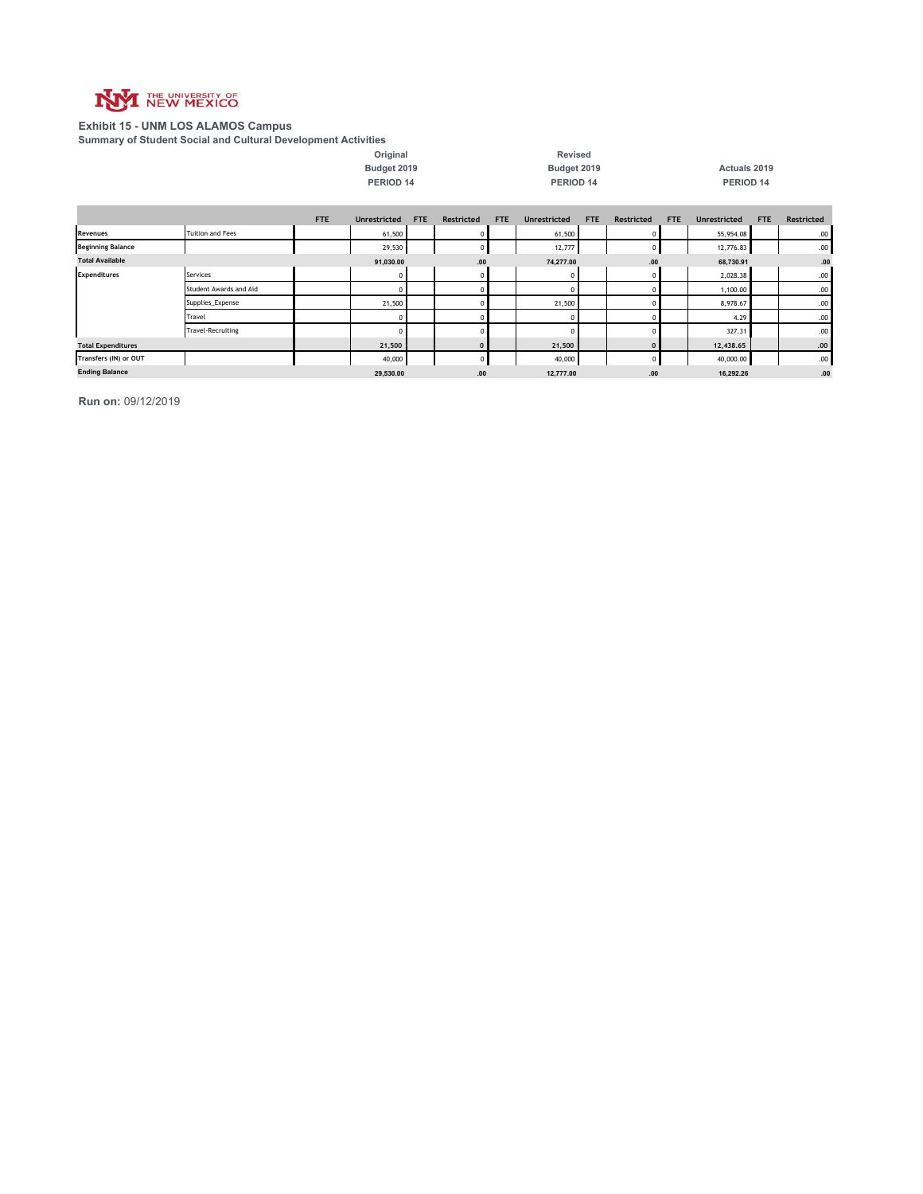

#### **Exhibit 15 - UNM LOS ALAMOS Campus**

**Summary of Student Social and Cultural Development Activities**

|                           | <u>Cammary or Stadomt Soonn and Saltaral Borolophiont Aothenos</u> |                       |                     |            |             |            |                     |     |            |           |                     |      |            |
|---------------------------|--------------------------------------------------------------------|-----------------------|---------------------|------------|-------------|------------|---------------------|-----|------------|-----------|---------------------|------|------------|
|                           |                                                                    |                       | Original            |            |             |            | <b>Revised</b>      |     |            |           |                     |      |            |
|                           |                                                                    |                       | Budget 2019         |            |             |            | Budget 2019         |     |            |           | Actuals 2019        |      |            |
|                           |                                                                    |                       | PERIOD 14           |            |             |            | PERIOD 14           |     |            |           | PERIOD 14           |      |            |
|                           |                                                                    | <b>FTE</b>            | <b>Unrestricted</b> | <b>FTE</b> | Restricted  | <b>FTE</b> | <b>Unrestricted</b> | FTE | Restricted | FTE       | <b>Unrestricted</b> | FTE  | Restricted |
| Revenues                  | <b>Tuition and Fees</b>                                            |                       | 61,500              |            |             |            | 61,500              |     |            |           | 55,954.08           |      | .00.       |
| <b>Beginning Balance</b>  |                                                                    |                       | 29,530              |            | $\mathbf 0$ |            | 12,777              |     | 0          |           | 12,776.83           |      | .00.       |
| <b>Total Available</b>    |                                                                    |                       | 91,030.00           |            | .00         |            | 74,277.00           |     | .00        |           | 68,730.91           |      | .00        |
| <b>Expenditures</b>       | Services                                                           |                       | $^{\circ}$          |            |             |            |                     |     | 0          |           | 2,028.38            |      | .00.       |
|                           | Student Awards and Aid                                             |                       | $\Omega$            |            |             |            |                     |     | $\Omega$   |           | 1,100.00            |      | .00.       |
|                           | Supplies_Expense                                                   |                       | 21,500              |            |             |            | 21,500              |     | $\Omega$   |           | 8,978.67            |      | .00.       |
|                           | Travel                                                             |                       | $^{\circ}$          |            |             |            |                     |     | 0          |           | 4.29                |      | .00.       |
|                           | <b>Travel-Recruiting</b>                                           |                       | $\Omega$            |            |             |            |                     |     | $\Omega$   |           | 327.31              |      | .00.       |
| <b>Total Expenditures</b> |                                                                    |                       | 21,500              |            | $\mathbf 0$ |            | 21,500              |     | $\Omega$   |           | 12,438.65           |      | .00.       |
| Transfers (IN) or OUT     |                                                                    | 40,000<br>$\mathbf 0$ |                     |            |             |            | 40,000              | 0   |            | 40,000.00 |                     | .00. |            |
| <b>Ending Balance</b>     |                                                                    |                       | 29,530.00           |            | .00         |            | 12,777.00           |     | .00        |           | 16,292.26           |      | .00        |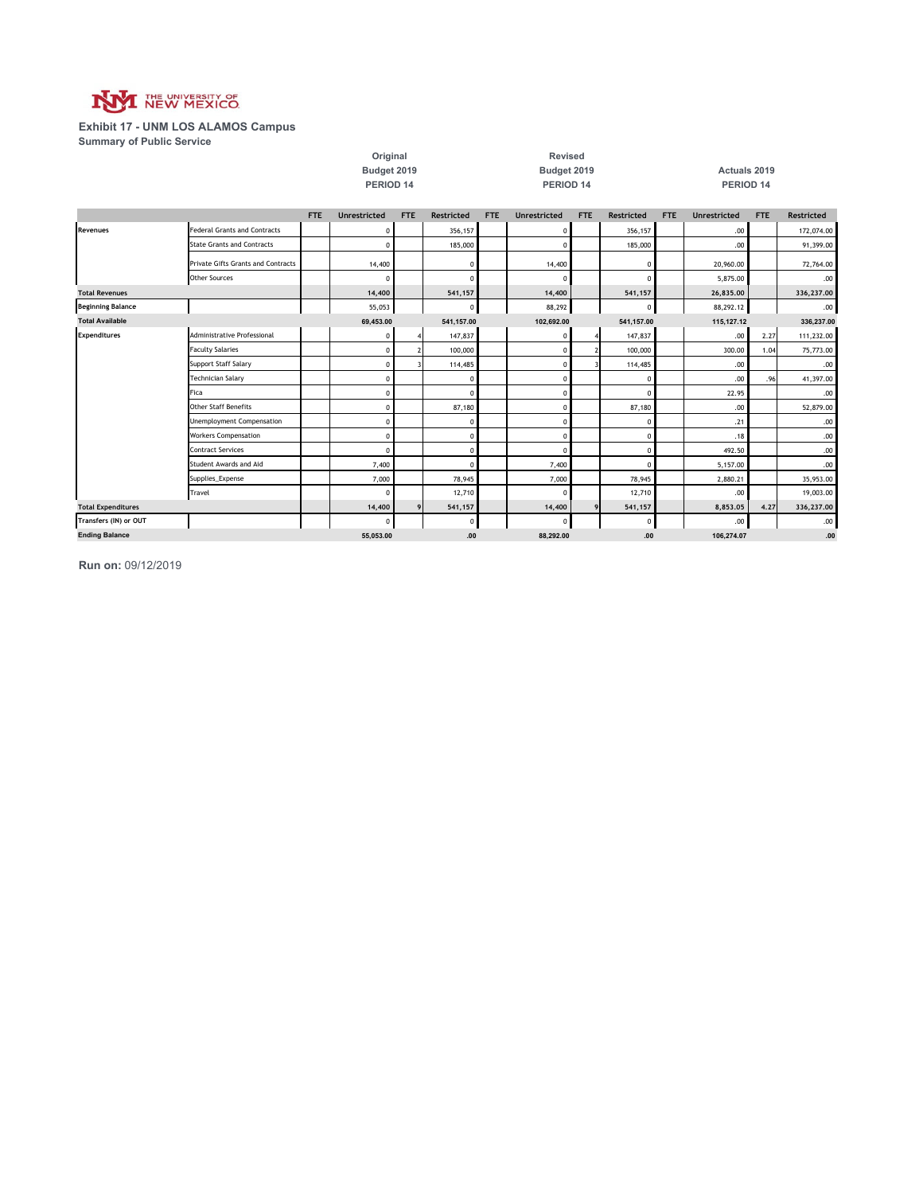

#### **Exhibit 17 - UNM LOS ALAMOS Campus Summary of Public Service**

|                           |                                     |            | Original<br>Budget 2019<br>PERIOD <sub>14</sub> |            |                   | Revised<br>Budget 2019<br>PERIOD 14 |                     |            |            |            | Actuals 2019<br>PERIOD 14 |            |            |  |  |
|---------------------------|-------------------------------------|------------|-------------------------------------------------|------------|-------------------|-------------------------------------|---------------------|------------|------------|------------|---------------------------|------------|------------|--|--|
|                           |                                     | <b>FTE</b> | <b>Unrestricted</b>                             | <b>FTE</b> | <b>Restricted</b> | <b>FTE</b>                          | <b>Unrestricted</b> | <b>FTE</b> | Restricted | <b>FTE</b> | <b>Unrestricted</b>       | <b>FTE</b> | Restricted |  |  |
| <b>Revenues</b>           | <b>Federal Grants and Contracts</b> |            | 0                                               |            | 356,157           |                                     | $\mathbf 0$         |            | 356,157    |            | .00                       |            | 172,074.00 |  |  |
|                           | <b>State Grants and Contracts</b>   |            | $\Omega$                                        |            | 185,000           |                                     | $\mathbf 0$         |            | 185,000    |            | .00                       |            | 91,399.00  |  |  |
|                           | Private Gifts Grants and Contracts  |            | 14,400                                          |            | $\Omega$          |                                     | 14,400              |            | $\Omega$   |            | 20,960.00                 |            | 72,764.00  |  |  |
|                           | <b>Other Sources</b>                |            |                                                 |            | $\Omega$          |                                     | $\Omega$            |            |            |            | 5,875.00                  |            | .00.       |  |  |
| <b>Total Revenues</b>     |                                     |            | 14,400                                          |            | 541,157           |                                     | 14,400              |            | 541,157    |            | 26,835.00                 |            | 336,237.00 |  |  |
| <b>Beginning Balance</b>  |                                     |            | 55,053                                          |            | 0                 |                                     | 88,292              |            | 0          |            | 88,292.12                 |            | .00.       |  |  |
| <b>Total Available</b>    |                                     |            | 69,453.00                                       |            | 541,157.00        |                                     | 102,692.00          |            | 541,157.00 |            | 115,127.12                |            | 336,237.00 |  |  |
| <b>Expenditures</b>       | <b>Administrative Professional</b>  |            | 0                                               |            | 147,837           |                                     | $\mathbf 0$         |            | 147,837    |            | .00.                      | 2.27       | 111,232.00 |  |  |
|                           | <b>Faculty Salaries</b>             |            | $\Omega$                                        |            | 100,000           |                                     | $\mathbf 0$         |            | 100,000    |            | 300.00                    | 1.04       | 75,773.00  |  |  |
|                           | Support Staff Salary                |            | $\Omega$                                        |            | 114,485           |                                     | $\mathbf 0$         |            | 114,485    |            | .00                       |            | .00.       |  |  |
|                           | <b>Technician Salary</b>            |            | $\Omega$                                        |            | $\Omega$          |                                     | $\mathbf 0$         |            | 0          |            | .00                       | .96        | 41,397.00  |  |  |
|                           | Fica                                |            | $\mathfrak{c}$                                  |            | $\Omega$          |                                     | $\mathbf 0$         |            | $\Omega$   |            | 22.95                     |            | .00.       |  |  |
|                           | <b>Other Staff Benefits</b>         |            | $\mathfrak{c}$                                  |            | 87,180            |                                     | $\mathbf 0$         |            | 87,180     |            | .00                       |            | 52,879.00  |  |  |
|                           | <b>Unemployment Compensation</b>    |            | C                                               |            | $\Omega$          |                                     | $\mathbf 0$         |            | 0          |            | .21                       |            | .00.       |  |  |
|                           | <b>Workers Compensation</b>         |            | 0                                               |            | 0                 |                                     | $\mathbf 0$         |            | $^{\circ}$ |            | .18                       |            | .00.       |  |  |
|                           | <b>Contract Services</b>            |            | $\Omega$                                        |            | 0                 |                                     | $\Omega$            |            | $^{\circ}$ |            | 492.50                    |            | .00        |  |  |
|                           | Student Awards and Aid              |            | 7,400                                           |            | $\Omega$          |                                     | 7,400               |            | $\Omega$   |            | 5,157.00                  |            | .00.       |  |  |
|                           | Supplies_Expense                    |            | 7,000                                           |            | 78,945            |                                     | 7,000               |            | 78,945     |            | 2,880.21                  |            | 35,953.00  |  |  |
|                           | Travel                              |            | £                                               |            | 12,710            |                                     | $\Omega$            |            | 12,710     |            | .00.                      |            | 19,003.00  |  |  |
| <b>Total Expenditures</b> |                                     |            | 14,400                                          | 9          | 541,157           |                                     | 14,400              | 9          | 541,157    |            | 8,853.05                  | 4.27       | 336,237.00 |  |  |
| Transfers (IN) or OUT     |                                     |            | £                                               |            | 0                 |                                     | $\Omega$            |            | 0          |            | .00                       |            | .00        |  |  |
| <b>Ending Balance</b>     |                                     |            | 55.053.00                                       |            | .00               |                                     | 88.292.00           |            | .00        |            | 106.274.07                |            | .00        |  |  |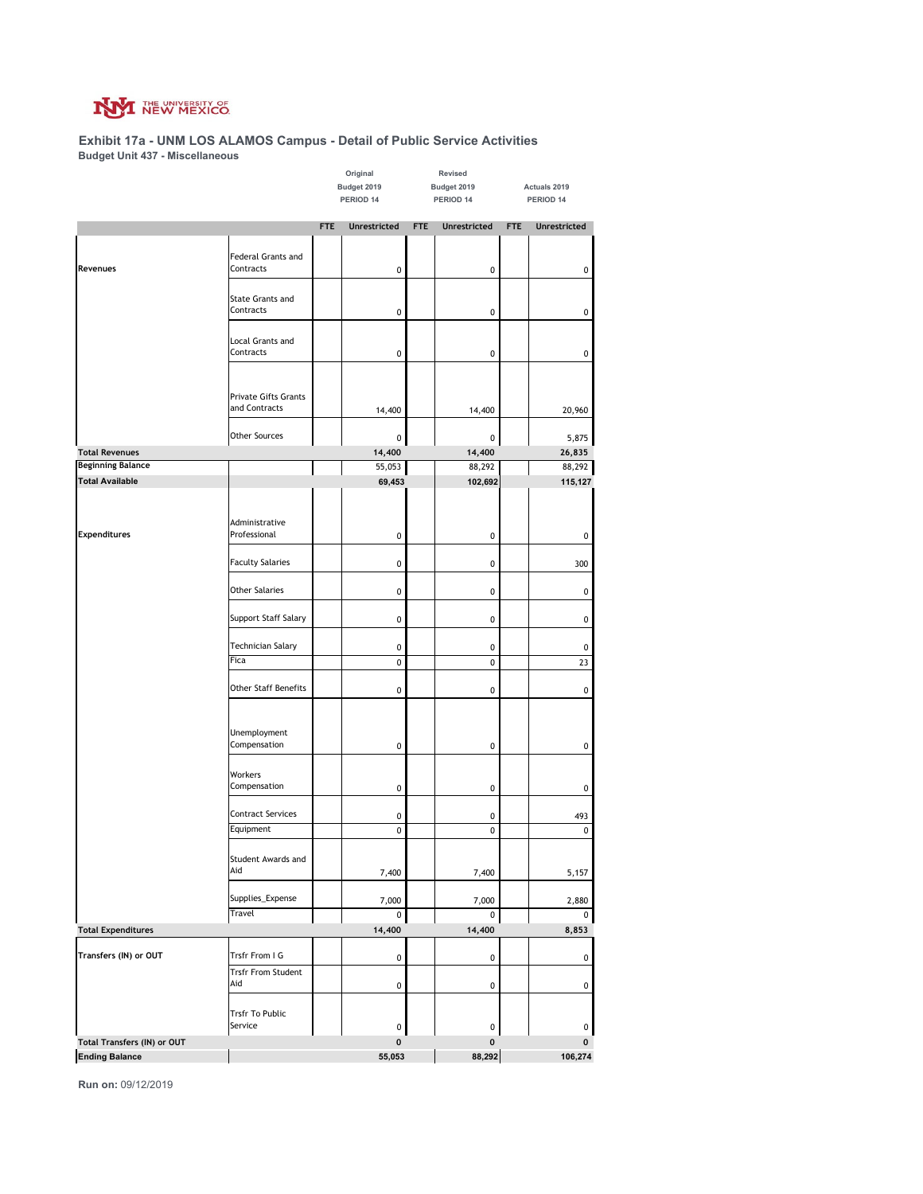

#### **Exhibit 17a - UNM LOS ALAMOS Campus - Detail of Public Service Activities Budget Unit 437 - Miscellaneous**

|                             |                             |                          | Original            |            | Revised             |            |              |
|-----------------------------|-----------------------------|--------------------------|---------------------|------------|---------------------|------------|--------------|
|                             |                             | Budget 2019<br>PERIOD 14 |                     |            | Budget 2019         |            | Actuals 2019 |
|                             |                             |                          |                     |            | PERIOD 14           |            | PERIOD 14    |
|                             |                             | <b>FTE</b>               | <b>Unrestricted</b> | <b>FTE</b> | <b>Unrestricted</b> | <b>FTE</b> | Unrestricted |
|                             |                             |                          |                     |            |                     |            |              |
|                             | Federal Grants and          |                          |                     |            |                     |            |              |
| Revenues                    | Contracts                   |                          | 0                   |            | 0                   |            | $\pmb{0}$    |
|                             |                             |                          |                     |            |                     |            |              |
|                             | State Grants and            |                          |                     |            |                     |            |              |
|                             | Contracts                   |                          | 0                   |            | 0                   |            | $\pmb{0}$    |
|                             |                             |                          |                     |            |                     |            |              |
|                             | <b>Local Grants and</b>     |                          |                     |            |                     |            |              |
|                             | Contracts                   |                          | 0                   |            | 0                   |            | $\pmb{0}$    |
|                             |                             |                          |                     |            |                     |            |              |
|                             | Private Gifts Grants        |                          |                     |            |                     |            |              |
|                             | and Contracts               |                          | 14,400              |            | 14,400              |            | 20,960       |
|                             |                             |                          |                     |            |                     |            |              |
|                             | Other Sources               |                          | 0                   |            | 0                   |            | 5,875        |
| <b>Total Revenues</b>       |                             |                          | 14,400              |            | 14,400              |            | 26,835       |
| <b>Beginning Balance</b>    |                             |                          | 55,053              |            | 88,292              |            | 88,292       |
| <b>Total Available</b>      |                             |                          | 69,453              |            | 102,692             |            | 115,127      |
|                             |                             |                          |                     |            |                     |            |              |
|                             |                             |                          |                     |            |                     |            |              |
|                             | Administrative              |                          |                     |            |                     |            |              |
| <b>Expenditures</b>         | Professional                |                          | 0                   |            | 0                   |            | 0            |
|                             |                             |                          |                     |            |                     |            |              |
|                             | <b>Faculty Salaries</b>     |                          | 0                   |            | 0                   |            | 300          |
|                             | <b>Other Salaries</b>       |                          | 0                   |            | 0                   |            | $\pmb{0}$    |
|                             |                             |                          |                     |            |                     |            |              |
|                             | Support Staff Salary        |                          | 0                   |            | 0                   |            | 0            |
|                             |                             |                          |                     |            |                     |            |              |
|                             | Technician Salary           |                          | 0                   |            | 0                   |            | 0            |
|                             | Fica                        |                          | 0                   |            | 0                   |            | 23           |
|                             |                             |                          |                     |            |                     |            |              |
|                             | <b>Other Staff Benefits</b> |                          | 0                   |            | 0                   |            | 0            |
|                             |                             |                          |                     |            |                     |            |              |
|                             |                             |                          |                     |            |                     |            |              |
|                             | Unemployment                |                          |                     |            |                     |            |              |
|                             | Compensation                |                          | 0                   |            | 0                   |            | $\pmb{0}$    |
|                             |                             |                          |                     |            |                     |            |              |
|                             | Workers<br>Compensation     |                          |                     |            |                     |            |              |
|                             |                             |                          | 0                   |            | 0                   |            | $\pmb{0}$    |
|                             | <b>Contract Services</b>    |                          | 0                   |            | 0                   |            | 493          |
|                             | Equipment                   |                          | 0                   |            | 0                   |            | 0            |
|                             |                             |                          |                     |            |                     |            |              |
|                             | Student Awards and          |                          |                     |            |                     |            |              |
|                             | Aid                         |                          | 7,400               |            | 7,400               |            | 5,157        |
|                             |                             |                          |                     |            |                     |            |              |
|                             | Supplies_Expense            |                          | 7,000               |            | 7,000               |            | 2,880        |
|                             | Travel                      |                          | 0                   |            | 0                   |            | 0            |
| <b>Total Expenditures</b>   |                             |                          | 14,400              |            | 14,400              |            | 8,853        |
| Transfers (IN) or OUT       | Trsfr From I G              |                          |                     |            |                     |            |              |
|                             | <b>Trsfr From Student</b>   |                          | 0                   |            | 0                   |            | 0            |
|                             | Aid                         |                          | 0                   |            | 0                   |            | $\pmb{0}$    |
|                             |                             |                          |                     |            |                     |            |              |
|                             | <b>Trsfr To Public</b>      |                          |                     |            |                     |            |              |
|                             | Service                     |                          | 0                   |            | 0                   |            | 0            |
| Total Transfers (IN) or OUT |                             |                          | 0                   |            | 0                   |            | 0            |
| <b>Ending Balance</b>       |                             |                          | 55,053              |            | 88,292              |            | 106,274      |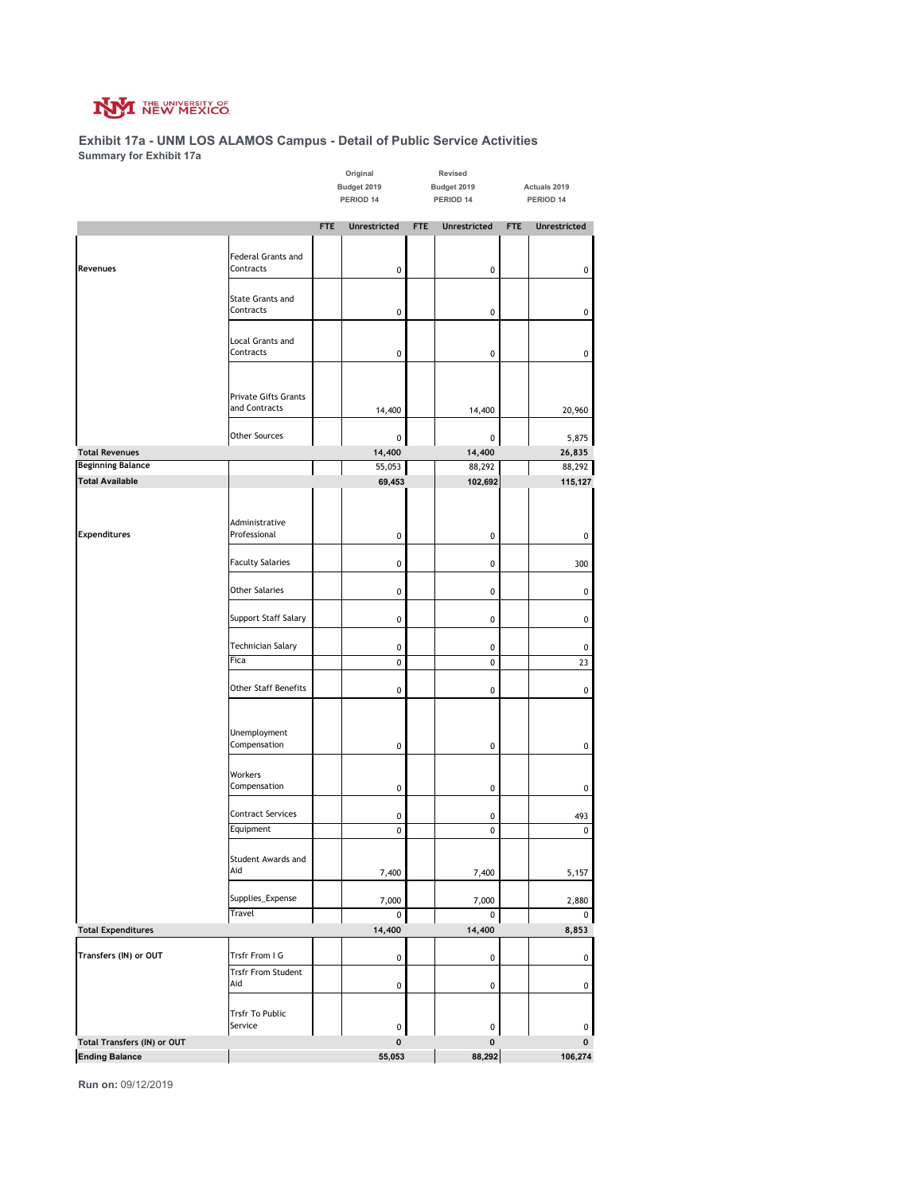

#### **Exhibit 17a - UNM LOS ALAMOS Campus - Detail of Public Service Activities Summary for Exhibit 17a**

|                                                      |                                |             | Original            |            | Revised             |            |              |
|------------------------------------------------------|--------------------------------|-------------|---------------------|------------|---------------------|------------|--------------|
|                                                      |                                | Budget 2019 |                     |            | Budget 2019         |            | Actuals 2019 |
|                                                      |                                | PERIOD 14   |                     |            | PERIOD 14           |            | PERIOD 14    |
|                                                      |                                | <b>FTE</b>  | <b>Unrestricted</b> | <b>FTE</b> | <b>Unrestricted</b> | <b>FTE</b> | Unrestricted |
|                                                      |                                |             |                     |            |                     |            |              |
|                                                      | Federal Grants and             |             |                     |            |                     |            |              |
| Revenues                                             | Contracts                      |             | 0                   |            | 0                   |            | $\pmb{0}$    |
|                                                      |                                |             |                     |            |                     |            |              |
|                                                      | State Grants and               |             |                     |            |                     |            |              |
|                                                      | Contracts                      |             | 0                   |            | 0                   |            | $\pmb{0}$    |
|                                                      |                                |             |                     |            |                     |            |              |
|                                                      | Local Grants and<br>Contracts  |             |                     |            |                     |            |              |
|                                                      |                                |             | 0                   |            | 0                   |            | $\pmb{0}$    |
|                                                      |                                |             |                     |            |                     |            |              |
|                                                      | Private Gifts Grants           |             |                     |            |                     |            |              |
|                                                      | and Contracts                  |             | 14,400              |            | 14,400              |            | 20,960       |
|                                                      |                                |             |                     |            |                     |            |              |
|                                                      | Other Sources                  |             | 0                   |            | 0                   |            | 5,875        |
| <b>Total Revenues</b>                                |                                |             | 14,400              |            | 14,400              |            | 26,835       |
| <b>Beginning Balance</b>                             |                                |             | 55,053              |            | 88,292              |            | 88,292       |
| <b>Total Available</b>                               |                                |             | 69,453              |            | 102,692             |            | 115,127      |
|                                                      |                                |             |                     |            |                     |            |              |
|                                                      |                                |             |                     |            |                     |            |              |
| <b>Expenditures</b>                                  | Administrative<br>Professional |             | 0                   |            | 0                   |            |              |
|                                                      |                                |             |                     |            |                     |            | $\pmb{0}$    |
|                                                      | <b>Faculty Salaries</b>        |             | 0                   |            | 0                   |            | 300          |
|                                                      |                                |             |                     |            |                     |            |              |
|                                                      | <b>Other Salaries</b>          |             | 0                   |            | 0                   |            | $\pmb{0}$    |
|                                                      |                                |             |                     |            |                     |            |              |
|                                                      | Support Staff Salary           |             | 0                   |            | 0                   |            | $\pmb{0}$    |
|                                                      |                                |             |                     |            |                     |            |              |
|                                                      | Technician Salary              |             | 0                   |            | 0                   |            | 0            |
|                                                      | Fica                           |             | $\pmb{0}$           |            | 0                   |            | 23           |
|                                                      |                                |             |                     |            |                     |            |              |
|                                                      | <b>Other Staff Benefits</b>    |             | 0                   |            | 0                   |            | 0            |
|                                                      |                                |             |                     |            |                     |            |              |
|                                                      |                                |             |                     |            |                     |            |              |
|                                                      | Unemployment<br>Compensation   |             | 0                   |            | 0                   |            | $\pmb{0}$    |
|                                                      |                                |             |                     |            |                     |            |              |
|                                                      | Workers                        |             |                     |            |                     |            |              |
|                                                      | Compensation                   |             | 0                   |            | 0                   |            | $\pmb{0}$    |
|                                                      |                                |             |                     |            |                     |            |              |
|                                                      | <b>Contract Services</b>       |             | 0                   |            | 0                   |            | 493          |
|                                                      | Equipment                      |             | 0                   |            | 0                   |            | 0            |
|                                                      |                                |             |                     |            |                     |            |              |
|                                                      | Student Awards and<br>Aid      |             |                     |            |                     |            |              |
|                                                      |                                |             | 7,400               |            | 7,400               |            | 5,157        |
|                                                      | Supplies_Expense               |             | 7,000               |            | 7,000               |            | 2,880        |
|                                                      | Travel                         |             | 0                   |            | 0                   |            | 0            |
| <b>Total Expenditures</b>                            |                                |             | 14,400              |            | 14,400              |            | 8,853        |
|                                                      |                                |             |                     |            |                     |            |              |
| Transfers (IN) or OUT                                | Trsfr From I G                 |             | 0                   |            | 0                   |            | 0            |
|                                                      | <b>Trsfr From Student</b>      |             |                     |            |                     |            |              |
|                                                      | Aid                            |             | 0                   |            | 0                   |            | $\pmb{0}$    |
|                                                      |                                |             |                     |            |                     |            |              |
|                                                      | <b>Trsfr To Public</b>         |             |                     |            |                     |            |              |
|                                                      | Service                        |             | 0                   |            | 0                   |            | 0            |
| Total Transfers (IN) or OUT<br><b>Ending Balance</b> |                                |             | 0                   |            | 0                   |            | 0            |
|                                                      |                                |             | 55,053              |            | 88,292              |            | 106,274      |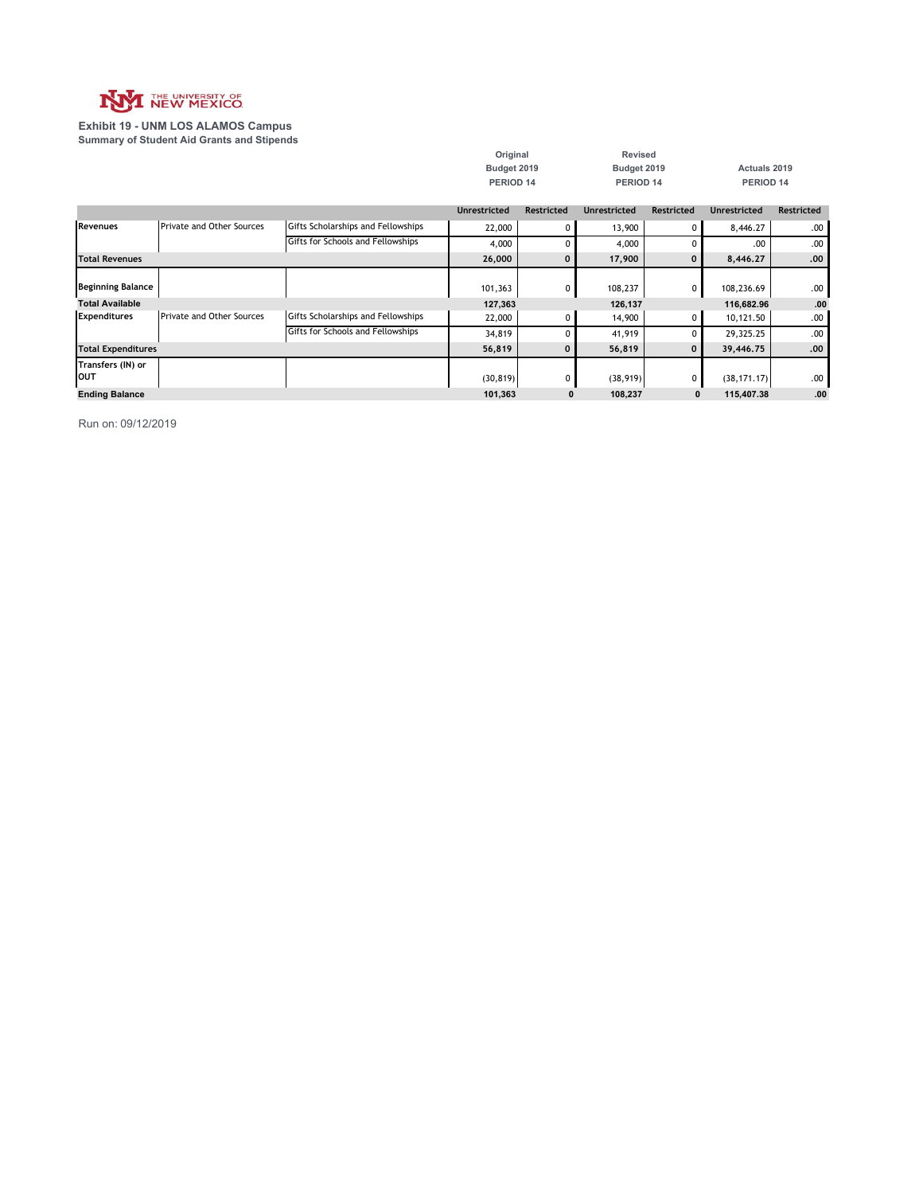

**Exhibit 19 - UNM LOS ALAMOS Campus Summary of Student Aid Grants and Stipends**

|                           |                                  |                                    | Original            |              | <b>Revised</b>      |                   |                     |                   |
|---------------------------|----------------------------------|------------------------------------|---------------------|--------------|---------------------|-------------------|---------------------|-------------------|
|                           |                                  |                                    | Budget 2019         |              | Budget 2019         |                   | Actuals 2019        |                   |
|                           |                                  |                                    | PERIOD 14           |              | PERIOD 14           |                   | PERIOD 14           |                   |
|                           |                                  |                                    |                     |              |                     |                   |                     |                   |
|                           |                                  |                                    | <b>Unrestricted</b> | Restricted   | <b>Unrestricted</b> | <b>Restricted</b> | <b>Unrestricted</b> | <b>Restricted</b> |
| <b>Revenues</b>           | <b>Private and Other Sources</b> | Gifts Scholarships and Fellowships | 22,000              | 0            | 13,900              | $\Omega$          | 8,446.27            | .00.              |
|                           |                                  | Gifts for Schools and Fellowships  | 4,000               | 0            | 4,000               |                   | .00                 | .00.              |
| <b>Total Revenues</b>     |                                  |                                    | 26,000              | 0            | 17,900              | $\mathbf 0$       | 8,446.27            | .00.              |
|                           |                                  |                                    |                     |              |                     |                   |                     |                   |
| <b>Beginning Balance</b>  |                                  |                                    | 101,363             | 0            | 108,237             | $\mathbf{0}$      | 108,236.69          | .00.              |
| <b>Total Available</b>    |                                  |                                    | 127,363             |              | 126,137             |                   | 116,682.96          | .00               |
| <b>Expenditures</b>       | <b>Private and Other Sources</b> | Gifts Scholarships and Fellowships | 22,000              | 0            | 14,900              | $\Omega$          | 10,121.50           | .00.              |
|                           |                                  | Gifts for Schools and Fellowships  | 34,819              | C            | 41,919              |                   | 29,325.25           | .00.              |
| <b>Total Expenditures</b> |                                  |                                    | 56,819              | $\mathbf{0}$ | 56,819              | $\mathbf{0}$      | 39,446.75           | .00.              |
| Transfers (IN) or         |                                  |                                    |                     |              |                     |                   |                     |                   |
| OUT                       |                                  |                                    | (30, 819)           | $\Omega$     | (38, 919)           | $\Omega$          | (38, 171, 17)       | .00.              |
| <b>Ending Balance</b>     |                                  |                                    | 101,363             | O            | 108,237             | $\mathbf{0}$      | 115,407.38          | .00               |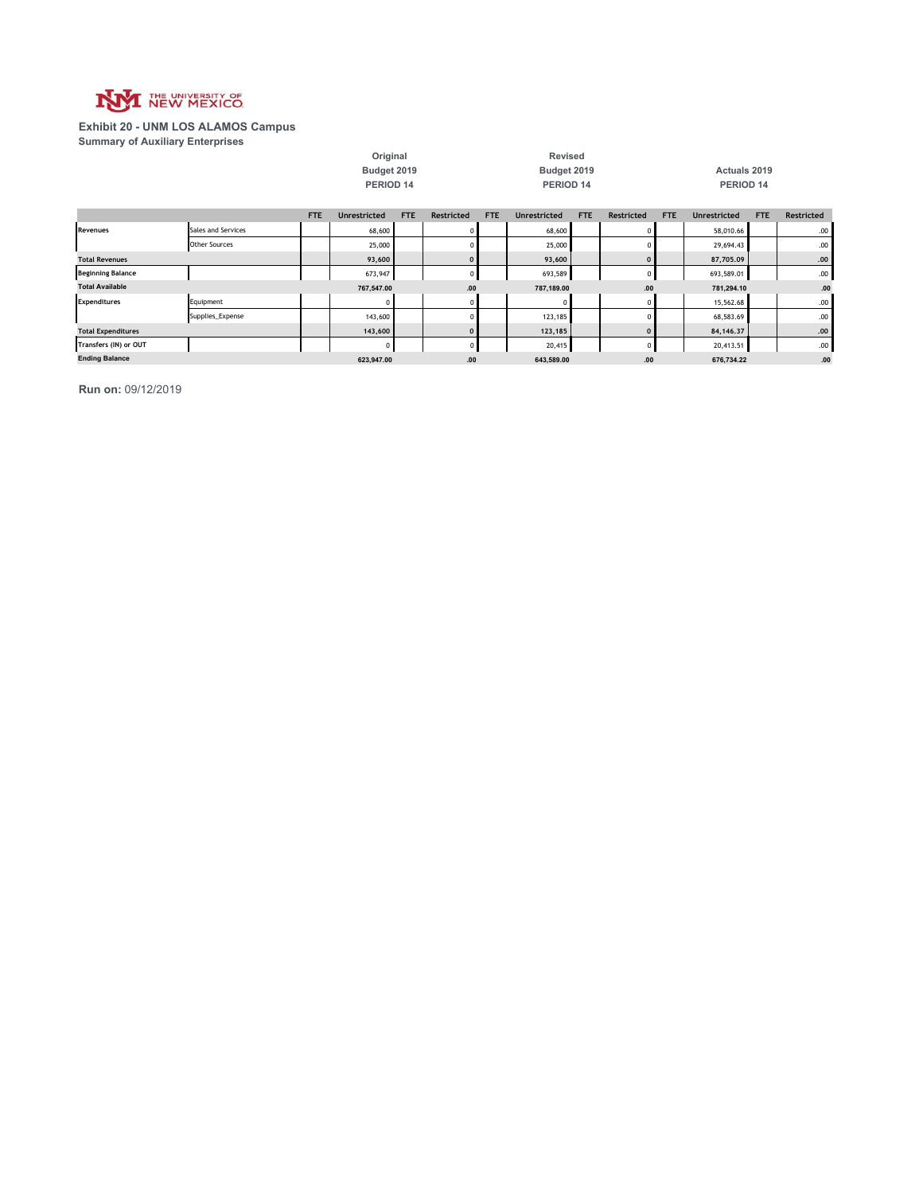

#### **Exhibit 20 - UNM LOS ALAMOS Campus Summary of Auxiliary Enterprises**

|                           |                      | Budget 2019<br>PERIOD 14 |                     |     |                   |            | Budget 2019<br>PERIOD 14 |            |              |            | Actuals 2019<br>PERIOD 14 |     |            |  |
|---------------------------|----------------------|--------------------------|---------------------|-----|-------------------|------------|--------------------------|------------|--------------|------------|---------------------------|-----|------------|--|
|                           |                      | <b>FTE</b>               | <b>Unrestricted</b> | FTE | <b>Restricted</b> | <b>FTE</b> | <b>Unrestricted</b>      | <b>FTE</b> | Restricted   | <b>FTE</b> | <b>Unrestricted</b>       | FTE | Restricted |  |
| Revenues                  | Sales and Services   |                          | 68,600              |     |                   |            | 68,600                   |            | 0            |            | 58,010.66                 |     | .00.       |  |
|                           | <b>Other Sources</b> |                          | 25,000              |     |                   |            | 25,000                   |            | $\Omega$     |            | 29,694.43                 |     | .00.       |  |
| <b>Total Revenues</b>     |                      |                          | 93,600              |     | $\Omega$          |            | 93,600                   |            | $\mathbf{0}$ |            | 87,705.09                 |     | .00        |  |
| <b>Beginning Balance</b>  |                      |                          | 673,947             |     |                   |            | 693,589                  |            | $\mathbf{0}$ |            | 693,589.01                |     | .00.       |  |
| <b>Total Available</b>    |                      |                          | 767,547.00          |     | .00               |            | 787,189.00               |            | .00          |            | 781,294.10                |     | .00        |  |
| <b>Expenditures</b>       | Equipment            |                          |                     |     |                   |            |                          |            | $\Omega$     |            | 15,562.68                 |     | .00.       |  |
|                           | Supplies_Expense     |                          | 143,600             |     |                   |            | 123,185                  |            | $\Omega$     |            | 68,583.69                 |     | .00.       |  |
| <b>Total Expenditures</b> |                      |                          | 143,600             |     | $\Omega$          |            | 123,185                  |            | $\Omega$     |            | 84, 146, 37               |     | .00        |  |
| Transfers (IN) or OUT     |                      |                          | 0                   |     | $\Omega$          |            | 20,415                   |            | $\mathbf{0}$ |            | 20,413.51                 |     | .00.       |  |
| <b>Ending Balance</b>     |                      |                          | 623,947.00          |     | .00               |            | 643,589.00               |            | .00          |            | 676,734.22                |     | .00        |  |

**Original Revised**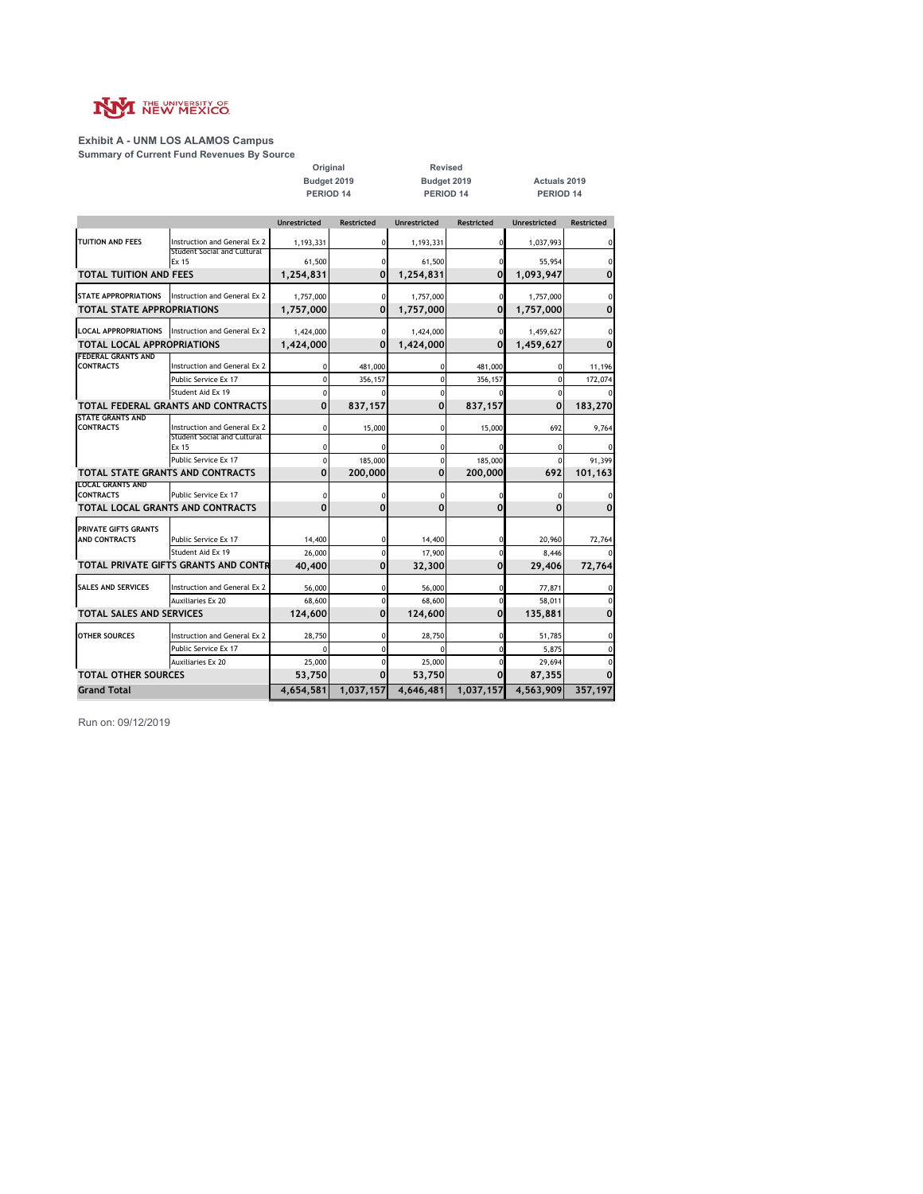

### **Exhibit A - UNM LOS ALAMOS Campus**

**Summary of Current Fund Revenues By Source**

**Budget 2019 Budget 2019 Actuals 2019 PERIOD 14 PERIOD 14 PERIOD 14 Original Revised**

|                                             |                                                             | Unrestricted | <b>Restricted</b> | <b>Unrestricted</b> | <b>Restricted</b> | <b>Unrestricted</b> | <b>Restricted</b> |
|---------------------------------------------|-------------------------------------------------------------|--------------|-------------------|---------------------|-------------------|---------------------|-------------------|
| <b>TUITION AND FEES</b>                     | Instruction and General Ex 2<br>Student Social and Cultural | 1,193,331    |                   | 1,193,331           |                   | 1,037,993           | 0                 |
|                                             | Ex 15                                                       | 61,500       |                   | 61,500              |                   | 55,954              |                   |
| <b>TOTAL TUITION AND FEES</b>               |                                                             | 1,254,831    | $\mathbf 0$       | 1,254,831           | 0                 | 1,093,947           | 0                 |
| STATE APPROPRIATIONS                        | Instruction and General Ex 2                                | 1,757,000    | $\Omega$          | 1,757,000           | U                 | 1,757,000           |                   |
| <b>TOTAL STATE APPROPRIATIONS</b>           |                                                             | 1,757,000    | $\mathbf 0$       | 1,757,000           | 0                 | 1,757,000           | 0                 |
|                                             | LOCAL APPROPRIATIONS   Instruction and General Ex 2         | 1,424,000    |                   | 1,424,000           |                   | 1,459,627           |                   |
| <b>TOTAL LOCAL APPROPRIATIONS</b>           |                                                             | 1,424,000    | $\mathbf 0$       | 1,424,000           | $\mathbf 0$       | 1,459,627           | 0                 |
| <b>FEDERAL GRANTS AND</b>                   |                                                             |              |                   |                     |                   |                     |                   |
| <b>CONTRACTS</b>                            | Instruction and General Ex 2                                |              | 481,000           |                     | 481,000           |                     | 11,196            |
|                                             | Public Service Ex 17                                        |              | 356,157           | 0                   | 356,157           |                     | 172,074           |
|                                             | Student Aid Ex 19                                           | $\Omega$     |                   | $\Omega$            |                   | $\Omega$            |                   |
|                                             | TOTAL FEDERAL GRANTS AND CONTRACTS                          | 0            | 837,157           | 0                   | 837,157           | 0                   | 183,270           |
| <b>STATE GRANTS AND</b><br><b>CONTRACTS</b> | Instruction and General Ex 2                                | 0            | 15,000            | 0                   | 15,000            | 692                 | 9,764             |
|                                             | Student Social and Cultural<br>Ex 15                        |              |                   |                     |                   |                     |                   |
|                                             | Public Service Ex 17                                        | U            | 185,000           |                     | 185,000           | $\Omega$            | 91,399            |
| TOTAL STATE GRANTS AND CONTRACTS            |                                                             | 0            | 200,000           | $\Omega$            | 200,000           | 692                 | 101,163           |
| <b>LOCAL GRANTS AND</b><br><b>CONTRACTS</b> | Public Service Ex 17                                        | $\Omega$     |                   | $\Omega$            |                   |                     |                   |
| TOTAL LOCAL GRANTS AND CONTRACTS            |                                                             | 0            | 0                 | 0                   | 0                 | 0                   | 0                 |
| PRIVATE GIFTS GRANTS                        |                                                             |              |                   |                     |                   |                     |                   |
| AND CONTRACTS                               | Public Service Ex 17                                        | 14,400       |                   | 14,400              |                   | 20,960              | 72,764            |
|                                             | Student Aid Ex 19                                           | 26,000       |                   | 17,900              |                   | 8,446               |                   |
|                                             | TOTAL PRIVATE GIFTS GRANTS AND CONTR                        | 40,400       | 0                 | 32,300              | 0                 | 29,406              | 72,764            |
| <b>SALES AND SERVICES</b>                   | Instruction and General Ex 2                                | 56,000       |                   | 56,000              |                   | 77,871              | 0                 |
|                                             | <b>Auxiliaries Ex 20</b>                                    | 68,600       |                   | 68,600              |                   | 58,011              |                   |
| <b>TOTAL SALES AND SERVICES</b>             |                                                             | 124,600      | 0                 | 124,600             | 0                 | 135,881             | 0                 |
| <b>OTHER SOURCES</b>                        | Instruction and General Ex 2                                | 28.750       |                   | 28,750              |                   | 51,785              | 0                 |
|                                             | Public Service Ex 17                                        |              |                   |                     |                   | 5,875               | 0                 |
|                                             | <b>Auxiliaries Ex 20</b>                                    | 25,000       |                   | 25,000              |                   | 29,694              |                   |
| <b>TOTAL OTHER SOURCES</b>                  |                                                             | 53,750       | $\Omega$          | 53,750              | 0                 | 87,355              | $\Omega$          |
| <b>Grand Total</b>                          |                                                             | 4,654,581    | 1,037,157         | 4,646,481           | 1,037,157         | 4,563,909           | 357,197           |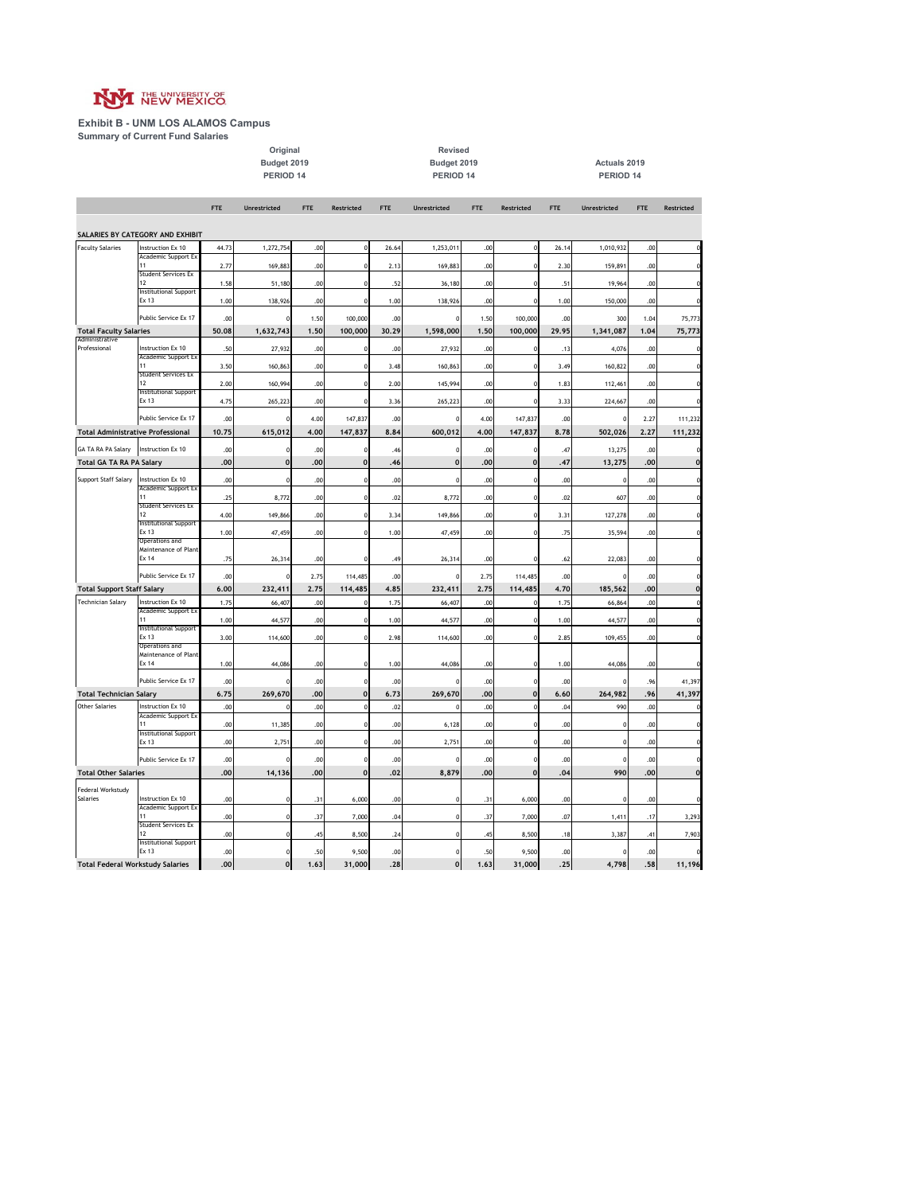

**Exhibit B - UNM LOS ALAMOS Campus Summary of Current Fund Salaries**

**Budget 2019 Budget 2019 Actuals 2019 PERIOD 14 PERIOD 14 PERIOD 14 Original Revised**

|                                          |                                          | <b>FTE</b>   | Unrestricted | <b>FTE</b>   | <b>Restricted</b>  | <b>FTE</b>   | Unrestricted   | <b>FTE</b>   | <b>Restricted</b>  | <b>FTE</b>   | Unrestricted     | <b>FTE</b>   | Restricted         |
|------------------------------------------|------------------------------------------|--------------|--------------|--------------|--------------------|--------------|----------------|--------------|--------------------|--------------|------------------|--------------|--------------------|
|                                          |                                          |              |              |              |                    |              |                |              |                    |              |                  |              |                    |
|                                          | SALARIES BY CATEGORY AND EXHIBIT         |              |              |              |                    |              |                |              |                    |              |                  |              |                    |
| <b>Faculty Salaries</b>                  | Instruction Ex 10<br>Academic Support Ex | 44.73        | 1,272,754    | .00          |                    | 26.64        | 1,253,011      | .00          |                    | 26.14        | 1,010,932        | .00          | $\Omega$           |
|                                          | 11<br>Student Services Ex                | 2.77         | 169,883      | .00          |                    | 2.13         | 169,883        | .00          |                    | 2.30         | 159,891          | .00          |                    |
|                                          | 12                                       | 1.58         | 51,180       | .00          |                    | .52          | 36,180         | .00          |                    | .51          | 19,964           | .00          | $\Omega$           |
|                                          | Institutional Support<br>Ex 13           | 1.00         | 138,926      | .00          |                    | 1.00         | 138,926        | .00          |                    | 1.00         | 150,000          | .00          |                    |
|                                          | Public Service Ex 17                     |              |              |              |                    |              |                |              |                    |              |                  |              |                    |
| <b>Total Faculty Salaries</b>            |                                          | .00<br>50.08 | 1,632,743    | 1.50<br>1.50 | 100,000<br>100,000 | .00<br>30.29 | 1,598,000      | 1.50<br>1.50 | 100,000<br>100,000 | .00<br>29.95 | 300<br>1,341,087 | 1.04<br>1.04 | 75,773<br>75,773   |
| Administrative                           |                                          |              |              |              |                    |              |                |              |                    |              |                  |              |                    |
| Professional                             | Instruction Ex 10<br>Academic Support Ex | .50          | 27,932       | .00          |                    | .00          | 27,932         | .00          |                    | .13          | 4,076            | .00          |                    |
|                                          | 11<br>Student Services Ex                | 3.50         | 160,863      | .00          |                    | 3.48         | 160,863        | .00          |                    | 3.49         | 160,822          | .00          |                    |
|                                          | 12                                       | 2.00         | 160,994      | .00          |                    | 2.00         | 145,994        | .00          |                    | 1.83         | 112,461          | .00          |                    |
|                                          | Institutional Support<br>Ex 13           | 4.75         | 265,223      | .00          |                    | 3.36         | 265,223        | .00          |                    | 3.33         | 224,667          | .00          |                    |
|                                          |                                          |              |              |              |                    |              |                |              |                    |              |                  |              |                    |
| <b>Total Administrative Professional</b> | Public Service Ex 17                     | .00<br>10,75 | 615,012      | 4.00<br>4.00 | 147,837<br>147,837 | .00<br>8.84  | 600,012        | 4.00<br>4.00 | 147,837<br>147,837 | .00<br>8.78  | o<br>502,026     | 2.27<br>2,27 | 111,232<br>111,232 |
|                                          |                                          |              |              |              |                    |              |                |              |                    |              |                  |              |                    |
| GA TA RA PA Salary                       | Instruction Ex 10                        | .00          | 0            | .00          |                    | .46          | $\epsilon$     | .00          |                    | .47          | 13,275           | .00          |                    |
| Total GA TA RA PA Salary                 |                                          | .00          | $\mathbf{0}$ | .00          | $\mathbf{C}$       | .46          | $\mathbf 0$    | .00          |                    | .47          | 13,275           | .00          | $\mathbf 0$        |
| Support Staff Salary                     | Instruction Ex 10<br>Academic Support Ex | .00          | n            | .00          |                    | .00          | $\Omega$       | .00          |                    | .00          | $\Omega$         | .00          |                    |
|                                          |                                          | .25          | 8,772        | .00          |                    | .02          | 8,772          | .00          |                    | .02          | 607              | .00          |                    |
|                                          | Student Services Ex<br>12                | 4.00         | 149,866      | .00          |                    | 3.34         | 149,866        | .00          |                    | 3.31         | 127,278          | .00          |                    |
|                                          | <b>Institutional Support</b>             |              |              |              |                    |              |                |              |                    |              |                  |              |                    |
|                                          | Ex 13<br>Operations and                  | 1.00         | 47,459       | .00          |                    | 1.00         | 47,459         | .00          |                    | .75          | 35,594           | .00          |                    |
|                                          | Maintenance of Plant<br>Ex 14            | .75          | 26,314       | .00          |                    | .49          | 26,314         | .00          |                    | .62          | 22,083           | .00          |                    |
|                                          |                                          |              |              |              |                    |              |                |              |                    |              |                  |              |                    |
|                                          | Public Service Ex 17                     | .00          |              | 2.75         | 114,485            | .00          |                | 2.75         | 114,485            | .00          |                  | .00          |                    |
| <b>Total Support Staff Salary</b>        |                                          | 6.00         | 232,411      | 2.75         | 114,485            | 4.85         | 232,411        | 2.75         | 114,485            | 4.70         | 185,562          | .00          | $\Omega$           |
| <b>Technician Salary</b>                 | Instruction Ex 10<br>Academic Support Ex | 1.75         | 66,407       | .00          |                    | 1.75         | 66,407         | .00          |                    | 1.75         | 66,864           | .00          |                    |
|                                          | Institutional Support                    | 1.00         | 44,577       | .00          |                    | 1.00         | 44,577         | .00          |                    | 1.00         | 44,577           | .00          | $\theta$           |
|                                          | Ex 13                                    | 3.00         | 114,600      | .00          |                    | 2.98         | 114,600        | .00          |                    | 2.85         | 109,455          | .00          | $\Omega$           |
|                                          | Operations and<br>Maintenance of Plant   |              |              |              |                    |              |                |              |                    |              |                  |              |                    |
|                                          | Ex 14                                    | 1.00         | 44,086       | .00          |                    | 1.00         | 44,086         | .00          |                    | 1.00         | 44,086           | .00          |                    |
|                                          | Public Service Ex 17                     | .00          |              | .00          |                    | .00          |                | .00          |                    | .00          | $\Omega$         | .96          | 41,397             |
| <b>Total Technician Salary</b>           |                                          | 6.75         | 269,670      | .00          | $\mathbf{0}$       | 6.73         | 269,670        | .00          |                    | 6.60         | 264,982          | .96          | 41,397             |
| <b>Other Salaries</b>                    | Instruction Ex 10                        | .00          | $\Omega$     | .00          |                    | .02          | $\mathfrak{c}$ | .00          |                    | .04          | 990              | .00          |                    |
|                                          | Academic Support Ex<br>11                | .00          | 11,385       | .00          |                    | .00          | 6,128          | .00          |                    | .00          | $\Omega$         | .00          |                    |
|                                          | Institutional Support<br>Ex 13           | .00          | 2,751        | .00          |                    | .00          | 2,751          | .00          |                    | .00          | $\Omega$         | .00          | $\Omega$           |
|                                          |                                          |              |              |              |                    |              |                |              |                    |              |                  |              |                    |
|                                          | Public Service Ex 17                     | .00          | $\Omega$     | .00          |                    | .00          | £              | .00          |                    | .00          | $\Omega$         | .00          | $\mathbf 0$        |
| <b>Total Other Salaries</b>              |                                          | .00          | 14,136       | .00          | $\mathbf 0$        | .02          | 8,879          | .00          | $\mathbf 0$        | .04          | 990              | .00          | $\mathbf 0$        |
| Federal Workstudy<br>Salaries            | Instruction Ex 10                        | .00          |              | .31          | 6,000              | .00          | $\mathbf 0$    | .31          | 6,000              | .00          |                  | .00          |                    |
|                                          | Academic Support Ex                      |              |              |              |                    |              |                |              |                    |              |                  |              |                    |
|                                          | 11<br>Student Services Ex                | .00          |              | .37          | 7,000              | .04          | $\Omega$       | .37          | 7,000              | .07          | 1,411            | .17          | 3,293              |
|                                          | 12                                       | .00          |              | .45          | 8,500              | .24          | $\Omega$       | .45          | 8,500              | .18          | 3,387            | .41          | 7,903              |
|                                          | Institutional Support<br>Ex 13           | .00          | $\Omega$     | .50          | 9,500              | .00          | $\Omega$       | .50          | 9,500              | .00          | $\Omega$         | .00          |                    |
| <b>Total Federal Workstudy Salaries</b>  |                                          | .00          | $\mathbf 0$  | 1.63         | 31,000             | .28          | $\mathbf{0}$   | 1.63         | 31,000             | .25          | 4,798            | .58          | 11,196             |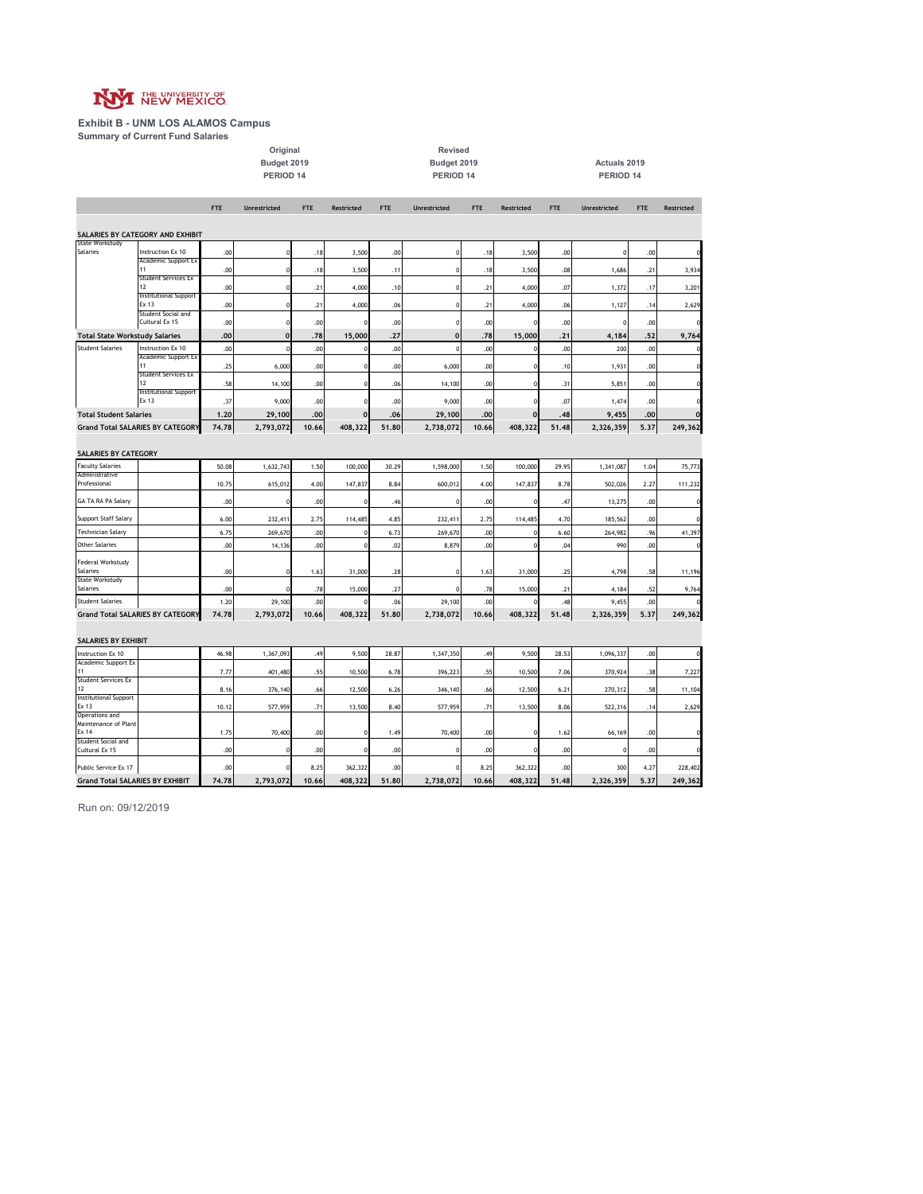

**Exhibit B - UNM LOS ALAMOS Campus Summary of Current Fund Salaries**

**PERIOD 14 PERIOD 14 PERIOD 14** Original Revised<br>
Budget 2019<br>
PERIOD 14<br>
PERIOD 14

**Budget 2019 Budget 2019 Actuals 2019**

|                                                                  |                                         | <b>FTE</b> | <b>Unrestricted</b> | <b>FTE</b> | Restricted | <b>FTE</b> | Unrestricted     | <b>FTE</b> | <b>Restricted</b> | <b>FTE</b> | Unrestricted | <b>FTE</b> | Restricted  |
|------------------------------------------------------------------|-----------------------------------------|------------|---------------------|------------|------------|------------|------------------|------------|-------------------|------------|--------------|------------|-------------|
|                                                                  | SALARIES BY CATEGORY AND EXHIBIT        |            |                     |            |            |            |                  |            |                   |            |              |            |             |
| State Workstudy<br>Salaries                                      | Instruction Ex 10                       | .00        |                     | .18        | 3,500      | .00        | $\mathbf 0$      | .18        | 3,500             | .00        | $\Omega$     | .00        | $\mathbf 0$ |
|                                                                  | <b>Academic Support Ex</b><br>11        | .00        |                     | .18        | 3,500      | .11        | $\mathbf 0$      | .18        | 3,500             | .08        | 1,686        | .21        | 3,934       |
|                                                                  | <b>Student Services Ex</b><br>12        | .00        |                     | .21        | 4,000      | .10        | $\mathbf 0$      | .21        | 4,000             | .07        | 1,372        | .17        | 3,201       |
|                                                                  | <b>Institutional Support</b><br>Ex 13   |            |                     |            |            |            |                  |            |                   |            |              |            |             |
|                                                                  | Student Social and                      | .00        | C                   | .21        | 4,000      | .06        | $\mathbf 0$      | .21        | 4,000             | .06        | 1,127        | .14        | 2,629       |
|                                                                  | Cultural Ex 15                          | .00        |                     | .00        |            | .00        | 0<br>$\mathbf 0$ | .00        |                   | .00        |              | .00        |             |
| <b>Total State Workstudy Salaries</b><br><b>Student Salaries</b> | Instruction Ex 10                       | .00<br>.00 | $\mathbf 0$<br>C    | .78        | 15,000     | .27        | $\mathbf 0$      | .78        | 15,000            | .21        | 4,184        | .52        | 9,764<br>O  |
|                                                                  | Academic Support Ex                     |            |                     | .00        |            | .00        |                  | .00        |                   | .00        | 200          | .00        |             |
|                                                                  | 11<br><b>Student Services Ex</b>        | .25        | 6,000               | .00        |            | .00        | 6,000            | .00        |                   | .10        | 1,931        | .00        | $\mathbf 0$ |
|                                                                  | 12<br><b>Institutional Support</b>      | .58        | 14,100              | .00        |            | .06        | 14,100           | .00        |                   | .31        | 5,851        | .00        | $\mathbf 0$ |
|                                                                  | Ex 13                                   | .37        | 9,000               | .00        |            | .00        | 9,000            | .00        |                   | .07        | 1,474        | .00        | $\mathbf 0$ |
| <b>Total Student Salaries</b>                                    |                                         | 1.20       | 29,100              | .00        | $\Omega$   | .06        | 29,100           | .00        | $\Omega$          | .48        | 9,455        | .00        | $\mathbf 0$ |
|                                                                  | <b>Grand Total SALARIES BY CATEGORY</b> | 74.78      | 2,793,072           | 10.66      | 408,322    | 51.80      | 2,738,072        | 10.66      | 408,322           | 51.48      | 2,326,359    | 5.37       | 249,362     |
|                                                                  |                                         |            |                     |            |            |            |                  |            |                   |            |              |            |             |
| SALARIES BY CATEGORY                                             |                                         |            |                     |            |            |            |                  |            |                   |            |              |            |             |
| <b>Faculty Salaries</b><br>Administrative                        |                                         | 50.08      | 1,632,743           | 1.50       | 100,000    | 30.29      | 1,598,000        | 1.50       | 100,000           | 29.95      | 1,341,087    | 1.04       | 75,773      |
| Professional                                                     |                                         | 10.75      | 615,012             | 4.00       | 147,837    | 8.84       | 600,012          | 4.00       | 147,837           | 8.78       | 502,026      | 2.27       | 111,232     |
| GA TA RA PA Salary                                               |                                         | .00        | £                   | .00        |            | .46        | $\Omega$         | .00        |                   | .47        | 13,275       | .00        | $\mathbf 0$ |
| Support Staff Salary                                             |                                         | 6.00       | 232,411             | 2.75       | 114,485    | 4.85       | 232,411          | 2.75       | 114,485           | 4.70       | 185,562      | .00        | $\mathbf 0$ |
| Technician Salary                                                |                                         | 6.75       | 269,670             | .00        |            | 6.73       | 269,670          | .00        |                   | 6.60       | 264,982      | .96        | 41,397      |
| <b>Other Salaries</b>                                            |                                         | .00        | 14,136              | .00        |            | .02        | 8,879            | .00        |                   | .04        | 990          | .00        | O           |
| Federal Workstudy                                                |                                         |            |                     |            |            |            |                  |            |                   |            |              |            |             |
| Salaries<br><b>State Workstudy</b>                               |                                         | .00        | C                   | 1.63       | 31,000     | .28        | 0                | 1.63       | 31,000            | .25        | 4,798        | .58        | 11,196      |
| Salaries                                                         |                                         | .00        |                     | .78        | 15,000     | .27        | $\Omega$         | .78        | 15,000            | .21        | 4,184        | .52        | 9,764       |
| <b>Student Salaries</b>                                          |                                         | 1.20       | 29,100              | .00        |            | .06        | 29,100           | .00        |                   | .48        | 9,455        | .00        |             |
|                                                                  | <b>Grand Total SALARIES BY CATEGORY</b> | 74.78      | 2,793,072           | 10.66      | 408,322    | 51.80      | 2,738,072        | 10.66      | 408,322           | 51.48      | 2,326,359    | 5.37       | 249,362     |
| SALARIES BY EXHIBIT                                              |                                         |            |                     |            |            |            |                  |            |                   |            |              |            |             |
| Instruction Ex 10                                                |                                         | 46.98      | 1,367,093           | .49        | 9,500      | 28.87      | 1,347,350        | .49        | 9,500             | 28.53      | 1,096,337    | .00        |             |
| Academic Support Ex<br>11                                        |                                         | 7.77       | 401,480             | .55        | 10,500     | 6.78       | 396,223          | .55        | 10,500            | 7.06       | 370,924      | .38        | 7,227       |
| <b>Student Services Ex</b>                                       |                                         |            |                     |            |            |            |                  |            |                   |            |              |            |             |
| 12<br><b>Institutional Support</b>                               |                                         | 8.16       | 376,140             | .66        | 12,500     | 6.26       | 346,140          | .66        | 12,500            | 6.21       | 270,312      | .58        | 11,104      |
| Ex 13<br>Operations and                                          |                                         | 10.12      | 577,959             | .71        | 13,500     | 8.40       | 577,959          | .71        | 13,500            | 8.06       | 522,316      | .14        | 2,629       |
| Maintenance of Plant                                             |                                         |            |                     |            |            |            |                  |            |                   |            |              |            |             |
| Fx 14<br>Student Social and                                      |                                         | 1.75       | 70,400              | .00        |            | 1.49       | 70,400           | .00        |                   | 1.62       | 66,169       | .00        | $\Omega$    |
| Cultural Ex 15                                                   |                                         | .00        |                     | .00        |            | .00        | $\mathbf 0$      | .00        |                   | .00        | o            | .00        | $\mathbf 0$ |
| Public Service Ex 17                                             |                                         | .00        |                     | 8.25       | 362,322    | .00        | $\Omega$         | 8.25       | 362,322           | .00        | 300          | 4.27       | 228,402     |
| <b>Grand Total SALARIES BY EXHIBIT</b>                           |                                         | 74.78      | 2,793,072           | 10.66      | 408,322    | 51.80      | 2,738,072        | 10.66      | 408,322           | 51.48      | 2,326,359    | 5.37       | 249,362     |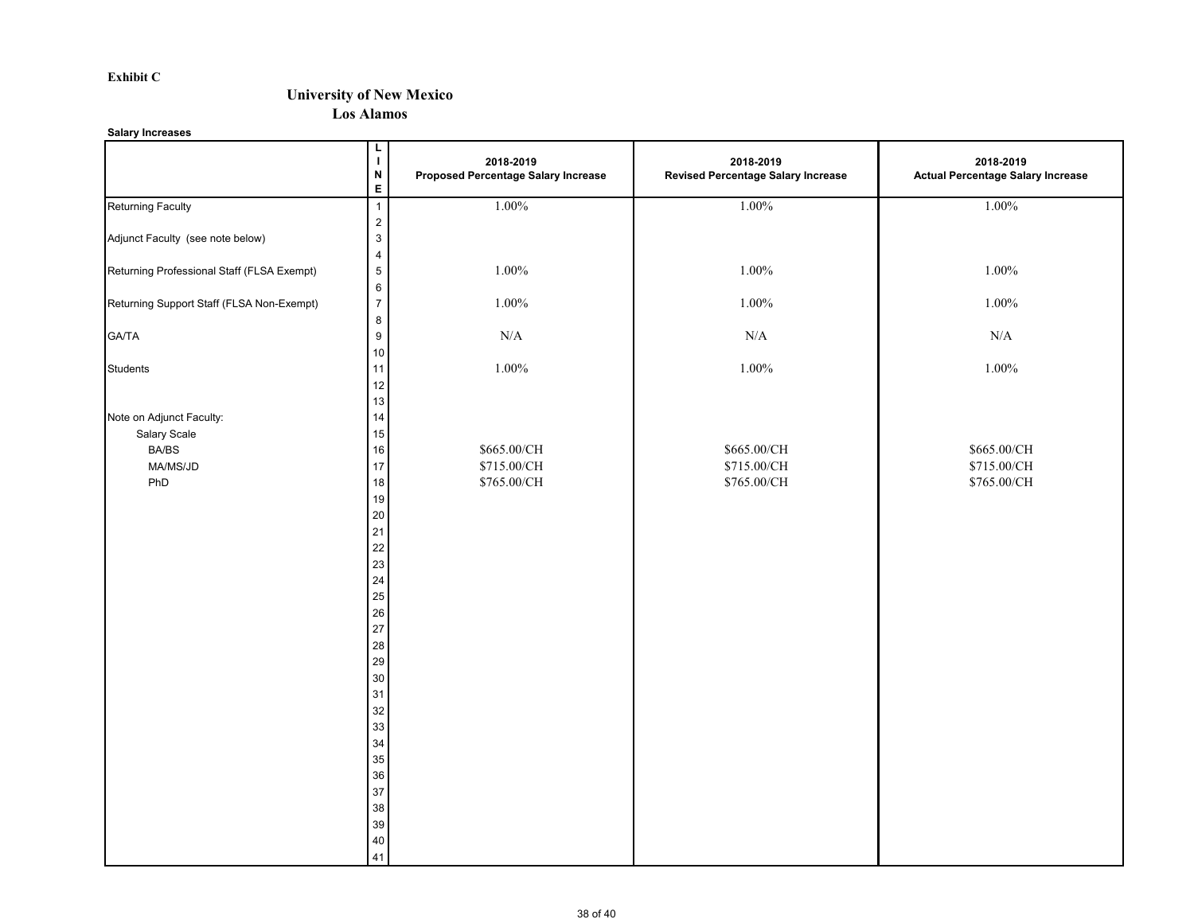#### **Exhibit C**

### **University of New Mexico**

**Los Alamos**

**Salary Increases**

|                                                                             | L<br>$\mathbf I$<br>$\boldsymbol{\mathsf{N}}$<br>$\mathsf E$                                                                             | 2018-2019<br>Proposed Percentage Salary Increase | 2018-2019<br><b>Revised Percentage Salary Increase</b> | 2018-2019<br><b>Actual Percentage Salary Increase</b> |
|-----------------------------------------------------------------------------|------------------------------------------------------------------------------------------------------------------------------------------|--------------------------------------------------|--------------------------------------------------------|-------------------------------------------------------|
| <b>Returning Faculty</b>                                                    | $\overline{1}$                                                                                                                           | 1.00%                                            | 1.00%                                                  | 1.00%                                                 |
| Adjunct Faculty (see note below)                                            | $\mathbf{2}$<br>$\mathbf{3}$<br>$\overline{4}$                                                                                           |                                                  |                                                        |                                                       |
| Returning Professional Staff (FLSA Exempt)                                  | $\sqrt{5}$                                                                                                                               | $1.00\%$                                         | 1.00%                                                  | $1.00\%$                                              |
| Returning Support Staff (FLSA Non-Exempt)                                   | $\boldsymbol{6}$<br>$\overline{\mathbf{7}}$<br>$\bf 8$                                                                                   | $1.00\%$                                         | 1.00%                                                  | $1.00\%$                                              |
| <b>GA/TA</b>                                                                | $\boldsymbol{9}$<br>$10\,$                                                                                                               | $\rm N/A$                                        | $\rm N/A$                                              | $\rm N/A$                                             |
| <b>Students</b>                                                             | 11<br>12<br>13                                                                                                                           | 1.00%                                            | 1.00%                                                  | $1.00\%$                                              |
| Note on Adjunct Faculty:<br>Salary Scale<br><b>BA/BS</b><br>MA/MS/JD<br>PhD | $14\,$<br>15<br>16<br>17<br>$18\,$<br>19<br>$20\,$<br>21<br>$22\,$<br>$23\,$<br>$24\,$<br>25<br>$26\,$<br>27<br>${\bf 28}$<br>${\bf 29}$ | \$665.00/CH<br>\$715.00/CH<br>\$765.00/CH        | \$665.00/CH<br>\$715.00/CH<br>\$765.00/CH              | \$665.00/CH<br>\$715.00/CH<br>\$765.00/CH             |
|                                                                             | $30\,$<br>31<br>32<br>33<br>34<br>35<br>36<br>37<br>38<br>39<br>$40\,$<br>41                                                             |                                                  |                                                        |                                                       |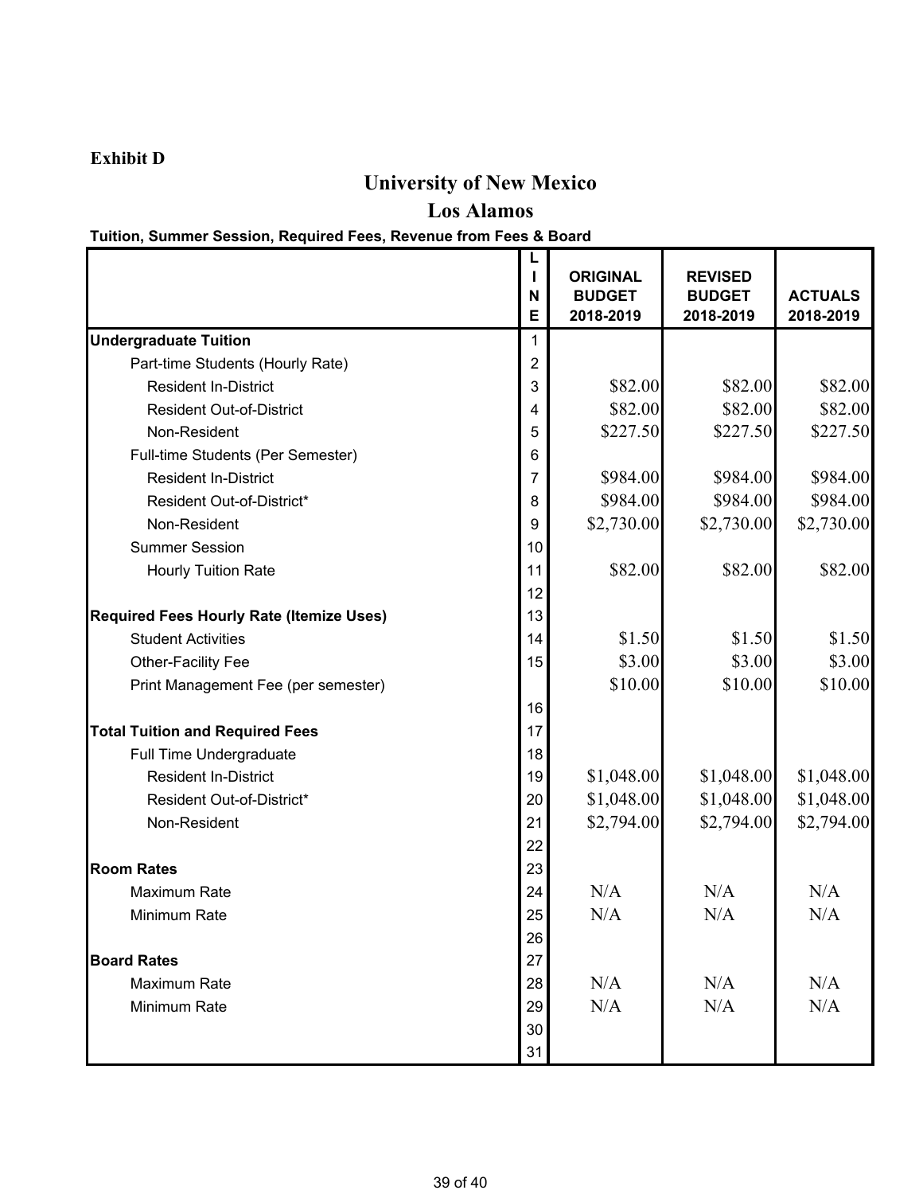### **Exhibit D**

# **University of New Mexico**

**Los Alamos**

### **Tuition, Summer Session, Required Fees, Revenue from Fees & Board**

|                                                 | N  | <b>ORIGINAL</b><br><b>BUDGET</b> | <b>REVISED</b><br><b>BUDGET</b> | <b>ACTUALS</b> |
|-------------------------------------------------|----|----------------------------------|---------------------------------|----------------|
|                                                 | Е  | 2018-2019                        | 2018-2019                       | 2018-2019      |
| <b>Undergraduate Tuition</b>                    | 1  |                                  |                                 |                |
| Part-time Students (Hourly Rate)                | 2  |                                  |                                 |                |
| <b>Resident In-District</b>                     | 3  | \$82.00                          | \$82.00                         | \$82.00        |
| <b>Resident Out-of-District</b>                 | 4  | \$82.00                          | \$82.00                         | \$82.00        |
| Non-Resident                                    | 5  | \$227.50                         | \$227.50                        | \$227.50       |
| Full-time Students (Per Semester)               | 6  |                                  |                                 |                |
| <b>Resident In-District</b>                     | 7  | \$984.00                         | \$984.00                        | \$984.00       |
| Resident Out-of-District*                       | 8  | \$984.00                         | \$984.00                        | \$984.00       |
| Non-Resident                                    | 9  | \$2,730.00                       | \$2,730.00                      | \$2,730.00     |
| <b>Summer Session</b>                           | 10 |                                  |                                 |                |
| <b>Hourly Tuition Rate</b>                      | 11 | \$82.00                          | \$82.00                         | \$82.00        |
|                                                 | 12 |                                  |                                 |                |
| <b>Required Fees Hourly Rate (Itemize Uses)</b> | 13 |                                  |                                 |                |
| <b>Student Activities</b>                       | 14 | \$1.50                           | \$1.50                          | \$1.50         |
| Other-Facility Fee                              | 15 | \$3.00                           | \$3.00                          | \$3.00         |
| Print Management Fee (per semester)             |    | \$10.00                          | \$10.00                         | \$10.00        |
|                                                 | 16 |                                  |                                 |                |
| <b>Total Tuition and Required Fees</b>          | 17 |                                  |                                 |                |
| Full Time Undergraduate                         | 18 |                                  |                                 |                |
| <b>Resident In-District</b>                     | 19 | \$1,048.00                       | \$1,048.00                      | \$1,048.00     |
| Resident Out-of-District*                       | 20 | \$1,048.00                       | \$1,048.00                      | \$1,048.00     |
| Non-Resident                                    | 21 | \$2,794.00                       | \$2,794.00                      | \$2,794.00     |
|                                                 | 22 |                                  |                                 |                |
| <b>Room Rates</b>                               | 23 |                                  |                                 |                |
| <b>Maximum Rate</b>                             | 24 | N/A                              | N/A                             | N/A            |
| Minimum Rate                                    | 25 | N/A                              | N/A                             | N/A            |
|                                                 | 26 |                                  |                                 |                |
| <b>Board Rates</b>                              |    |                                  |                                 |                |
| Maximum Rate                                    | 28 | N/A                              | N/A                             | N/A            |
| Minimum Rate                                    | 29 | N/A                              | N/A                             | N/A            |
|                                                 | 30 |                                  |                                 |                |
|                                                 | 31 |                                  |                                 |                |